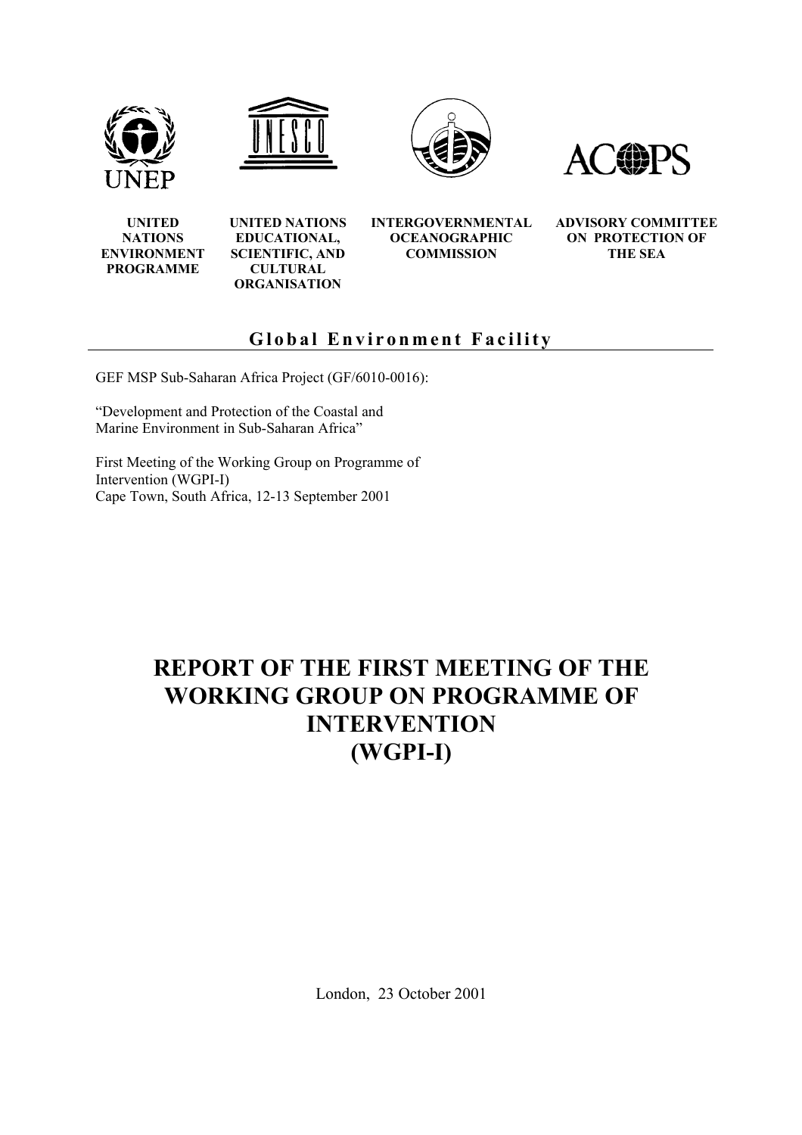







**UNITED NATIONS ENVIRONMENT PROGRAMME**

**UNITED NATIONS EDUCATIONAL, SCIENTIFIC, AND CULTURAL ORGANISATION** 

**INTERGOVERNMENTAL OCEANOGRAPHIC COMMISSION** 

**ADVISORY COMMITTEE ON PROTECTION OF THE SEA** 

# **Global Environment Facility**

GEF MSP Sub-Saharan Africa Project (GF/6010-0016):

"Development and Protection of the Coastal and Marine Environment in Sub-Saharan Africa"

First Meeting of the Working Group on Programme of Intervention (WGPI-I) Cape Town, South Africa, 12-13 September 2001

# **REPORT OF THE FIRST MEETING OF THE WORKING GROUP ON PROGRAMME OF INTERVENTION (WGPI-I)**

London, 23 October 2001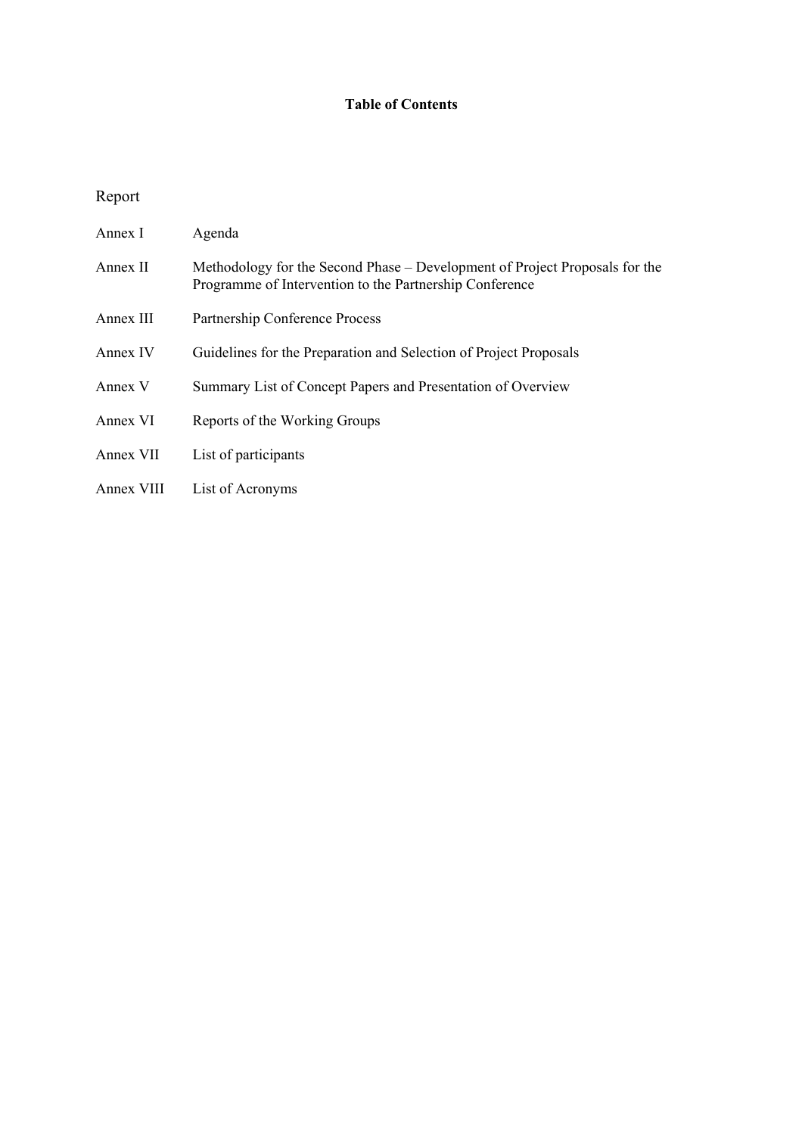# **Table of Contents**

# Report

| Annex I    | Agenda                                                                                                                                 |
|------------|----------------------------------------------------------------------------------------------------------------------------------------|
| Annex II   | Methodology for the Second Phase – Development of Project Proposals for the<br>Programme of Intervention to the Partnership Conference |
| Annex III  | Partnership Conference Process                                                                                                         |
| Annex IV   | Guidelines for the Preparation and Selection of Project Proposals                                                                      |
| Annex V    | Summary List of Concept Papers and Presentation of Overview                                                                            |
| Annex VI   | Reports of the Working Groups                                                                                                          |
| Annex VII  | List of participants                                                                                                                   |
| Annex VIII | List of Acronyms                                                                                                                       |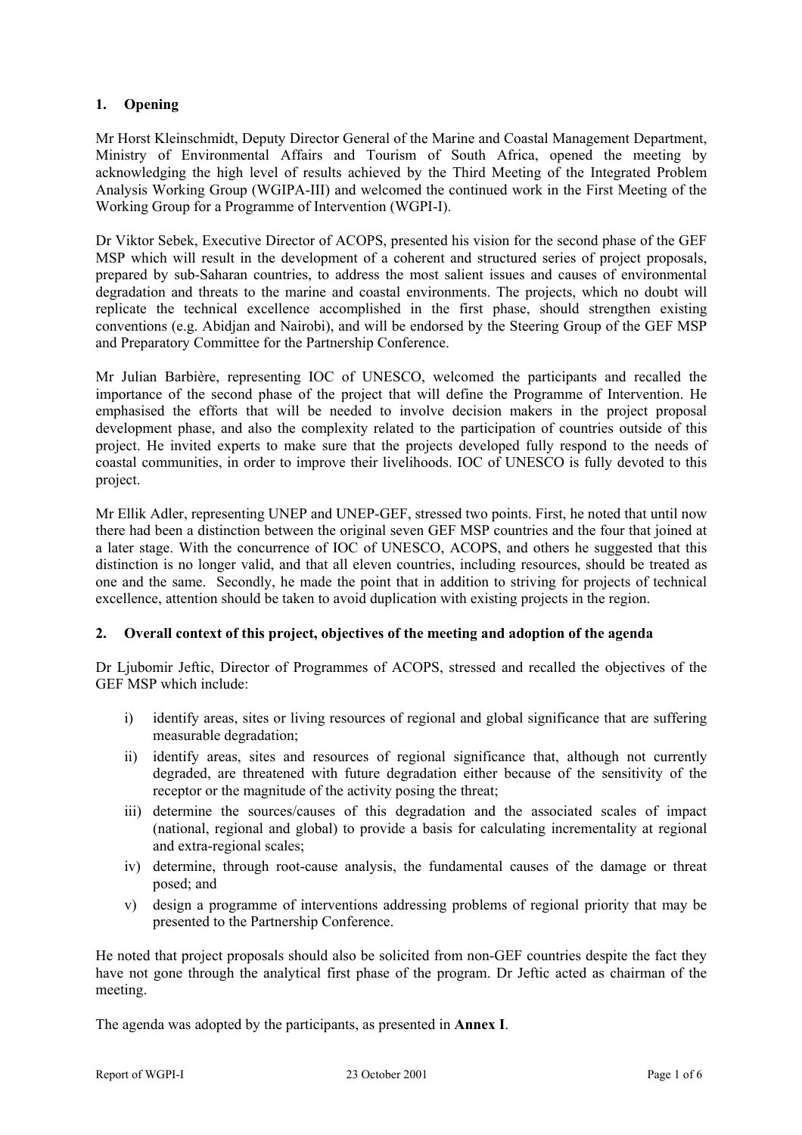# **1. Opening**

Mr Horst Kleinschmidt, Deputy Director General of the Marine and Coastal Management Department, Ministry of Environmental Affairs and Tourism of South Africa, opened the meeting by acknowledging the high level of results achieved by the Third Meeting of the Integrated Problem Analysis Working Group (WGIPA-III) and welcomed the continued work in the First Meeting of the Working Group for a Programme of Intervention (WGPI-I).

Dr Viktor Sebek, Executive Director of ACOPS, presented his vision for the second phase of the GEF MSP which will result in the development of a coherent and structured series of project proposals, prepared by sub-Saharan countries, to address the most salient issues and causes of environmental degradation and threats to the marine and coastal environments. The projects, which no doubt will replicate the technical excellence accomplished in the first phase, should strengthen existing conventions (e.g. Abidjan and Nairobi), and will be endorsed by the Steering Group of the GEF MSP and Preparatory Committee for the Partnership Conference.

Mr Julian Barbière, representing IOC of UNESCO, welcomed the participants and recalled the importance of the second phase of the project that will define the Programme of Intervention. He emphasised the efforts that will be needed to involve decision makers in the project proposal development phase, and also the complexity related to the participation of countries outside of this project. He invited experts to make sure that the projects developed fully respond to the needs of coastal communities, in order to improve their livelihoods. IOC of UNESCO is fully devoted to this project.

Mr Ellik Adler, representing UNEP and UNEP-GEF, stressed two points. First, he noted that until now there had been a distinction between the original seven GEF MSP countries and the four that joined at a later stage. With the concurrence of IOC of UNESCO, ACOPS, and others he suggested that this distinction is no longer valid, and that all eleven countries, including resources, should be treated as one and the same. Secondly, he made the point that in addition to striving for projects of technical excellence, attention should be taken to avoid duplication with existing projects in the region.

# **2. Overall context of this project, objectives of the meeting and adoption of the agenda**

Dr Ljubomir Jeftic, Director of Programmes of ACOPS, stressed and recalled the objectives of the GEF MSP which include:

- i) identify areas, sites or living resources of regional and global significance that are suffering measurable degradation;
- ii) identify areas, sites and resources of regional significance that, although not currently degraded, are threatened with future degradation either because of the sensitivity of the receptor or the magnitude of the activity posing the threat:
- iii) determine the sources/causes of this degradation and the associated scales of impact (national, regional and global) to provide a basis for calculating incrementality at regional and extra-regional scales;
- iv) determine, through root-cause analysis, the fundamental causes of the damage or threat posed; and
- v) design a programme of interventions addressing problems of regional priority that may be presented to the Partnership Conference.

He noted that project proposals should also be solicited from non-GEF countries despite the fact they have not gone through the analytical first phase of the program. Dr Jeftic acted as chairman of the meeting.

The agenda was adopted by the participants, as presented in **Annex I**.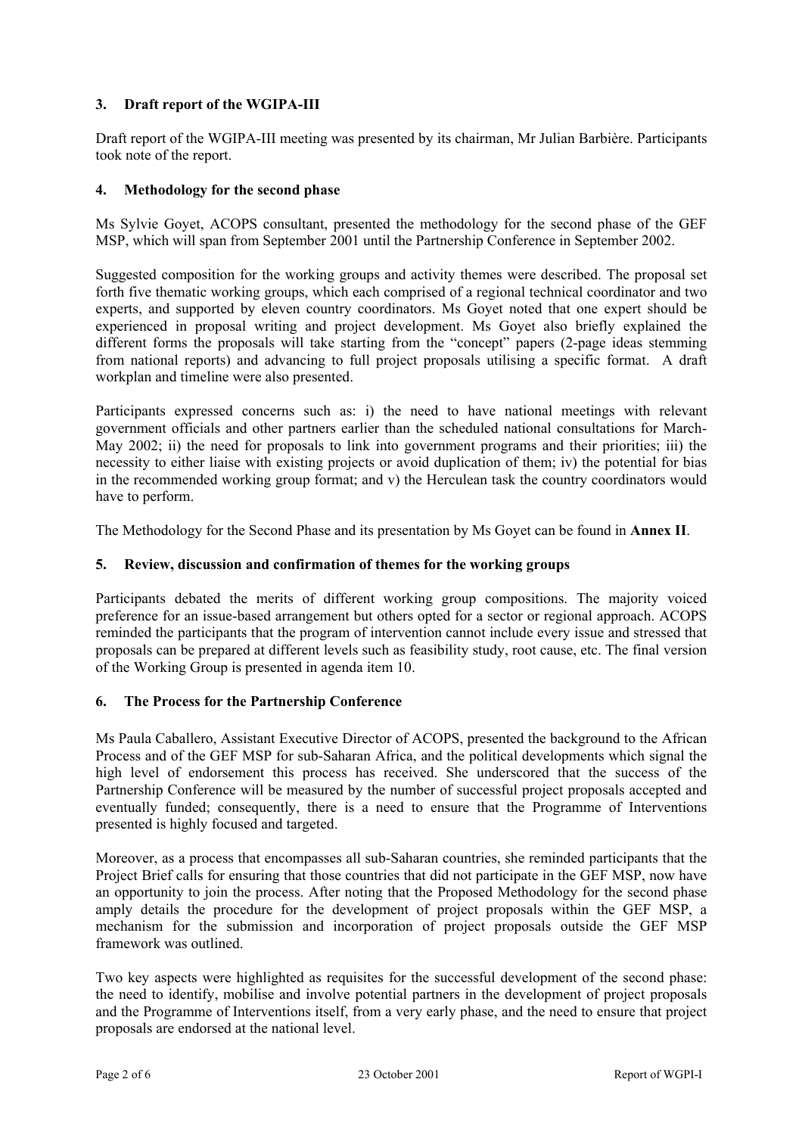# **3. Draft report of the WGIPA-III**

Draft report of the WGIPA-III meeting was presented by its chairman, Mr Julian Barbière. Participants took note of the report.

# **4. Methodology for the second phase**

Ms Sylvie Goyet, ACOPS consultant, presented the methodology for the second phase of the GEF MSP, which will span from September 2001 until the Partnership Conference in September 2002.

Suggested composition for the working groups and activity themes were described. The proposal set forth five thematic working groups, which each comprised of a regional technical coordinator and two experts, and supported by eleven country coordinators. Ms Goyet noted that one expert should be experienced in proposal writing and project development. Ms Goyet also briefly explained the different forms the proposals will take starting from the "concept" papers (2-page ideas stemming from national reports) and advancing to full project proposals utilising a specific format. A draft workplan and timeline were also presented.

Participants expressed concerns such as: i) the need to have national meetings with relevant government officials and other partners earlier than the scheduled national consultations for March-May 2002; ii) the need for proposals to link into government programs and their priorities; iii) the necessity to either liaise with existing projects or avoid duplication of them; iv) the potential for bias in the recommended working group format; and v) the Herculean task the country coordinators would have to perform.

The Methodology for the Second Phase and its presentation by Ms Goyet can be found in **Annex II**.

# **5. Review, discussion and confirmation of themes for the working groups**

Participants debated the merits of different working group compositions. The majority voiced preference for an issue-based arrangement but others opted for a sector or regional approach. ACOPS reminded the participants that the program of intervention cannot include every issue and stressed that proposals can be prepared at different levels such as feasibility study, root cause, etc. The final version of the Working Group is presented in agenda item 10.

#### **6. The Process for the Partnership Conference**

Ms Paula Caballero, Assistant Executive Director of ACOPS, presented the background to the African Process and of the GEF MSP for sub-Saharan Africa, and the political developments which signal the high level of endorsement this process has received. She underscored that the success of the Partnership Conference will be measured by the number of successful project proposals accepted and eventually funded; consequently, there is a need to ensure that the Programme of Interventions presented is highly focused and targeted.

Moreover, as a process that encompasses all sub-Saharan countries, she reminded participants that the Project Brief calls for ensuring that those countries that did not participate in the GEF MSP, now have an opportunity to join the process. After noting that the Proposed Methodology for the second phase amply details the procedure for the development of project proposals within the GEF MSP, a mechanism for the submission and incorporation of project proposals outside the GEF MSP framework was outlined.

Two key aspects were highlighted as requisites for the successful development of the second phase: the need to identify, mobilise and involve potential partners in the development of project proposals and the Programme of Interventions itself, from a very early phase, and the need to ensure that project proposals are endorsed at the national level.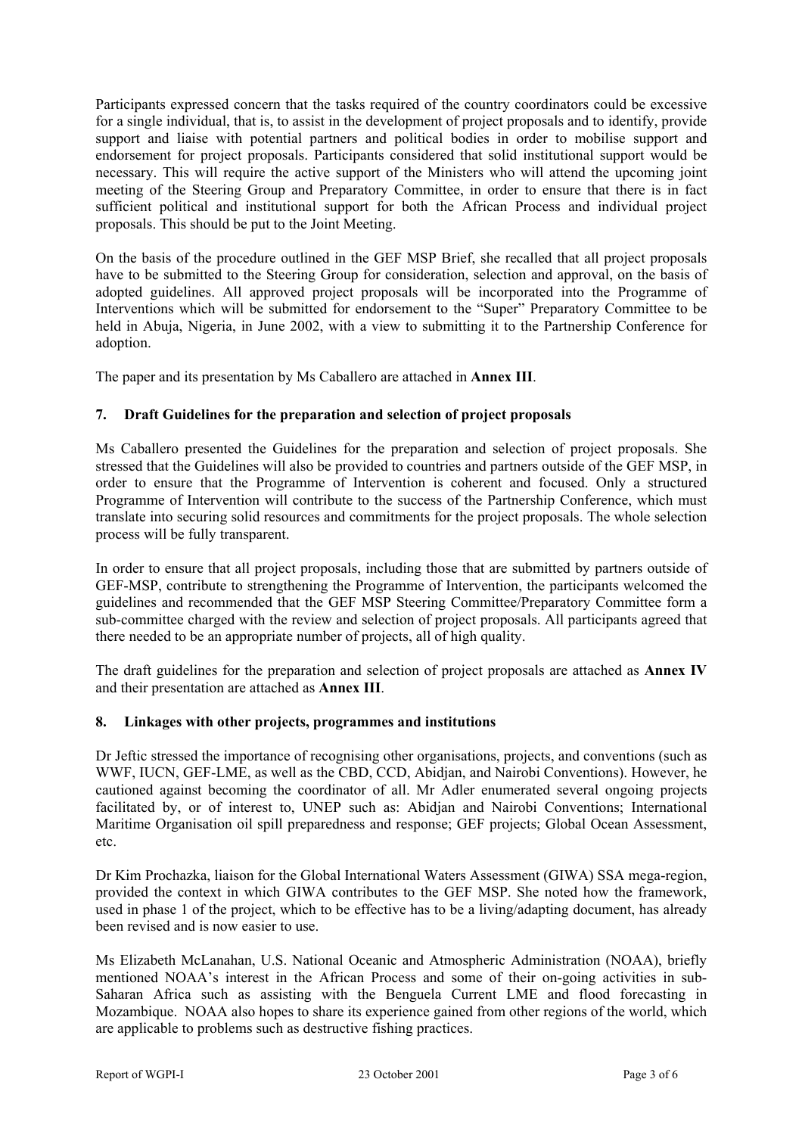Participants expressed concern that the tasks required of the country coordinators could be excessive for a single individual, that is, to assist in the development of project proposals and to identify, provide support and liaise with potential partners and political bodies in order to mobilise support and endorsement for project proposals. Participants considered that solid institutional support would be necessary. This will require the active support of the Ministers who will attend the upcoming joint meeting of the Steering Group and Preparatory Committee, in order to ensure that there is in fact sufficient political and institutional support for both the African Process and individual project proposals. This should be put to the Joint Meeting.

On the basis of the procedure outlined in the GEF MSP Brief, she recalled that all project proposals have to be submitted to the Steering Group for consideration, selection and approval, on the basis of adopted guidelines. All approved project proposals will be incorporated into the Programme of Interventions which will be submitted for endorsement to the "Super" Preparatory Committee to be held in Abuja, Nigeria, in June 2002, with a view to submitting it to the Partnership Conference for adoption.

The paper and its presentation by Ms Caballero are attached in **Annex III**.

# **7. Draft Guidelines for the preparation and selection of project proposals**

Ms Caballero presented the Guidelines for the preparation and selection of project proposals. She stressed that the Guidelines will also be provided to countries and partners outside of the GEF MSP, in order to ensure that the Programme of Intervention is coherent and focused. Only a structured Programme of Intervention will contribute to the success of the Partnership Conference, which must translate into securing solid resources and commitments for the project proposals. The whole selection process will be fully transparent.

In order to ensure that all project proposals, including those that are submitted by partners outside of GEF-MSP, contribute to strengthening the Programme of Intervention, the participants welcomed the guidelines and recommended that the GEF MSP Steering Committee/Preparatory Committee form a sub-committee charged with the review and selection of project proposals. All participants agreed that there needed to be an appropriate number of projects, all of high quality.

The draft guidelines for the preparation and selection of project proposals are attached as **Annex IV** and their presentation are attached as **Annex III**.

#### **8. Linkages with other projects, programmes and institutions**

Dr Jeftic stressed the importance of recognising other organisations, projects, and conventions (such as WWF, IUCN, GEF-LME, as well as the CBD, CCD, Abidjan, and Nairobi Conventions). However, he cautioned against becoming the coordinator of all. Mr Adler enumerated several ongoing projects facilitated by, or of interest to, UNEP such as: Abidjan and Nairobi Conventions; International Maritime Organisation oil spill preparedness and response; GEF projects; Global Ocean Assessment, etc.

Dr Kim Prochazka, liaison for the Global International Waters Assessment (GIWA) SSA mega-region, provided the context in which GIWA contributes to the GEF MSP. She noted how the framework, used in phase 1 of the project, which to be effective has to be a living/adapting document, has already been revised and is now easier to use.

Ms Elizabeth McLanahan, U.S. National Oceanic and Atmospheric Administration (NOAA), briefly mentioned NOAA's interest in the African Process and some of their on-going activities in sub-Saharan Africa such as assisting with the Benguela Current LME and flood forecasting in Mozambique. NOAA also hopes to share its experience gained from other regions of the world, which are applicable to problems such as destructive fishing practices.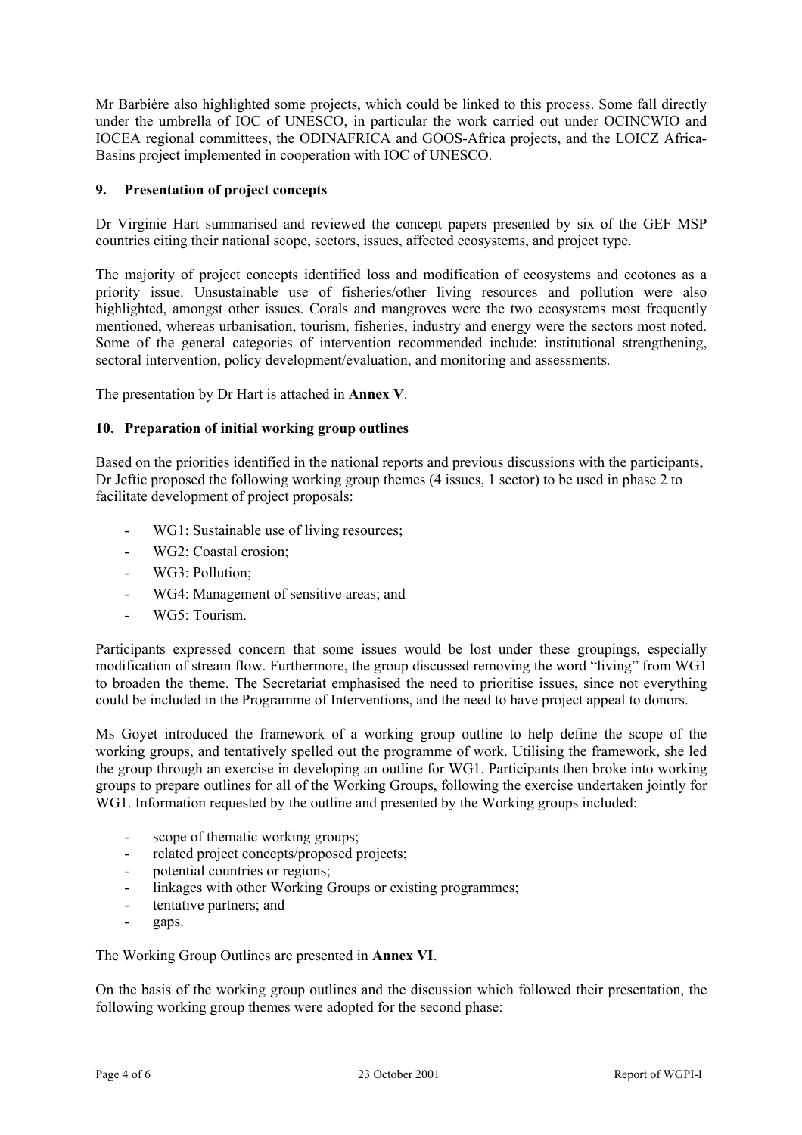Mr Barbière also highlighted some projects, which could be linked to this process. Some fall directly under the umbrella of IOC of UNESCO, in particular the work carried out under OCINCWIO and IOCEA regional committees, the ODINAFRICA and GOOS-Africa projects, and the LOICZ Africa-Basins project implemented in cooperation with IOC of UNESCO.

# **9. Presentation of project concepts**

Dr Virginie Hart summarised and reviewed the concept papers presented by six of the GEF MSP countries citing their national scope, sectors, issues, affected ecosystems, and project type.

The majority of project concepts identified loss and modification of ecosystems and ecotones as a priority issue. Unsustainable use of fisheries/other living resources and pollution were also highlighted, amongst other issues. Corals and mangroves were the two ecosystems most frequently mentioned, whereas urbanisation, tourism, fisheries, industry and energy were the sectors most noted. Some of the general categories of intervention recommended include: institutional strengthening, sectoral intervention, policy development/evaluation, and monitoring and assessments.

The presentation by Dr Hart is attached in **Annex V**.

#### **10. Preparation of initial working group outlines**

Based on the priorities identified in the national reports and previous discussions with the participants, Dr Jeftic proposed the following working group themes (4 issues, 1 sector) to be used in phase 2 to facilitate development of project proposals:

- WG1: Sustainable use of living resources;
- WG2: Coastal erosion;
- WG3: Pollution;
- WG4: Management of sensitive areas; and
- WG5: Tourism.

Participants expressed concern that some issues would be lost under these groupings, especially modification of stream flow. Furthermore, the group discussed removing the word "living" from WG1 to broaden the theme. The Secretariat emphasised the need to prioritise issues, since not everything could be included in the Programme of Interventions, and the need to have project appeal to donors.

Ms Goyet introduced the framework of a working group outline to help define the scope of the working groups, and tentatively spelled out the programme of work. Utilising the framework, she led the group through an exercise in developing an outline for WG1. Participants then broke into working groups to prepare outlines for all of the Working Groups, following the exercise undertaken jointly for WG1. Information requested by the outline and presented by the Working groups included:

- scope of thematic working groups;
- related project concepts/proposed projects;
- potential countries or regions:
- linkages with other Working Groups or existing programmes;
- tentative partners; and
- gaps.

The Working Group Outlines are presented in **Annex VI**.

On the basis of the working group outlines and the discussion which followed their presentation, the following working group themes were adopted for the second phase: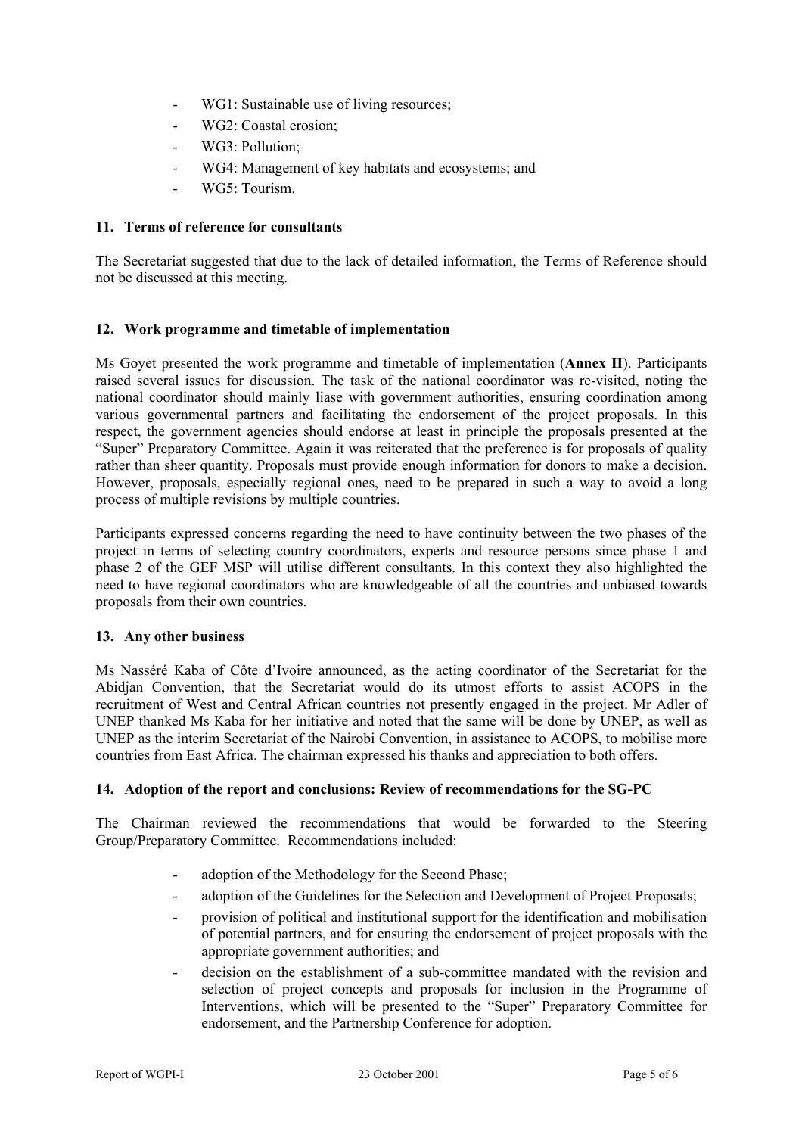- WG1: Sustainable use of living resources;
- WG2: Coastal erosion;
- WG3: Pollution;
- WG4: Management of key habitats and ecosystems; and
- WG5: Tourism.

#### **11. Terms of reference for consultants**

The Secretariat suggested that due to the lack of detailed information, the Terms of Reference should not be discussed at this meeting.

#### **12. Work programme and timetable of implementation**

Ms Goyet presented the work programme and timetable of implementation (**Annex II**). Participants raised several issues for discussion. The task of the national coordinator was re-visited, noting the national coordinator should mainly liase with government authorities, ensuring coordination among various governmental partners and facilitating the endorsement of the project proposals. In this respect, the government agencies should endorse at least in principle the proposals presented at the "Super" Preparatory Committee. Again it was reiterated that the preference is for proposals of quality rather than sheer quantity. Proposals must provide enough information for donors to make a decision. However, proposals, especially regional ones, need to be prepared in such a way to avoid a long process of multiple revisions by multiple countries.

Participants expressed concerns regarding the need to have continuity between the two phases of the project in terms of selecting country coordinators, experts and resource persons since phase 1 and phase 2 of the GEF MSP will utilise different consultants. In this context they also highlighted the need to have regional coordinators who are knowledgeable of all the countries and unbiased towards proposals from their own countries.

#### **13. Any other business**

Ms Nasséré Kaba of Côte d'Ivoire announced, as the acting coordinator of the Secretariat for the Abidjan Convention, that the Secretariat would do its utmost efforts to assist ACOPS in the recruitment of West and Central African countries not presently engaged in the project. Mr Adler of UNEP thanked Ms Kaba for her initiative and noted that the same will be done by UNEP, as well as UNEP as the interim Secretariat of the Nairobi Convention, in assistance to ACOPS, to mobilise more countries from East Africa. The chairman expressed his thanks and appreciation to both offers.

#### **14. Adoption of the report and conclusions: Review of recommendations for the SG-PC**

The Chairman reviewed the recommendations that would be forwarded to the Steering Group/Preparatory Committee. Recommendations included:

- adoption of the Methodology for the Second Phase:
- adoption of the Guidelines for the Selection and Development of Project Proposals;
- provision of political and institutional support for the identification and mobilisation of potential partners, and for ensuring the endorsement of project proposals with the appropriate government authorities; and
- decision on the establishment of a sub-committee mandated with the revision and selection of project concepts and proposals for inclusion in the Programme of Interventions, which will be presented to the "Super" Preparatory Committee for endorsement, and the Partnership Conference for adoption.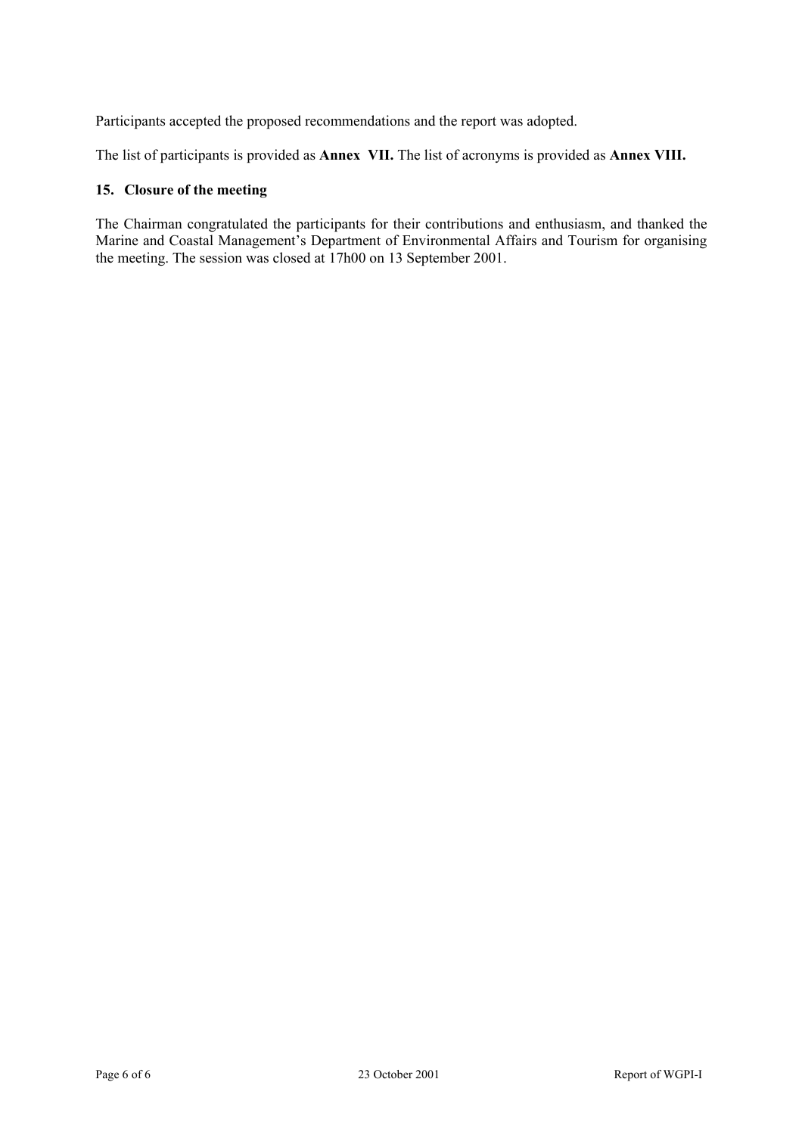Participants accepted the proposed recommendations and the report was adopted.

The list of participants is provided as **Annex VII.** The list of acronyms is provided as **Annex VIII.** 

# **15. Closure of the meeting**

The Chairman congratulated the participants for their contributions and enthusiasm, and thanked the Marine and Coastal Management's Department of Environmental Affairs and Tourism for organising the meeting. The session was closed at 17h00 on 13 September 2001.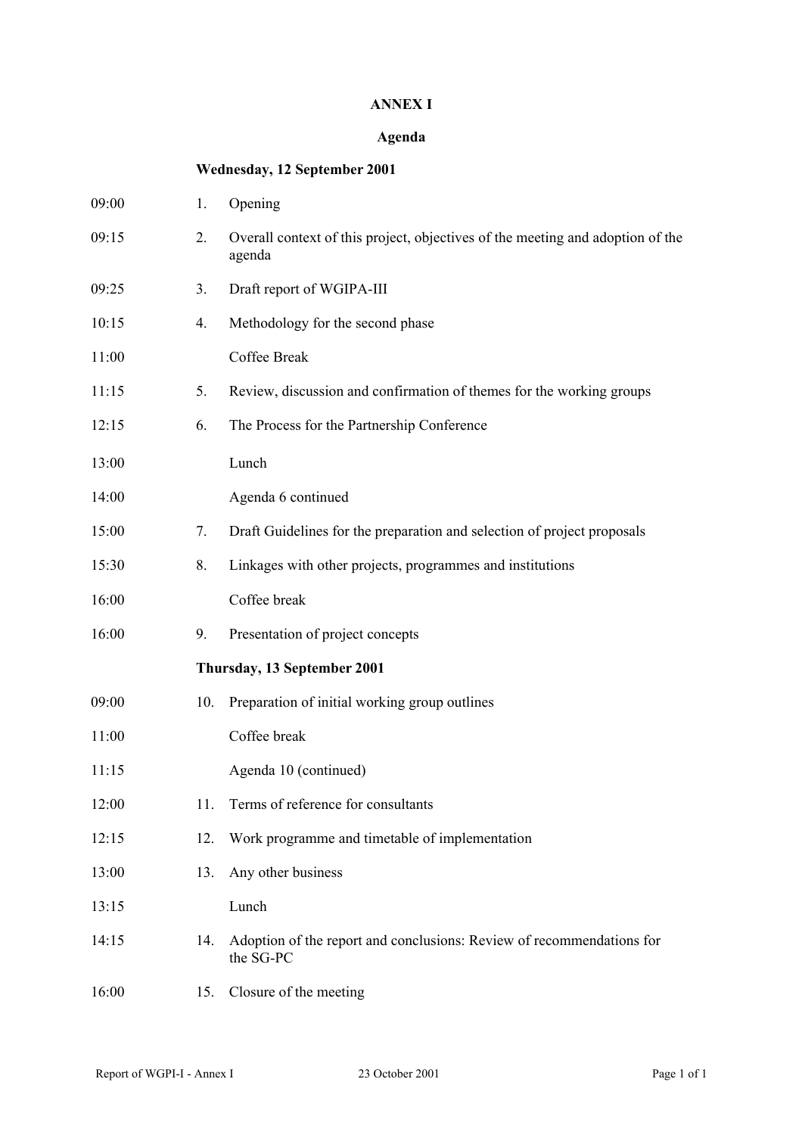# **ANNEX I**

# **Agenda**

# **Wednesday, 12 September 2001**

| 09:00 | 1.  | Opening                                                                                  |
|-------|-----|------------------------------------------------------------------------------------------|
| 09:15 | 2.  | Overall context of this project, objectives of the meeting and adoption of the<br>agenda |
| 09:25 | 3.  | Draft report of WGIPA-III                                                                |
| 10:15 | 4.  | Methodology for the second phase                                                         |
| 11:00 |     | Coffee Break                                                                             |
| 11:15 | 5.  | Review, discussion and confirmation of themes for the working groups                     |
| 12:15 | 6.  | The Process for the Partnership Conference                                               |
| 13:00 |     | Lunch                                                                                    |
| 14:00 |     | Agenda 6 continued                                                                       |
| 15:00 | 7.  | Draft Guidelines for the preparation and selection of project proposals                  |
| 15:30 | 8.  | Linkages with other projects, programmes and institutions                                |
| 16:00 |     | Coffee break                                                                             |
| 16:00 | 9.  | Presentation of project concepts                                                         |
|       |     | Thursday, 13 September 2001                                                              |
| 09:00 | 10. | Preparation of initial working group outlines                                            |
| 11:00 |     | Coffee break                                                                             |
| 11:15 |     | Agenda 10 (continued)                                                                    |
| 12:00 | 11. | Terms of reference for consultants                                                       |
| 12:15 | 12. | Work programme and timetable of implementation                                           |
| 13:00 | 13. | Any other business                                                                       |
| 13:15 |     | Lunch                                                                                    |
| 14:15 | 14. | Adoption of the report and conclusions: Review of recommendations for<br>the SG-PC       |
| 16:00 | 15. | Closure of the meeting                                                                   |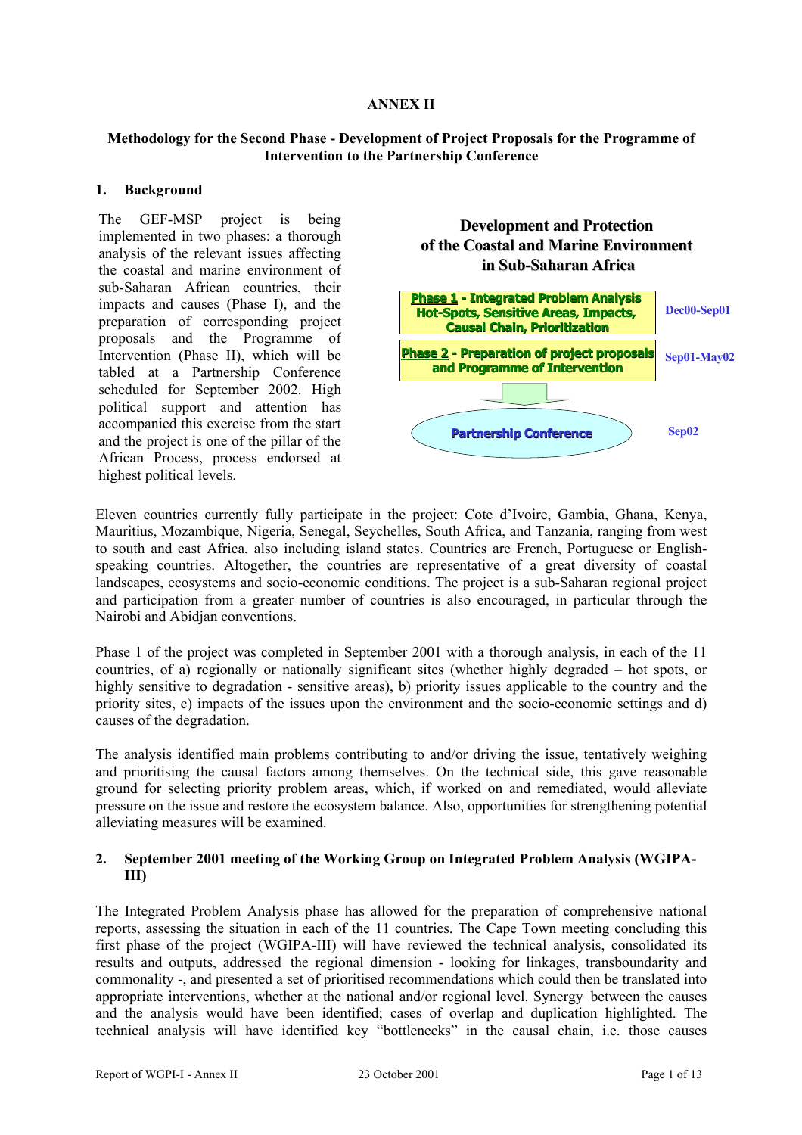# **ANNEX II**

# **Methodology for the Second Phase - Development of Project Proposals for the Programme of Intervention to the Partnership Conference**

# **1. Background**

The GEF-MSP project is being implemented in two phases: a thorough analysis of the relevant issues affecting the coastal and marine environment of sub-Saharan African countries, their impacts and causes (Phase I), and the preparation of corresponding project proposals and the Programme of Intervention (Phase II), which will be tabled at a Partnership Conference scheduled for September 2002. High political support and attention has accompanied this exercise from the start and the project is one of the pillar of the African Process, process endorsed at highest political levels.

# **Development and Protection of the Coastal and Marine Environment of the Coastal and Marine Environment in Sub-Saharan Africa Saharan Africa**



Eleven countries currently fully participate in the project: Cote d'Ivoire, Gambia, Ghana, Kenya, Mauritius, Mozambique, Nigeria, Senegal, Seychelles, South Africa, and Tanzania, ranging from west to south and east Africa, also including island states. Countries are French, Portuguese or Englishspeaking countries. Altogether, the countries are representative of a great diversity of coastal landscapes, ecosystems and socio-economic conditions. The project is a sub-Saharan regional project and participation from a greater number of countries is also encouraged, in particular through the Nairobi and Abidjan conventions.

Phase 1 of the project was completed in September 2001 with a thorough analysis, in each of the 11 countries, of a) regionally or nationally significant sites (whether highly degraded – hot spots, or highly sensitive to degradation - sensitive areas), b) priority issues applicable to the country and the priority sites, c) impacts of the issues upon the environment and the socio-economic settings and d) causes of the degradation.

The analysis identified main problems contributing to and/or driving the issue, tentatively weighing and prioritising the causal factors among themselves. On the technical side, this gave reasonable ground for selecting priority problem areas, which, if worked on and remediated, would alleviate pressure on the issue and restore the ecosystem balance. Also, opportunities for strengthening potential alleviating measures will be examined.

# **2. September 2001 meeting of the Working Group on Integrated Problem Analysis (WGIPA-III)**

The Integrated Problem Analysis phase has allowed for the preparation of comprehensive national reports, assessing the situation in each of the 11 countries. The Cape Town meeting concluding this first phase of the project (WGIPA-III) will have reviewed the technical analysis, consolidated its results and outputs, addressed the regional dimension - looking for linkages, transboundarity and commonality -, and presented a set of prioritised recommendations which could then be translated into appropriate interventions, whether at the national and/or regional level. Synergy between the causes and the analysis would have been identified; cases of overlap and duplication highlighted. The technical analysis will have identified key "bottlenecks" in the causal chain, i.e. those causes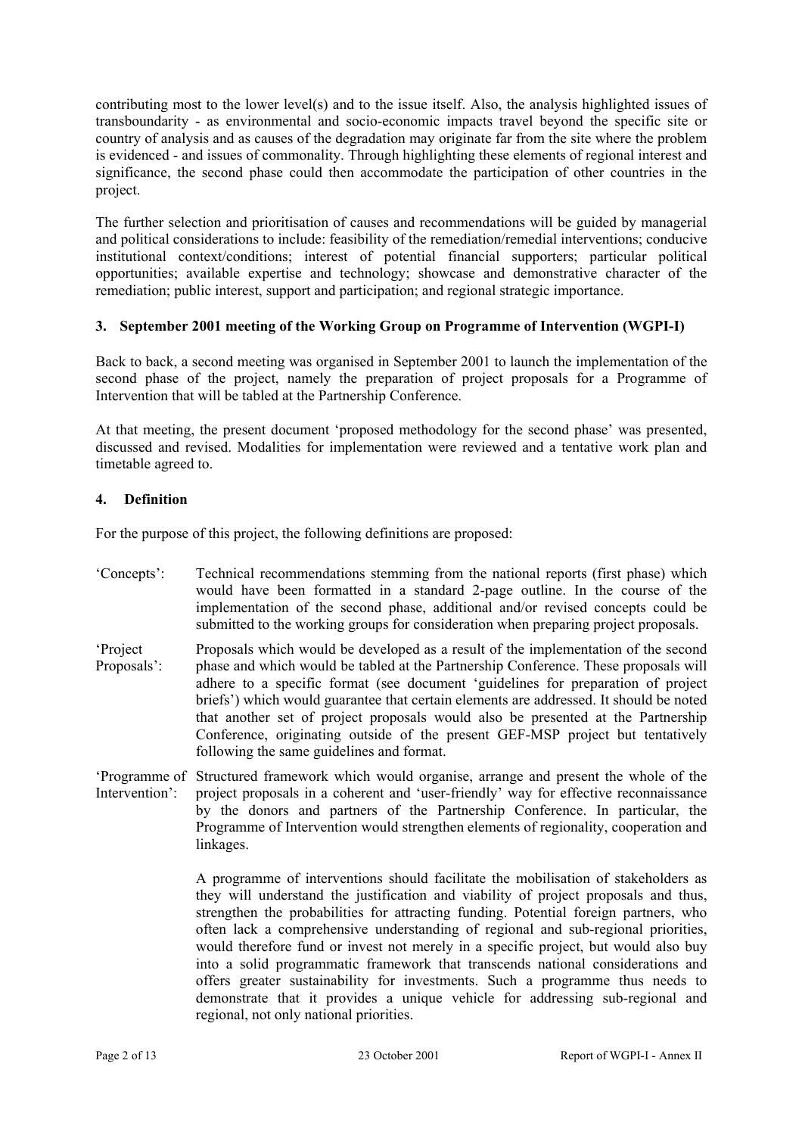contributing most to the lower level(s) and to the issue itself. Also, the analysis highlighted issues of transboundarity - as environmental and socio-economic impacts travel beyond the specific site or country of analysis and as causes of the degradation may originate far from the site where the problem is evidenced - and issues of commonality. Through highlighting these elements of regional interest and significance, the second phase could then accommodate the participation of other countries in the project.

The further selection and prioritisation of causes and recommendations will be guided by managerial and political considerations to include: feasibility of the remediation/remedial interventions; conducive institutional context/conditions; interest of potential financial supporters; particular political opportunities; available expertise and technology; showcase and demonstrative character of the remediation; public interest, support and participation; and regional strategic importance.

# **3. September 2001 meeting of the Working Group on Programme of Intervention (WGPI-I)**

Back to back, a second meeting was organised in September 2001 to launch the implementation of the second phase of the project, namely the preparation of project proposals for a Programme of Intervention that will be tabled at the Partnership Conference.

At that meeting, the present document 'proposed methodology for the second phase' was presented, discussed and revised. Modalities for implementation were reviewed and a tentative work plan and timetable agreed to.

# **4. Definition**

For the purpose of this project, the following definitions are proposed:

- 'Concepts': Technical recommendations stemming from the national reports (first phase) which would have been formatted in a standard 2-page outline. In the course of the implementation of the second phase, additional and/or revised concepts could be submitted to the working groups for consideration when preparing project proposals. 'Project Proposals which would be developed as a result of the implementation of the second
- Proposals': phase and which would be tabled at the Partnership Conference. These proposals will adhere to a specific format (see document 'guidelines for preparation of project briefs') which would guarantee that certain elements are addressed. It should be noted that another set of project proposals would also be presented at the Partnership Conference, originating outside of the present GEF-MSP project but tentatively following the same guidelines and format.
- 'Programme of Structured framework which would organise, arrange and present the whole of the Intervention': project proposals in a coherent and 'user-friendly' way for effective reconnaissance by the donors and partners of the Partnership Conference. In particular, the Programme of Intervention would strengthen elements of regionality, cooperation and linkages.

A programme of interventions should facilitate the mobilisation of stakeholders as they will understand the justification and viability of project proposals and thus, strengthen the probabilities for attracting funding. Potential foreign partners, who often lack a comprehensive understanding of regional and sub-regional priorities, would therefore fund or invest not merely in a specific project, but would also buy into a solid programmatic framework that transcends national considerations and offers greater sustainability for investments. Such a programme thus needs to demonstrate that it provides a unique vehicle for addressing sub-regional and regional, not only national priorities.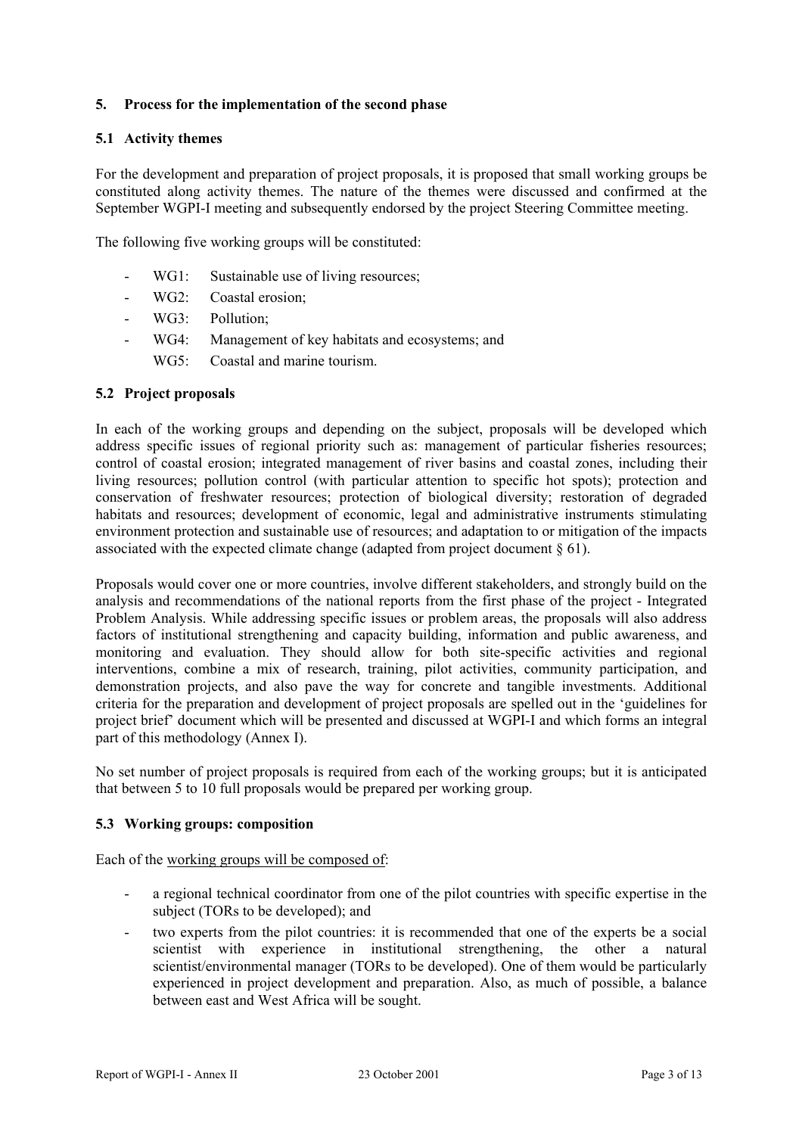# **5. Process for the implementation of the second phase**

#### **5.1 Activity themes**

For the development and preparation of project proposals, it is proposed that small working groups be constituted along activity themes. The nature of the themes were discussed and confirmed at the September WGPI-I meeting and subsequently endorsed by the project Steering Committee meeting.

The following five working groups will be constituted:

- WG1: Sustainable use of living resources:
- WG2: Coastal erosion;
- WG3: Pollution:
- WG4: Management of key habitats and ecosystems; and
	- WG5: Coastal and marine tourism.

#### **5.2 Project proposals**

In each of the working groups and depending on the subject, proposals will be developed which address specific issues of regional priority such as: management of particular fisheries resources; control of coastal erosion; integrated management of river basins and coastal zones, including their living resources; pollution control (with particular attention to specific hot spots); protection and conservation of freshwater resources; protection of biological diversity; restoration of degraded habitats and resources; development of economic, legal and administrative instruments stimulating environment protection and sustainable use of resources; and adaptation to or mitigation of the impacts associated with the expected climate change (adapted from project document § 61).

Proposals would cover one or more countries, involve different stakeholders, and strongly build on the analysis and recommendations of the national reports from the first phase of the project - Integrated Problem Analysis. While addressing specific issues or problem areas, the proposals will also address factors of institutional strengthening and capacity building, information and public awareness, and monitoring and evaluation. They should allow for both site-specific activities and regional interventions, combine a mix of research, training, pilot activities, community participation, and demonstration projects, and also pave the way for concrete and tangible investments. Additional criteria for the preparation and development of project proposals are spelled out in the 'guidelines for project brief' document which will be presented and discussed at WGPI-I and which forms an integral part of this methodology (Annex I).

No set number of project proposals is required from each of the working groups; but it is anticipated that between 5 to 10 full proposals would be prepared per working group.

#### **5.3 Working groups: composition**

Each of the working groups will be composed of:

- a regional technical coordinator from one of the pilot countries with specific expertise in the subject (TORs to be developed); and
- two experts from the pilot countries: it is recommended that one of the experts be a social scientist with experience in institutional strengthening, the other a natural scientist/environmental manager (TORs to be developed). One of them would be particularly experienced in project development and preparation. Also, as much of possible, a balance between east and West Africa will be sought.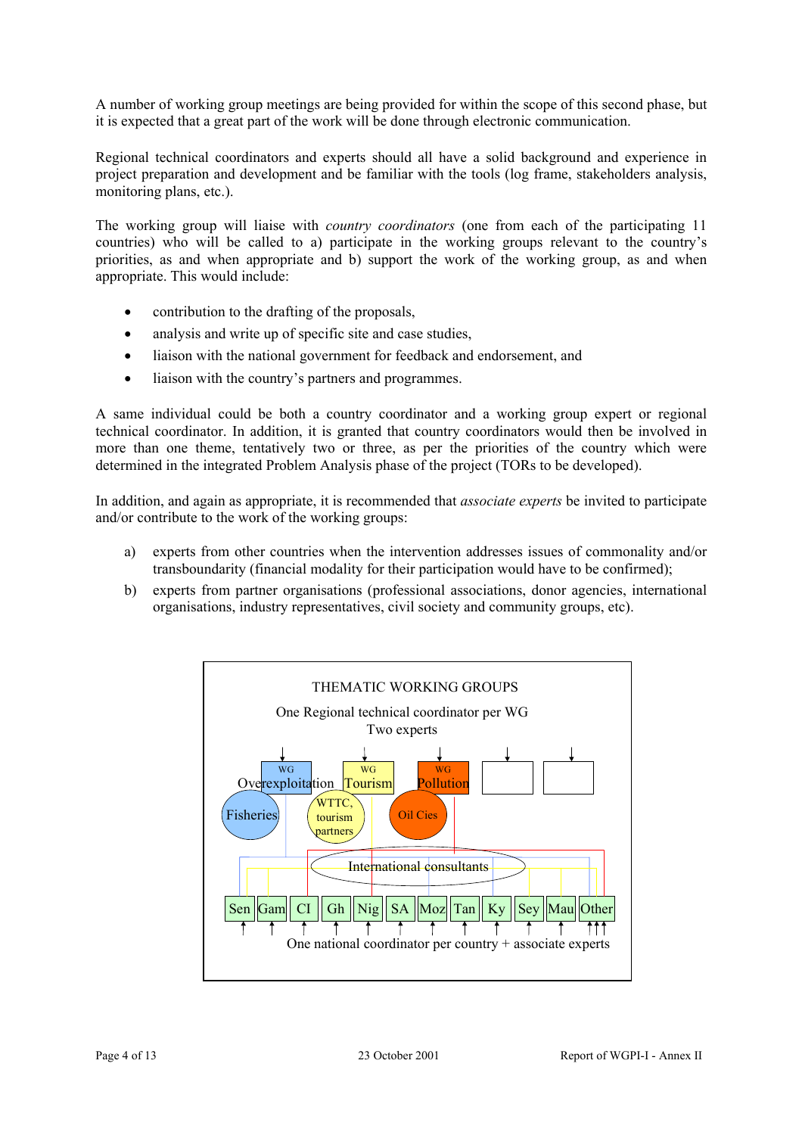A number of working group meetings are being provided for within the scope of this second phase, but it is expected that a great part of the work will be done through electronic communication.

Regional technical coordinators and experts should all have a solid background and experience in project preparation and development and be familiar with the tools (log frame, stakeholders analysis, monitoring plans, etc.).

The working group will liaise with *country coordinators* (one from each of the participating 11 countries) who will be called to a) participate in the working groups relevant to the country's priorities, as and when appropriate and b) support the work of the working group, as and when appropriate. This would include:

- contribution to the drafting of the proposals,
- analysis and write up of specific site and case studies,
- liaison with the national government for feedback and endorsement, and
- liaison with the country's partners and programmes.

A same individual could be both a country coordinator and a working group expert or regional technical coordinator. In addition, it is granted that country coordinators would then be involved in more than one theme, tentatively two or three, as per the priorities of the country which were determined in the integrated Problem Analysis phase of the project (TORs to be developed).

In addition, and again as appropriate, it is recommended that *associate experts* be invited to participate and/or contribute to the work of the working groups:

- a) experts from other countries when the intervention addresses issues of commonality and/or transboundarity (financial modality for their participation would have to be confirmed);
- b) experts from partner organisations (professional associations, donor agencies, international organisations, industry representatives, civil society and community groups, etc).

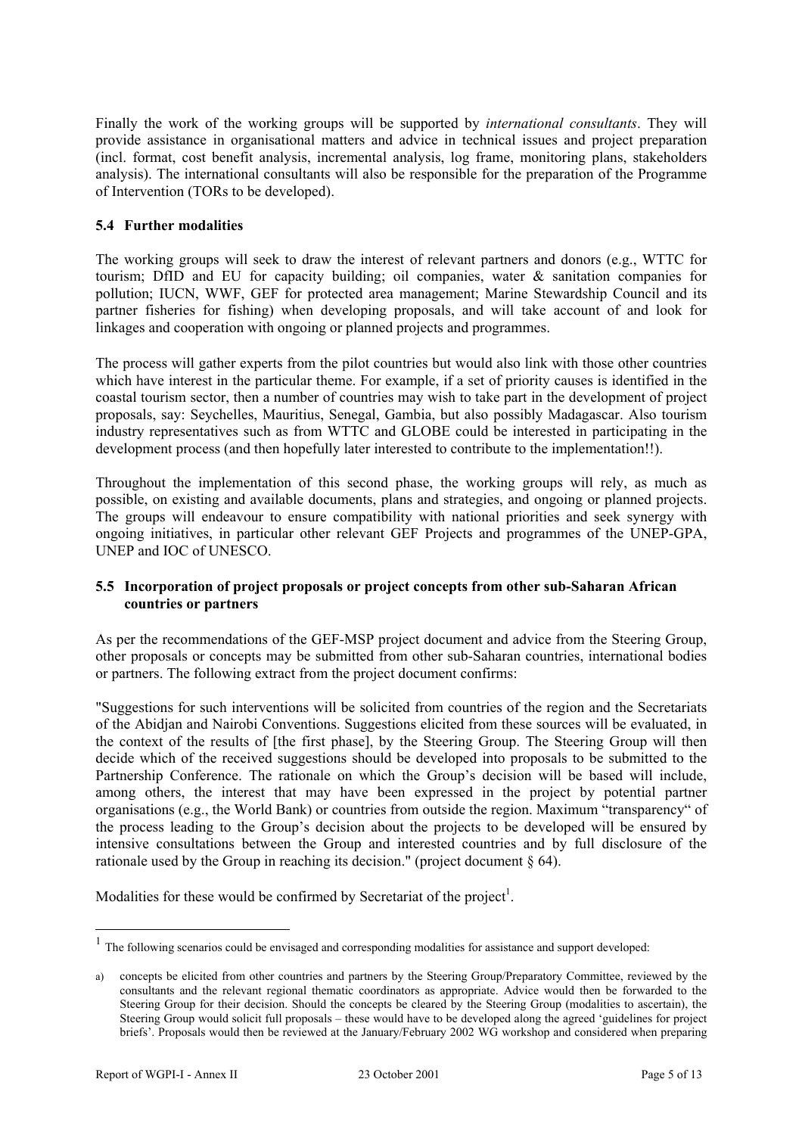Finally the work of the working groups will be supported by *international consultants*. They will provide assistance in organisational matters and advice in technical issues and project preparation (incl. format, cost benefit analysis, incremental analysis, log frame, monitoring plans, stakeholders analysis). The international consultants will also be responsible for the preparation of the Programme of Intervention (TORs to be developed).

# **5.4 Further modalities**

The working groups will seek to draw the interest of relevant partners and donors (e.g., WTTC for tourism; DfID and EU for capacity building; oil companies, water  $\&$  sanitation companies for pollution; IUCN, WWF, GEF for protected area management; Marine Stewardship Council and its partner fisheries for fishing) when developing proposals, and will take account of and look for linkages and cooperation with ongoing or planned projects and programmes.

The process will gather experts from the pilot countries but would also link with those other countries which have interest in the particular theme. For example, if a set of priority causes is identified in the coastal tourism sector, then a number of countries may wish to take part in the development of project proposals, say: Seychelles, Mauritius, Senegal, Gambia, but also possibly Madagascar. Also tourism industry representatives such as from WTTC and GLOBE could be interested in participating in the development process (and then hopefully later interested to contribute to the implementation!!).

Throughout the implementation of this second phase, the working groups will rely, as much as possible, on existing and available documents, plans and strategies, and ongoing or planned projects. The groups will endeavour to ensure compatibility with national priorities and seek synergy with ongoing initiatives, in particular other relevant GEF Projects and programmes of the UNEP-GPA, UNEP and IOC of UNESCO.

# **5.5 Incorporation of project proposals or project concepts from other sub-Saharan African countries or partners**

As per the recommendations of the GEF-MSP project document and advice from the Steering Group, other proposals or concepts may be submitted from other sub-Saharan countries, international bodies or partners. The following extract from the project document confirms:

"Suggestions for such interventions will be solicited from countries of the region and the Secretariats of the Abidjan and Nairobi Conventions. Suggestions elicited from these sources will be evaluated, in the context of the results of [the first phase], by the Steering Group. The Steering Group will then decide which of the received suggestions should be developed into proposals to be submitted to the Partnership Conference. The rationale on which the Group's decision will be based will include, among others, the interest that may have been expressed in the project by potential partner organisations (e.g., the World Bank) or countries from outside the region. Maximum "transparency" of the process leading to the Group's decision about the projects to be developed will be ensured by intensive consultations between the Group and interested countries and by full disclosure of the rationale used by the Group in reaching its decision." (project document § 64).

Modalities for these would be confirmed by Secretariat of the project<sup>1</sup>.

 $1$  The following scenarios could be envisaged and corresponding modalities for assistance and support developed:

a) concepts be elicited from other countries and partners by the Steering Group/Preparatory Committee, reviewed by the consultants and the relevant regional thematic coordinators as appropriate. Advice would then be forwarded to the Steering Group for their decision. Should the concepts be cleared by the Steering Group (modalities to ascertain), the Steering Group would solicit full proposals – these would have to be developed along the agreed 'guidelines for project briefs'. Proposals would then be reviewed at the January/February 2002 WG workshop and considered when preparing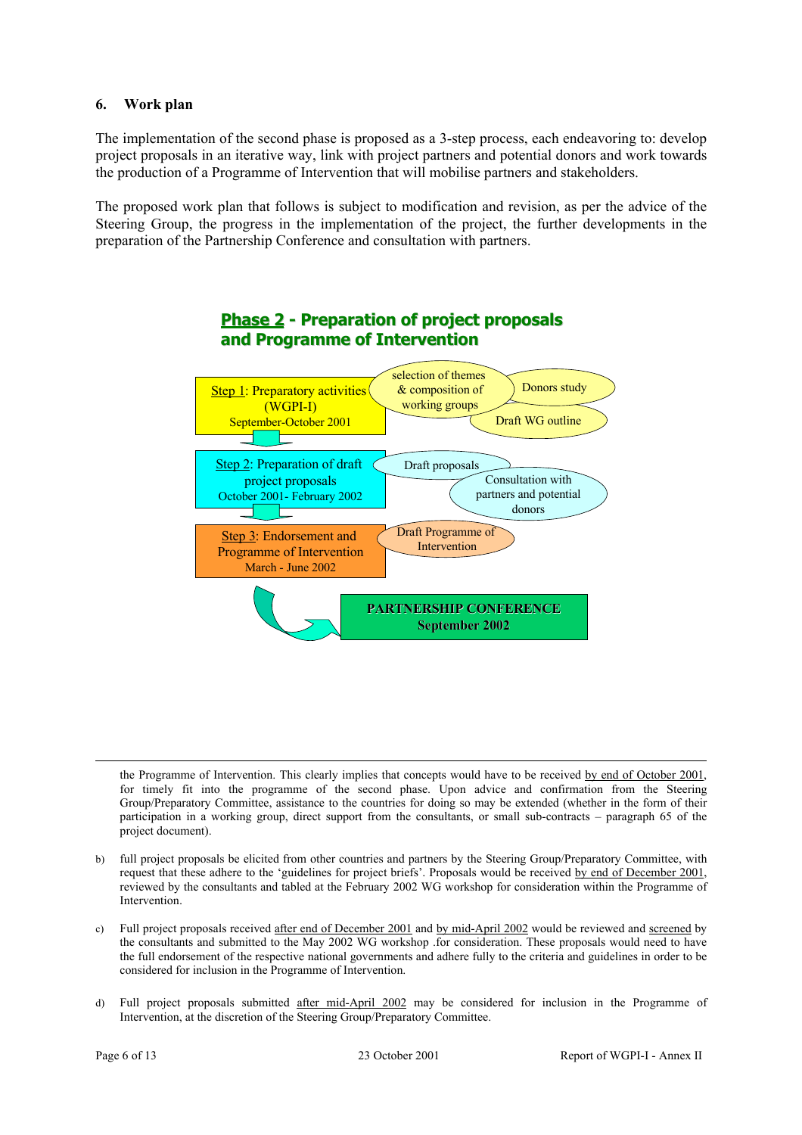# **6. Work plan**

The implementation of the second phase is proposed as a 3-step process, each endeavoring to: develop project proposals in an iterative way, link with project partners and potential donors and work towards the production of a Programme of Intervention that will mobilise partners and stakeholders.

The proposed work plan that follows is subject to modification and revision, as per the advice of the Steering Group, the progress in the implementation of the project, the further developments in the preparation of the Partnership Conference and consultation with partners.



# **Phase 2 - Preparation of project proposals and Programme of Intervention**

the Programme of Intervention. This clearly implies that concepts would have to be received by end of October 2001, for timely fit into the programme of the second phase. Upon advice and confirmation from the Steering Group/Preparatory Committee, assistance to the countries for doing so may be extended (whether in the form of their participation in a working group, direct support from the consultants, or small sub-contracts – paragraph 65 of the project document).

- full project proposals be elicited from other countries and partners by the Steering Group/Preparatory Committee, with request that these adhere to the 'guidelines for project briefs'. Proposals would be received by end of December 2001, reviewed by the consultants and tabled at the February 2002 WG workshop for consideration within the Programme of Intervention.
- c) Full project proposals received after end of December 2001 and by mid-April 2002 would be reviewed and screened by the consultants and submitted to the May 2002 WG workshop .for consideration. These proposals would need to have the full endorsement of the respective national governments and adhere fully to the criteria and guidelines in order to be considered for inclusion in the Programme of Intervention.
- d) Full project proposals submitted after mid-April 2002 may be considered for inclusion in the Programme of Intervention, at the discretion of the Steering Group/Preparatory Committee.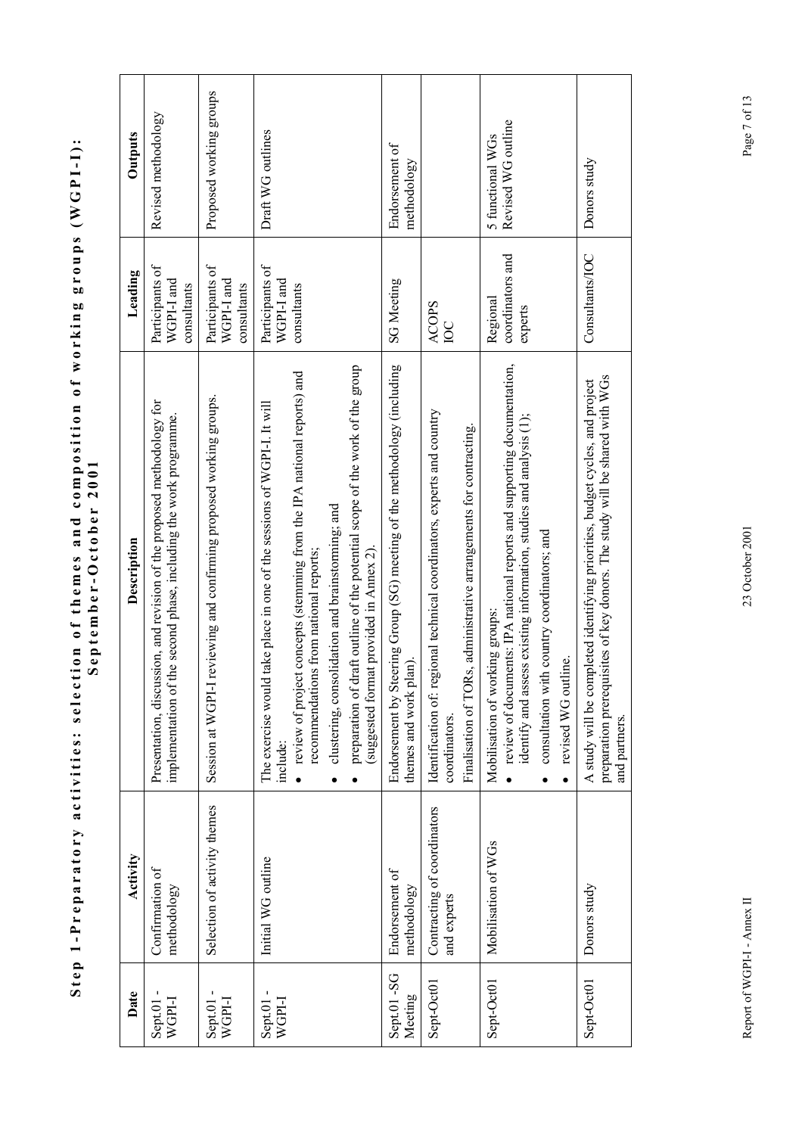| Date                             | Activity                                   | Description                                                                                                                                                                                                                                               | Leading                                      | Outputs                                |
|----------------------------------|--------------------------------------------|-----------------------------------------------------------------------------------------------------------------------------------------------------------------------------------------------------------------------------------------------------------|----------------------------------------------|----------------------------------------|
| $Sent.01 -$<br><b>I-IdDM</b>     | Confirmation of<br>methodology             | Presentation, discussion, and revision of the proposed methodology for<br>implementation of the second phase, including the work programme.                                                                                                               | Participants of<br>WGPI-I and<br>consultants | Revised methodology                    |
| $S$ ept. $01$ -<br><b>I-IdDM</b> | Selection of activity themes               | reviewing and confirming proposed working groups.<br>Session at WGPI-I                                                                                                                                                                                    | Participants of<br>WGPI-I and<br>consultants | Proposed working groups                |
| $Sept.01 -$<br>WGPI-I            | Initial WG outline                         | review of project concepts (stemming from the IPA national reports) and<br>take place in one of the sessions of WGPI-I. It will<br>recommendations from national reports;<br>The exercise would<br>include:                                               | Participants of<br>WGPI-I and<br>consultants | Draft WG outlines                      |
|                                  |                                            | preparation of draft outline of the potential scope of the work of the group<br>clustering, consolidation and brainstorming; and<br>(suggested format provided in Annex 2).                                                                               |                                              |                                        |
| Sept.01-SG<br>Meeting            | Endorsement of<br>methodology              | Endorsement by Steering Group (SG) meeting of the methodology (including<br>themes and work plan).                                                                                                                                                        | <b>SG Meeting</b>                            | Endorsement of<br>methodology          |
| Sept-Oct01                       | Contracting of coordinators<br>and experts | Identification of: regional technical coordinators, experts and country<br>Finalisation of TORs, administrative arrangements for contracting.<br>coordinators                                                                                             | <b>ACOPS</b><br><b>DC</b>                    |                                        |
| Sept-Oct01                       | Mobilisation of WGs                        | • review of documents: IPA national reports and supporting documentation,<br>identify and assess existing information, studies and analysis (1);<br>consultation with country coordinators; and<br>Mobilisation of working groups:<br>revised WG outline. | coordinators and<br>Regional<br>experts      | Revised WG outline<br>5 functional WGs |
| Sept-Oct01                       | Donors study                               | preparation prerequisites of key donors. The study will be shared with WGs<br>A study will be completed identifying priorities, budget cycles, and project<br>and partners.                                                                               | Consultants/IOC                              | Donors study                           |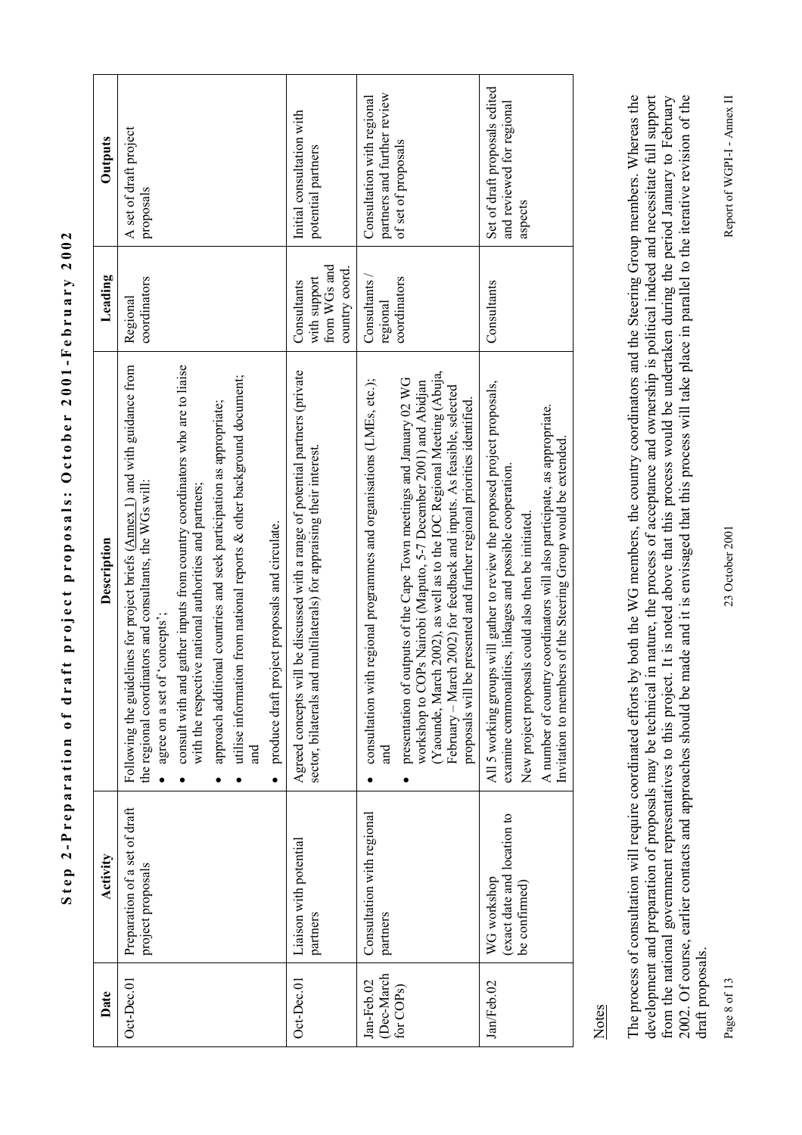| Date                     | Activity                                           | Description                                                                                                                                                                                                                                                                                                                                                          | Leading                        | Outputs                                                    |
|--------------------------|----------------------------------------------------|----------------------------------------------------------------------------------------------------------------------------------------------------------------------------------------------------------------------------------------------------------------------------------------------------------------------------------------------------------------------|--------------------------------|------------------------------------------------------------|
| $Oct\text{-}Dec.01$      | Preparation of a set of draft<br>project proposals | Following the guidelines for project briefs (Annex 1) and with guidance from<br>the regional coordinators and consultants, the WGs will:<br>agree on a set of 'concepts';                                                                                                                                                                                            | coordinators<br>Regional       | A set of draft project<br>proposals                        |
|                          |                                                    | consult with and gather inputs from country coordinators who are to liaise<br>with the respective national authorities and partners;                                                                                                                                                                                                                                 |                                |                                                            |
|                          |                                                    | approach additional countries and seek participation as appropriate;                                                                                                                                                                                                                                                                                                 |                                |                                                            |
|                          |                                                    | utilise information from national reports & other background document;<br>and                                                                                                                                                                                                                                                                                        |                                |                                                            |
|                          |                                                    | • produce draft project proposals and circulate.                                                                                                                                                                                                                                                                                                                     |                                |                                                            |
| Oct-Dec.01               | Liaison with potential<br>partners                 | Agreed concepts will be discussed with a range of potential partners (private<br>sector, bilaterals and multilaterals) for appraising their interest.                                                                                                                                                                                                                | with support<br>Consultants    | Initial consultation with<br>potential partners            |
|                          |                                                    |                                                                                                                                                                                                                                                                                                                                                                      | from WGs and<br>country coord. |                                                            |
| (Dec-March<br>Jan-Feb.02 | Consultation with regional<br>partners             | consultation with regional programmes and organisations (LMEs, etc.);<br>and                                                                                                                                                                                                                                                                                         | Consultants<br>regional        | partners and further review<br>Consultation with regional  |
| for COP <sub>S</sub> )   |                                                    | (Yaounde, March 2002), as well as to the IOC Regional Meeting (Abuja,<br>presentation of outputs of the Cape Town meetings and January 02 WG<br>workshop to COPs Nairobi (Maputo, 5-7 December 2001) and Abidjan<br>February - March 2002) for feedback and inputs. As feasible, selected<br>proposals will be presented and further regional priorities identified. | coordinators                   | of set of proposals                                        |
| Jan/Feb.02               | (exact date and location to<br>WG workshop         | All 5 working groups will gather to review the proposed project proposals,<br>examine commonalities, linkages and possible cooperation.                                                                                                                                                                                                                              | Consultants                    | Set of draft proposals edited<br>and reviewed for regional |
|                          | be confirmed)                                      | A number of country coordinators will also participate, as appropriate.<br>Invitation to members of the Steering Group would be extended.<br>New project proposals could also then be initiated.                                                                                                                                                                     |                                | aspects                                                    |

**Step 2-Preparation of draft project proposals: October 2001-February 2002**  Step 2-Preparation of draft project proposals: October 2001-February 2002

Notes

The process of consultation will require coordinated efforts by both the WG members, the country coordinators and the Steering Group members. Whereas the The process of consultation will require coordinated efforts by both the WG members, the country coordinators and the Steering Group members. Whereas the development and preparation of proposals may be technical in nature, the process of acceptance and ownership is political indeed and necessitate full support development and preparation of proposals may be technical in nature, the process of acceptance and ownership is political indeed and necessitate full support from the national government representatives to this project. It is noted above that this process would be undertaken during the period January to February<br>2002. Of course, earlier contacts and approaches should be made an from the national government representatives to this project. It is noted above that this process would be undertaken during the period January to February 2002. Of course, earlier contacts and approaches should be made and it is envisaged that this process will take place in parallel to the iterative revision of the draft proposals. draft proposals.

Page 8 of 13

23 October 2001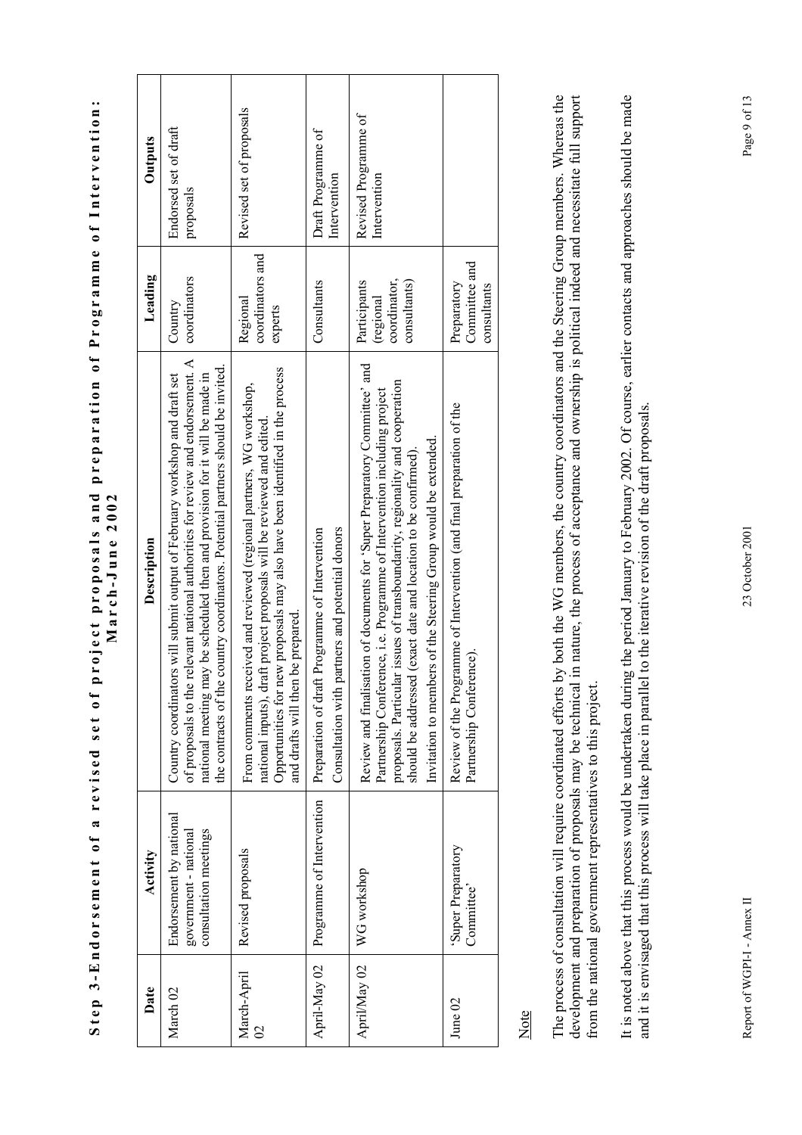| $\blacksquare$<br>0<br>E<br>ı<br>ı<br>amme<br>S<br>$\overline{5}$<br>D<br>$P_{I}$<br>$\frac{1}{2}$                          |                          |
|-----------------------------------------------------------------------------------------------------------------------------|--------------------------|
| $\bullet$                                                                                                                   |                          |
| $\blacksquare$<br>$\bullet$<br>ı<br>a <sub>r</sub> a<br>$\mathbf{C}$<br>4<br>$\frac{1}{2}$<br>$\overline{\phantom{a}}$<br>I |                          |
| ರ<br>$\blacksquare$                                                                                                         | ₹<br>ť<br>ì              |
| $\tilde{\phantom{a}}$                                                                                                       | ₹<br>t                   |
| Ç<br>$\overline{\phantom{a}}$<br>ĭ<br>Ç<br>ropos:<br>I<br>$\blacksquare$<br>Í                                               | $\bullet$<br>E<br>3<br>í |
| $\tilde{\epsilon}$<br>d<br>c<br>Î<br>٢<br>l                                                                                 | ì<br>ţ<br>t<br>ŗ         |
| ċ<br>֠                                                                                                                      |                          |
| $\bullet$<br>ź<br>ļ<br>h                                                                                                    |                          |
| ರ<br>¢<br>l<br>ì<br>d<br>î                                                                                                  |                          |
| ನ                                                                                                                           |                          |
| $\overline{\phantom{0}}$<br>ົ                                                                                               |                          |
| ā<br>٤<br>d<br>U<br>î<br>C<br>Ξ<br>É<br>ı                                                                                   |                          |
| $\sim 10^{-1}$<br>1<br>j                                                                                                    |                          |

| Date                                    | Activity                                                                  | Description                                                                                                                                                                                                                                                                                                                                                                | Leading                                                   | <b>Outputs</b>                       |
|-----------------------------------------|---------------------------------------------------------------------------|----------------------------------------------------------------------------------------------------------------------------------------------------------------------------------------------------------------------------------------------------------------------------------------------------------------------------------------------------------------------------|-----------------------------------------------------------|--------------------------------------|
| March 02                                | Endorsement by national<br>consultation meetings<br>government - national | of proposals to the relevant national authorities for review and endorsement. A<br>country coordinators. Potential partners should be invited.<br>rs will submit output of February workshop and draft set<br>ay be scheduled then and provision for it will be made in<br>Country coordinato<br>the contracts of the<br>national meeting m                                | coordinators<br>Country                                   | Endorsed set of draft<br>proposals   |
| March-April<br>$\overline{\mathcal{C}}$ | Revised proposals                                                         | Opportunities for new proposals may also have been identified in the process<br>From comments received and reviewed (regional partners, WG workshop,<br>national inputs), draft project proposals will be reviewed and edited.<br>and drafts will then be prepared.                                                                                                        | coordinators and<br>Regional<br>experts                   | Revised set of proposals             |
| April-May 02                            | Programme of Intervention                                                 | Consultation with partners and potential donors<br>Preparation of draft Programme of Intervention                                                                                                                                                                                                                                                                          | Consultants                                               | Draft Programme of<br>Intervention   |
| April/May 02                            | WG workshop                                                               | Review and finalisation of documents for 'Super Preparatory Committee' and<br>proposals. Particular issues of transboundarity, regionality and cooperation<br>Partnership Conference, i.e. Programme of Intervention including project<br>Invitation to members of the Steering Group would be extended.<br>should be addressed (exact date and location to be confirmed). | coordinator,<br>Participants<br>consultants)<br>(regional | Revised Programme of<br>Intervention |
| June 02                                 | 'Super Preparatory<br>Committee                                           | Review of the Programme of Intervention (and final preparation of the<br>Partnership Conference).                                                                                                                                                                                                                                                                          | Committee and<br>Preparatory<br>consultants               |                                      |

Note

The process of consultation will require coordinated efforts by both the WG members, the country coordinators and the Steering Group members. Whereas the The process of consultation will require coordinated efforts by both the WG members, the country coordinators and the Steering Group members. Whereas the development and preparation of proposals may be technical in nature, the process of acceptance and ownership is political indeed and necessitate full support<br>from the national government representatives to this project. development and preparation of proposals may be technical in nature, the process of acceptance and ownership is political indeed and necessitate full support from the national government representatives to this project.

It is noted above that this process would be undertaken during the period January to February 2002. Of course, earlier contacts and approaches should be made It is noted above that this process would be undertaken during the period January to February 2002. Of course, earlier contacts and approaches should be made and it is envisaged that this process will take place in parallel to the iterative revision of the draft proposals. and it is envisaged that this process will take place in parallel to the iterative revision of the draft proposals.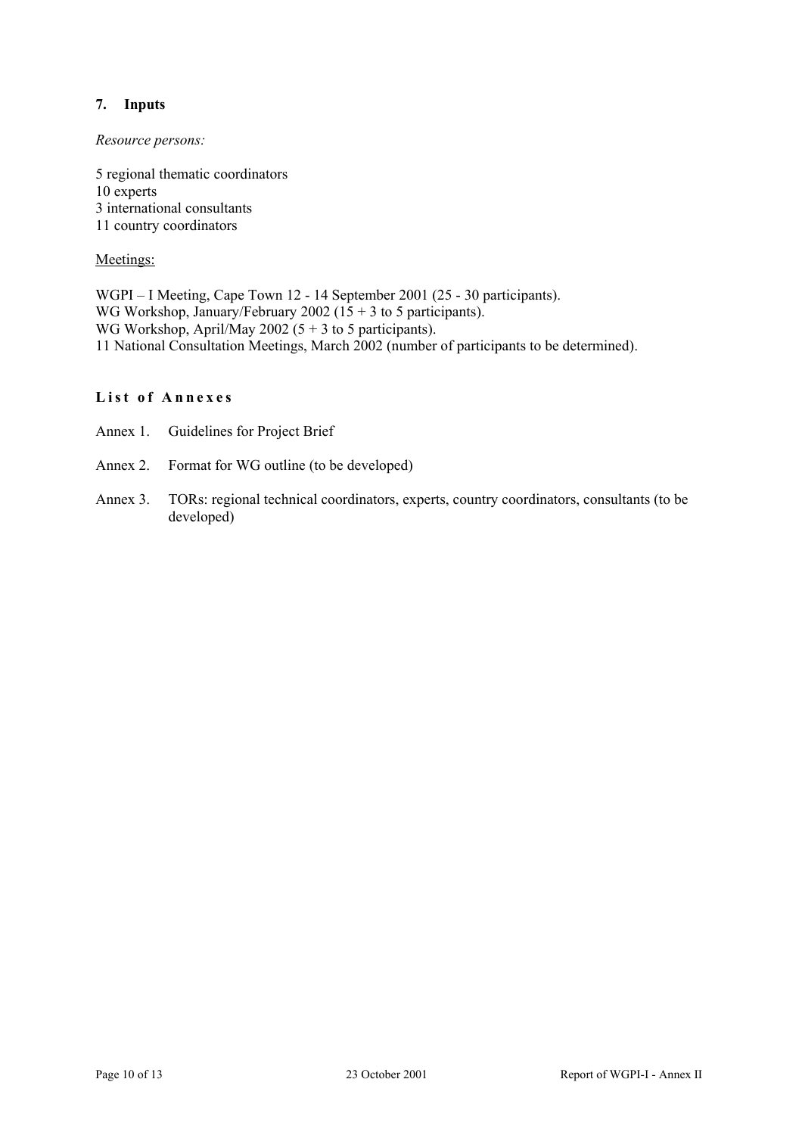# **7. Inputs**

# *Resource persons:*

5 regional thematic coordinators 10 experts 3 international consultants 11 country coordinators

# Meetings:

WGPI – I Meeting, Cape Town 12 - 14 September 2001 (25 - 30 participants). WG Workshop, January/February 2002 ( $15 + 3$  to 5 participants). WG Workshop, April/May 2002 (5 + 3 to 5 participants). 11 National Consultation Meetings, March 2002 (number of participants to be determined).

# **List of Annexes**

- Annex 1. Guidelines for Project Brief
- Annex 2. Format for WG outline (to be developed)
- Annex 3. TORs: regional technical coordinators, experts, country coordinators, consultants (to be developed)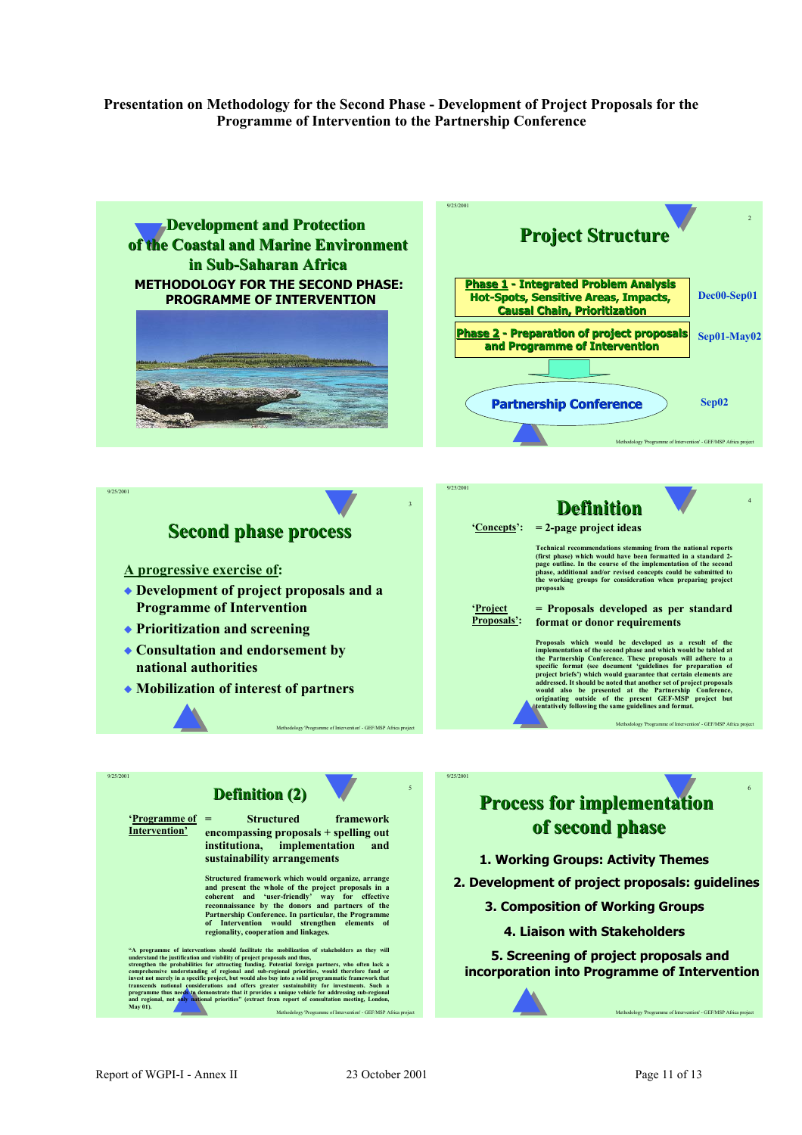#### **Presentation on Methodology for the Second Phase - Development of Project Proposals for the Programme of Intervention to the Partnership Conference**

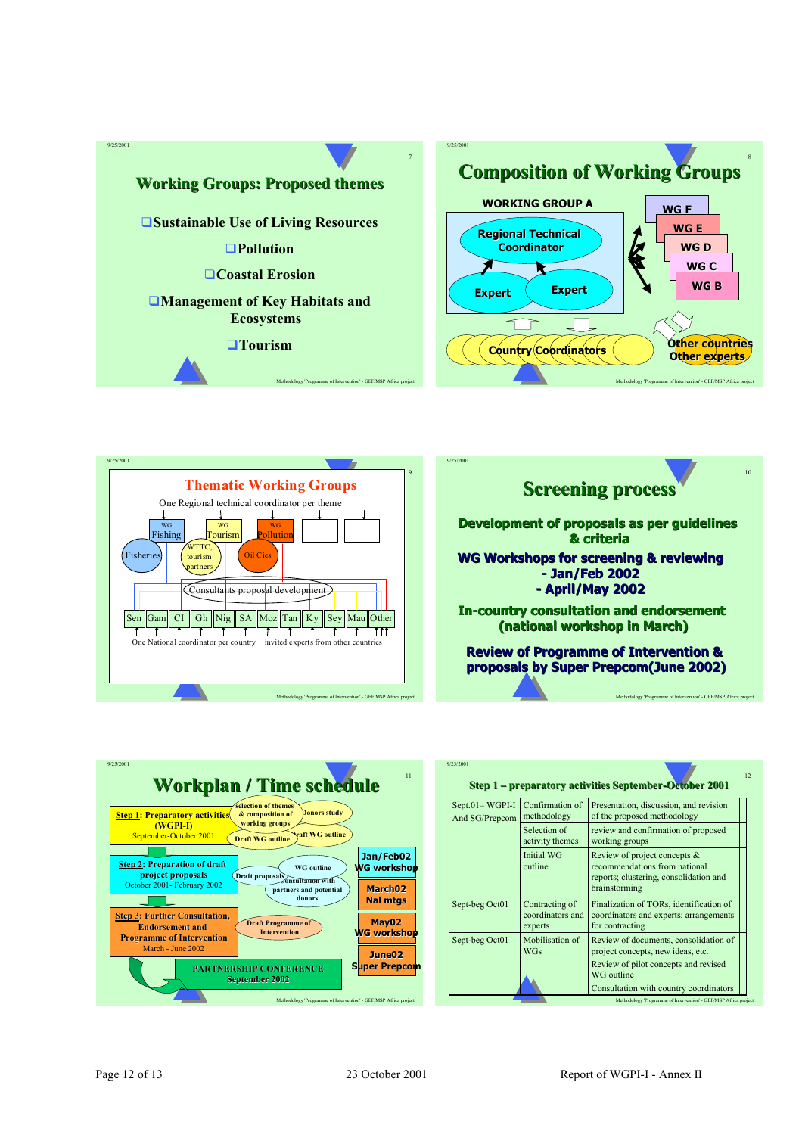

9/25/2001





Methodology 'Programme of Intervention' - GEF/MSP Africa project



| 9/25/2001                        |                                               | Step 1 – preparatory activities September-October 2001                                                                   |
|----------------------------------|-----------------------------------------------|--------------------------------------------------------------------------------------------------------------------------|
| Sept.01-WGPI-I<br>And SG/Prepcom | Confirmation of<br>methodology                | Presentation, discussion, and revision<br>of the proposed methodology                                                    |
|                                  | Selection of<br>activity themes               | review and confirmation of proposed<br>working groups                                                                    |
|                                  | Initial WG<br>outline                         | Review of project concepts &<br>recommendations from national<br>reports; clustering, consolidation and<br>brainstorming |
| Sept-beg Oct01                   | Contracting of<br>coordinators and<br>experts | Finalization of TORs, identification of<br>coordinators and experts; arrangements<br>for contracting                     |
| Sept-beg Oct01                   | Mobilisation of<br><b>WGs</b>                 | Review of documents, consolidation of<br>project concepts, new ideas, etc.                                               |
|                                  |                                               | Review of pilot concepts and revised<br>WG outline<br>Consultation with country coordinators                             |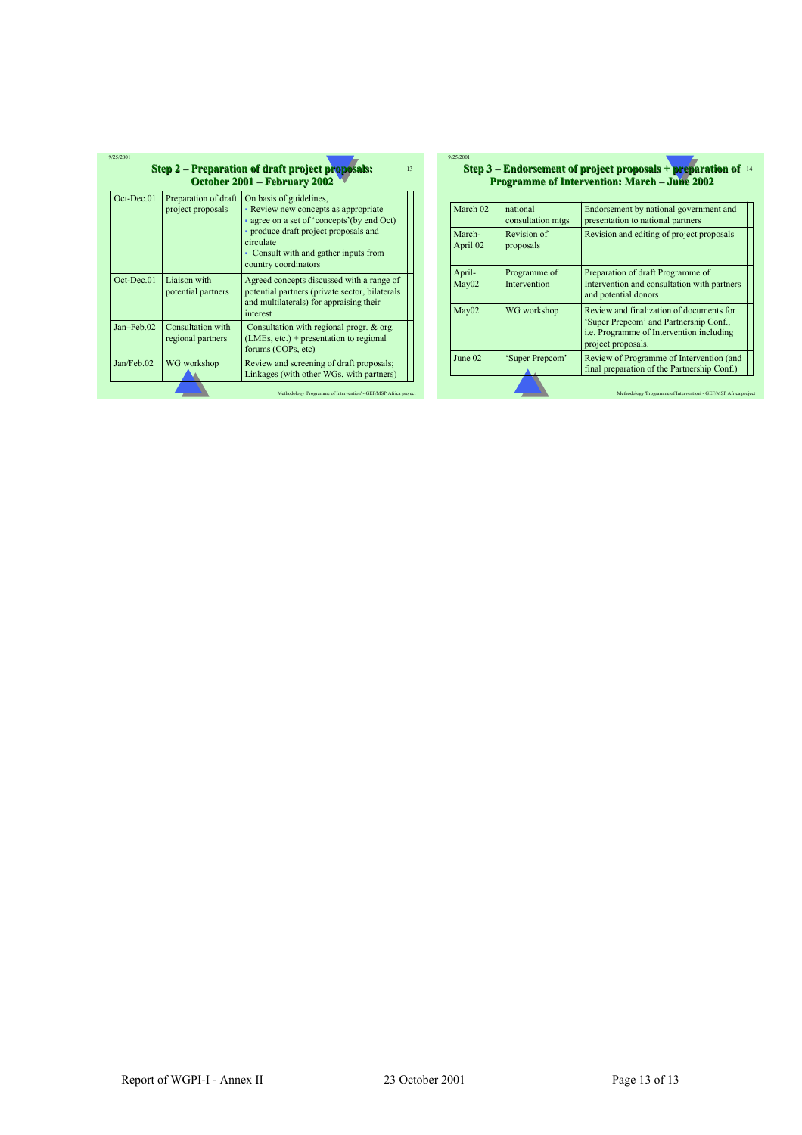| Oct-Dec.01   | Preparation of draft<br>project proposals | On basis of guidelines,<br>- Review new concepts as appropriate<br>- agree on a set of 'concepts' (by end Oct)<br>• produce draft project proposals and<br>circulate<br>- Consult with and gather inputs from<br>country coordinators |
|--------------|-------------------------------------------|---------------------------------------------------------------------------------------------------------------------------------------------------------------------------------------------------------------------------------------|
| Oct-Dec.01   | Liaison with<br>potential partners        | Agreed concepts discussed with a range of<br>potential partners (private sector, bilaterals<br>and multilaterals) for appraising their<br>interest                                                                                    |
| $Jan-Feb.02$ | Consultation with<br>regional partners    | Consultation with regional progr. & org.<br>$(LMEs, etc.) + presentation to regional$<br>forums (COPs, etc)                                                                                                                           |
| Jan/Feb.02   | WG workshop                               | Review and screening of draft proposals;<br>Linkages (with other WGs, with partners)                                                                                                                                                  |

#### **Step 3 – Endorsement of project proposals + preparation of** 14  $9/25/20$ **Programme of Intervention: March – June 2002**

| March 02           | national<br>consultation mtgs | Endorsement by national government and<br>presentation to national partners                                                                                 |
|--------------------|-------------------------------|-------------------------------------------------------------------------------------------------------------------------------------------------------------|
| March-<br>April 02 | Revision of<br>proposals      | Revision and editing of project proposals                                                                                                                   |
| April-<br>Mav02    | Programme of<br>Intervention  | Preparation of draft Programme of<br>Intervention and consultation with partners<br>and potential donors                                                    |
| Mav02              | WG workshop                   | Review and finalization of documents for<br>'Super Prepcom' and Partnership Conf.,<br><i>i.e.</i> Programme of Intervention including<br>project proposals. |
| June 02            | Super Prepcom'                | Review of Programme of Intervention (and<br>final preparation of the Partnership Conf.)                                                                     |
|                    |                               | Methodology 'Programme of Intervention' - GEF/MSP Africa project                                                                                            |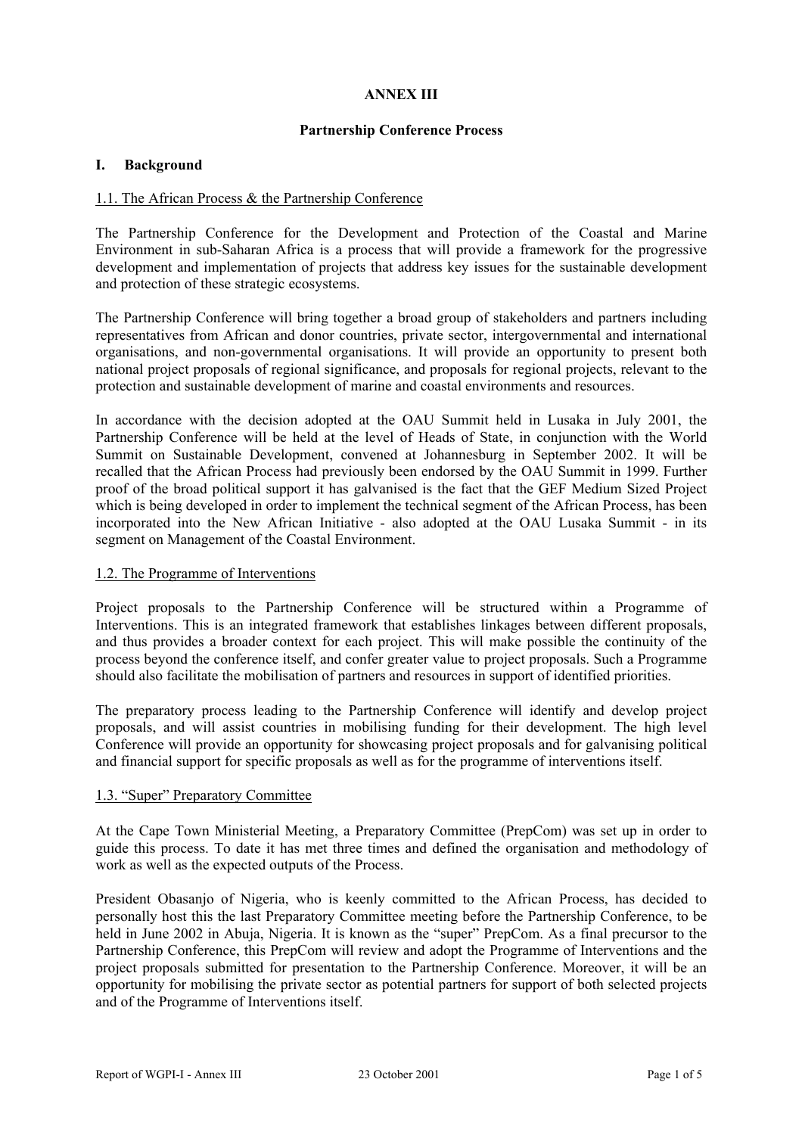#### **ANNEX III**

#### **Partnership Conference Process**

#### **I. Background**

#### 1.1. The African Process & the Partnership Conference

The Partnership Conference for the Development and Protection of the Coastal and Marine Environment in sub-Saharan Africa is a process that will provide a framework for the progressive development and implementation of projects that address key issues for the sustainable development and protection of these strategic ecosystems.

The Partnership Conference will bring together a broad group of stakeholders and partners including representatives from African and donor countries, private sector, intergovernmental and international organisations, and non-governmental organisations. It will provide an opportunity to present both national project proposals of regional significance, and proposals for regional projects, relevant to the protection and sustainable development of marine and coastal environments and resources.

In accordance with the decision adopted at the OAU Summit held in Lusaka in July 2001, the Partnership Conference will be held at the level of Heads of State, in conjunction with the World Summit on Sustainable Development, convened at Johannesburg in September 2002. It will be recalled that the African Process had previously been endorsed by the OAU Summit in 1999. Further proof of the broad political support it has galvanised is the fact that the GEF Medium Sized Project which is being developed in order to implement the technical segment of the African Process, has been incorporated into the New African Initiative - also adopted at the OAU Lusaka Summit - in its segment on Management of the Coastal Environment.

#### 1.2. The Programme of Interventions

Project proposals to the Partnership Conference will be structured within a Programme of Interventions. This is an integrated framework that establishes linkages between different proposals, and thus provides a broader context for each project. This will make possible the continuity of the process beyond the conference itself, and confer greater value to project proposals. Such a Programme should also facilitate the mobilisation of partners and resources in support of identified priorities.

The preparatory process leading to the Partnership Conference will identify and develop project proposals, and will assist countries in mobilising funding for their development. The high level Conference will provide an opportunity for showcasing project proposals and for galvanising political and financial support for specific proposals as well as for the programme of interventions itself.

#### 1.3. "Super" Preparatory Committee

At the Cape Town Ministerial Meeting, a Preparatory Committee (PrepCom) was set up in order to guide this process. To date it has met three times and defined the organisation and methodology of work as well as the expected outputs of the Process.

President Obasanjo of Nigeria, who is keenly committed to the African Process, has decided to personally host this the last Preparatory Committee meeting before the Partnership Conference, to be held in June 2002 in Abuja, Nigeria. It is known as the "super" PrepCom. As a final precursor to the Partnership Conference, this PrepCom will review and adopt the Programme of Interventions and the project proposals submitted for presentation to the Partnership Conference. Moreover, it will be an opportunity for mobilising the private sector as potential partners for support of both selected projects and of the Programme of Interventions itself.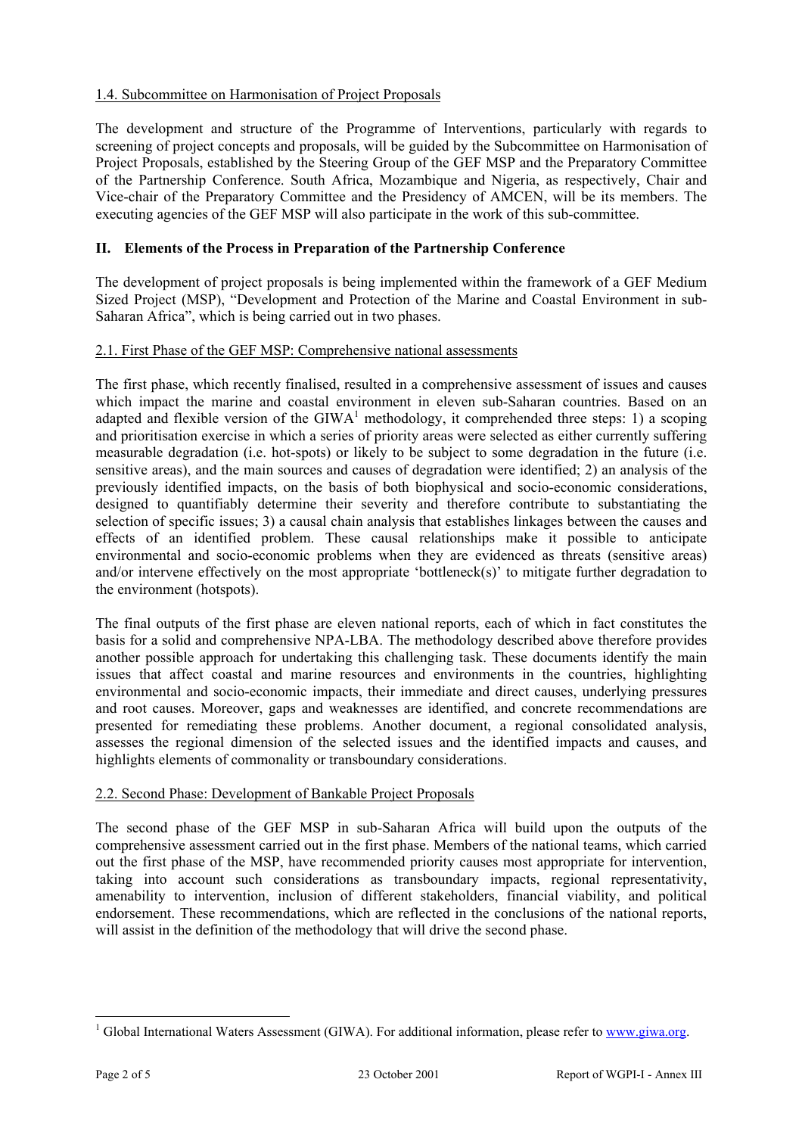# 1.4. Subcommittee on Harmonisation of Project Proposals

The development and structure of the Programme of Interventions, particularly with regards to screening of project concepts and proposals, will be guided by the Subcommittee on Harmonisation of Project Proposals, established by the Steering Group of the GEF MSP and the Preparatory Committee of the Partnership Conference. South Africa, Mozambique and Nigeria, as respectively, Chair and Vice-chair of the Preparatory Committee and the Presidency of AMCEN, will be its members. The executing agencies of the GEF MSP will also participate in the work of this sub-committee.

# **II. Elements of the Process in Preparation of the Partnership Conference**

The development of project proposals is being implemented within the framework of a GEF Medium Sized Project (MSP), "Development and Protection of the Marine and Coastal Environment in sub-Saharan Africa", which is being carried out in two phases.

# 2.1. First Phase of the GEF MSP: Comprehensive national assessments

The first phase, which recently finalised, resulted in a comprehensive assessment of issues and causes which impact the marine and coastal environment in eleven sub-Saharan countries. Based on an adapted and flexible version of the  $\text{GIWA}^1$  methodology, it comprehended three steps: 1) a scoping and prioritisation exercise in which a series of priority areas were selected as either currently suffering measurable degradation (i.e. hot-spots) or likely to be subject to some degradation in the future (i.e. sensitive areas), and the main sources and causes of degradation were identified; 2) an analysis of the previously identified impacts, on the basis of both biophysical and socio-economic considerations, designed to quantifiably determine their severity and therefore contribute to substantiating the selection of specific issues; 3) a causal chain analysis that establishes linkages between the causes and effects of an identified problem. These causal relationships make it possible to anticipate environmental and socio-economic problems when they are evidenced as threats (sensitive areas) and/or intervene effectively on the most appropriate 'bottleneck(s)' to mitigate further degradation to the environment (hotspots).

The final outputs of the first phase are eleven national reports, each of which in fact constitutes the basis for a solid and comprehensive NPA-LBA. The methodology described above therefore provides another possible approach for undertaking this challenging task. These documents identify the main issues that affect coastal and marine resources and environments in the countries, highlighting environmental and socio-economic impacts, their immediate and direct causes, underlying pressures and root causes. Moreover, gaps and weaknesses are identified, and concrete recommendations are presented for remediating these problems. Another document, a regional consolidated analysis, assesses the regional dimension of the selected issues and the identified impacts and causes, and highlights elements of commonality or transboundary considerations.

#### 2.2. Second Phase: Development of Bankable Project Proposals

The second phase of the GEF MSP in sub-Saharan Africa will build upon the outputs of the comprehensive assessment carried out in the first phase. Members of the national teams, which carried out the first phase of the MSP, have recommended priority causes most appropriate for intervention, taking into account such considerations as transboundary impacts, regional representativity, amenability to intervention, inclusion of different stakeholders, financial viability, and political endorsement. These recommendations, which are reflected in the conclusions of the national reports, will assist in the definition of the methodology that will drive the second phase.

<sup>&</sup>lt;sup>1</sup> Global International Waters Assessment (GIWA). For additional information, please refer to www.giwa.org.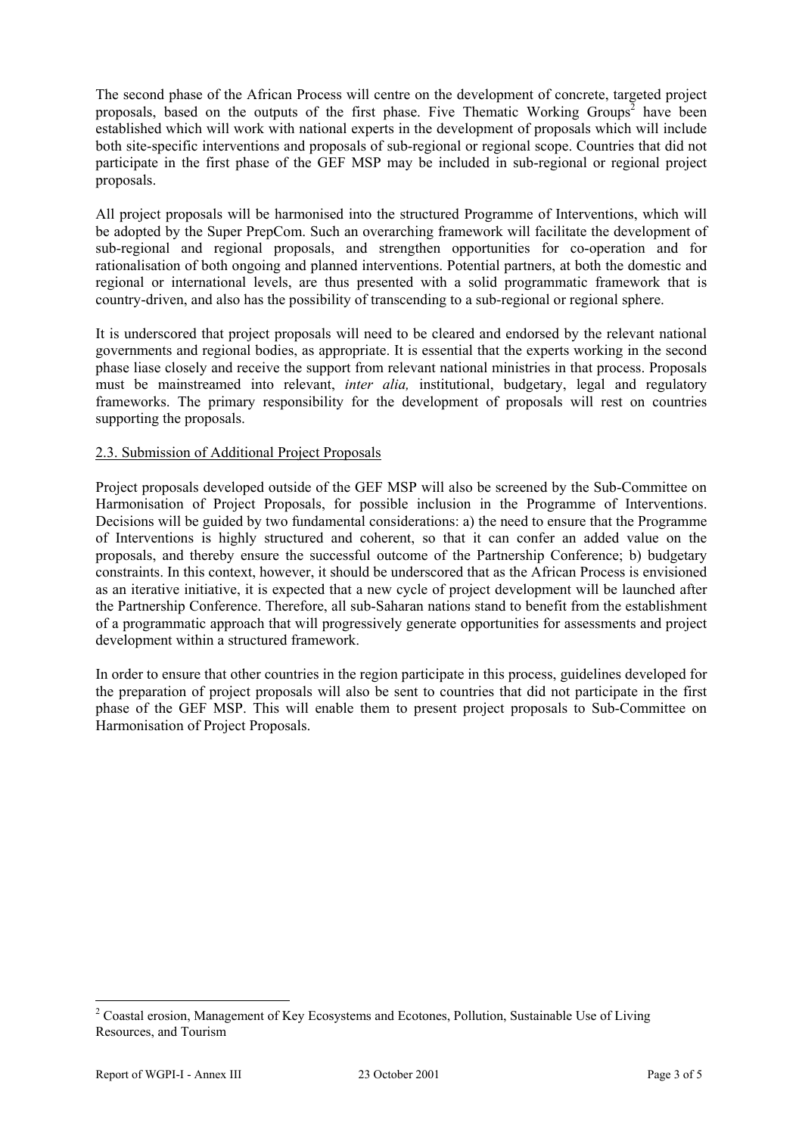The second phase of the African Process will centre on the development of concrete, targeted project proposals, based on the outputs of the first phase. Five Thematic Working Groups<sup>2</sup> have been established which will work with national experts in the development of proposals which will include both site-specific interventions and proposals of sub-regional or regional scope. Countries that did not participate in the first phase of the GEF MSP may be included in sub-regional or regional project proposals.

All project proposals will be harmonised into the structured Programme of Interventions, which will be adopted by the Super PrepCom. Such an overarching framework will facilitate the development of sub-regional and regional proposals, and strengthen opportunities for co-operation and for rationalisation of both ongoing and planned interventions. Potential partners, at both the domestic and regional or international levels, are thus presented with a solid programmatic framework that is country-driven, and also has the possibility of transcending to a sub-regional or regional sphere.

It is underscored that project proposals will need to be cleared and endorsed by the relevant national governments and regional bodies, as appropriate. It is essential that the experts working in the second phase liase closely and receive the support from relevant national ministries in that process. Proposals must be mainstreamed into relevant, *inter alia,* institutional, budgetary, legal and regulatory frameworks. The primary responsibility for the development of proposals will rest on countries supporting the proposals.

# 2.3. Submission of Additional Project Proposals

Project proposals developed outside of the GEF MSP will also be screened by the Sub-Committee on Harmonisation of Project Proposals, for possible inclusion in the Programme of Interventions. Decisions will be guided by two fundamental considerations: a) the need to ensure that the Programme of Interventions is highly structured and coherent, so that it can confer an added value on the proposals, and thereby ensure the successful outcome of the Partnership Conference; b) budgetary constraints. In this context, however, it should be underscored that as the African Process is envisioned as an iterative initiative, it is expected that a new cycle of project development will be launched after the Partnership Conference. Therefore, all sub-Saharan nations stand to benefit from the establishment of a programmatic approach that will progressively generate opportunities for assessments and project development within a structured framework.

In order to ensure that other countries in the region participate in this process, guidelines developed for the preparation of project proposals will also be sent to countries that did not participate in the first phase of the GEF MSP. This will enable them to present project proposals to Sub-Committee on Harmonisation of Project Proposals.

<sup>&</sup>lt;sup>2</sup> Coastal erosion, Management of Key Ecosystems and Ecotones, Pollution, Sustainable Use of Living Resources, and Tourism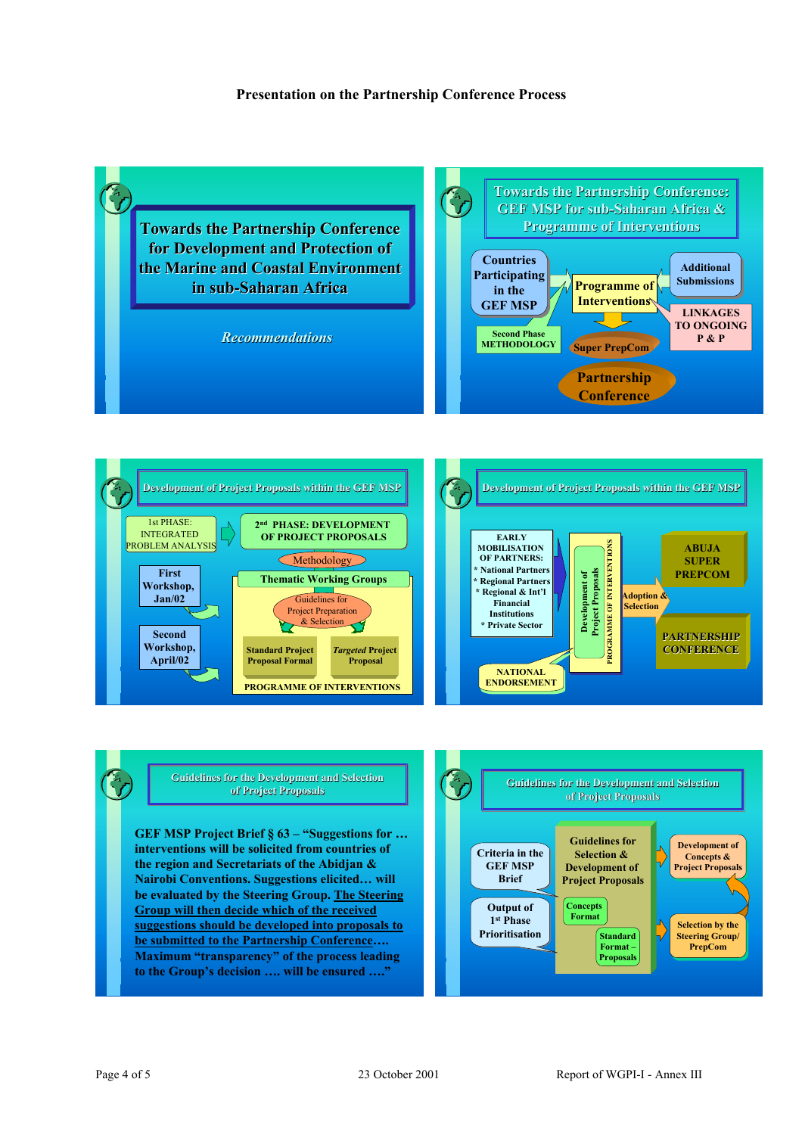#### **Presentation on the Partnership Conference Process**









**GEF MSP Project Brief § 63 – "Suggestions for … interventions will be solicited from countries of the region and Secretariats of the Abidjan & Nairobi Conventions. Suggestions elicited… will be evaluated by the Steering Group. The Steering Group will then decide which of the received suggestions should be developed into proposals to be submitted to the Partnership Conference…. Maximum "transparency" of the process leading to the Group's decision …. will be ensured …."**

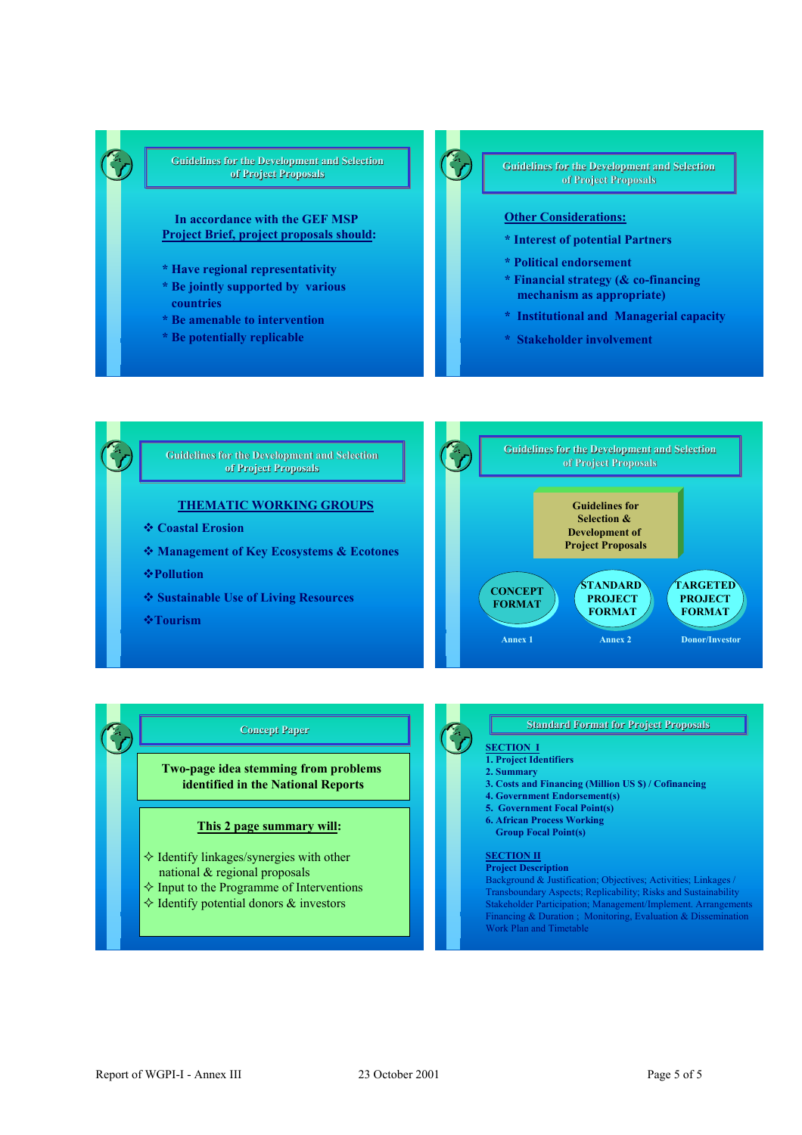#### **Guidelines for the Development and Selection of Project Proposals of Project Proposals**

#### **In accordance with the GEF MSP Project Brief, project proposals should:**

- **\* Have regional representativity**
- **\* Be jointly supported by various countries**
- **\* Be amenable to intervention**
- **\* Be potentially replicable**

**For the Development and Selection**<br> **of Project Proposals of Project Proposals**

#### **Other Considerations:**

- **\* Interest of potential Partners**
- **\* Political endorsement**
- **\* Financial strategy (& co-financing mechanism as appropriate)**
- **\* Institutional and Managerial capacity**
- **\* Stakeholder involvement**



#### **Concept Paper Paper Concept Paper Concept Paper** Concept Paper Strategy of the Section is the Section in the Section is the Section in the Section is the Section in the Section in the Section in the Section in the Section in the Section in the Section in

**Two-page idea stemming from problems identified in the National Reports**

#### **This 2 page summary will:**

- $\Diamond$  Identify linkages/synergies with other national & regional proposals
- $\Diamond$  Input to the Programme of Interventions
- $\Diamond$  Identify potential donors  $\&$  investors

# **Standard Format for Project Proposals**<br>**SECTION I**

- **1. Project Identifiers**
- **2. Summary**
- **3. Costs and Financing (Million US \$) / Cofinancing**
- **4. Government Endorsement(s)**
- **5. Government Focal Point(s)**
- **6. African Process Working**
- **Group Focal Point(s)**

#### **SECTION II**

**Project Description** Background & Justification; Objectives; Activities; Linkages / Transboundary Aspects; Replicability; Risks and Sustainability Stakeholder Participation; Management/Implement. Arrangements Financing & Duration ; Monitoring, Evaluation & Dissemination Work Plan and Timetable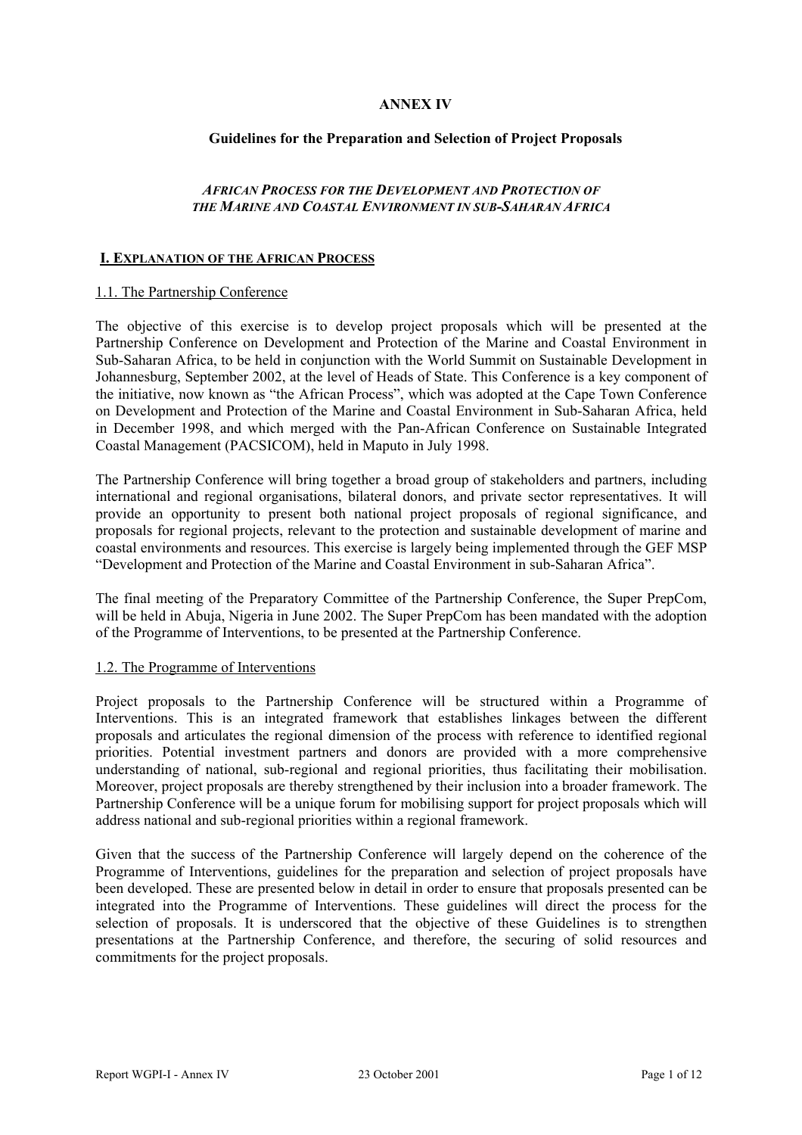# **ANNEX IV**

#### **Guidelines for the Preparation and Selection of Project Proposals**

#### *AFRICAN PROCESS FOR THE DEVELOPMENT AND PROTECTION OF THE MARINE AND COASTAL ENVIRONMENT IN SUB-SAHARAN AFRICA*

#### **I. EXPLANATION OF THE AFRICAN PROCESS**

#### 1.1. The Partnership Conference

The objective of this exercise is to develop project proposals which will be presented at the Partnership Conference on Development and Protection of the Marine and Coastal Environment in Sub-Saharan Africa, to be held in conjunction with the World Summit on Sustainable Development in Johannesburg, September 2002, at the level of Heads of State. This Conference is a key component of the initiative, now known as "the African Process", which was adopted at the Cape Town Conference on Development and Protection of the Marine and Coastal Environment in Sub-Saharan Africa, held in December 1998, and which merged with the Pan-African Conference on Sustainable Integrated Coastal Management (PACSICOM), held in Maputo in July 1998.

The Partnership Conference will bring together a broad group of stakeholders and partners, including international and regional organisations, bilateral donors, and private sector representatives. It will provide an opportunity to present both national project proposals of regional significance, and proposals for regional projects, relevant to the protection and sustainable development of marine and coastal environments and resources. This exercise is largely being implemented through the GEF MSP "Development and Protection of the Marine and Coastal Environment in sub-Saharan Africa".

The final meeting of the Preparatory Committee of the Partnership Conference, the Super PrepCom, will be held in Abuja, Nigeria in June 2002. The Super PrepCom has been mandated with the adoption of the Programme of Interventions, to be presented at the Partnership Conference.

#### 1.2. The Programme of Interventions

Project proposals to the Partnership Conference will be structured within a Programme of Interventions. This is an integrated framework that establishes linkages between the different proposals and articulates the regional dimension of the process with reference to identified regional priorities. Potential investment partners and donors are provided with a more comprehensive understanding of national, sub-regional and regional priorities, thus facilitating their mobilisation. Moreover, project proposals are thereby strengthened by their inclusion into a broader framework. The Partnership Conference will be a unique forum for mobilising support for project proposals which will address national and sub-regional priorities within a regional framework.

Given that the success of the Partnership Conference will largely depend on the coherence of the Programme of Interventions, guidelines for the preparation and selection of project proposals have been developed. These are presented below in detail in order to ensure that proposals presented can be integrated into the Programme of Interventions. These guidelines will direct the process for the selection of proposals. It is underscored that the objective of these Guidelines is to strengthen presentations at the Partnership Conference, and therefore, the securing of solid resources and commitments for the project proposals.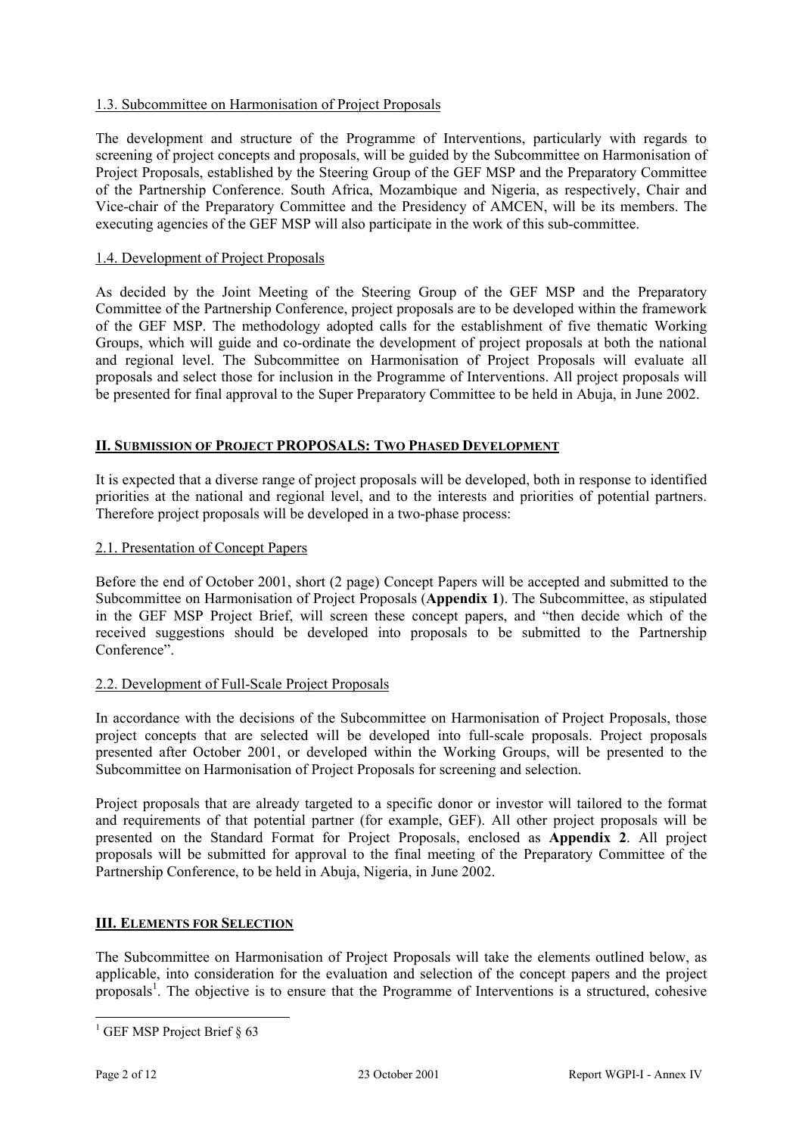# 1.3. Subcommittee on Harmonisation of Project Proposals

The development and structure of the Programme of Interventions, particularly with regards to screening of project concepts and proposals, will be guided by the Subcommittee on Harmonisation of Project Proposals, established by the Steering Group of the GEF MSP and the Preparatory Committee of the Partnership Conference. South Africa, Mozambique and Nigeria, as respectively, Chair and Vice-chair of the Preparatory Committee and the Presidency of AMCEN, will be its members. The executing agencies of the GEF MSP will also participate in the work of this sub-committee.

# 1.4. Development of Project Proposals

As decided by the Joint Meeting of the Steering Group of the GEF MSP and the Preparatory Committee of the Partnership Conference, project proposals are to be developed within the framework of the GEF MSP. The methodology adopted calls for the establishment of five thematic Working Groups, which will guide and co-ordinate the development of project proposals at both the national and regional level. The Subcommittee on Harmonisation of Project Proposals will evaluate all proposals and select those for inclusion in the Programme of Interventions. All project proposals will be presented for final approval to the Super Preparatory Committee to be held in Abuja, in June 2002.

# **II. SUBMISSION OF PROJECT PROPOSALS: TWO PHASED DEVELOPMENT**

It is expected that a diverse range of project proposals will be developed, both in response to identified priorities at the national and regional level, and to the interests and priorities of potential partners. Therefore project proposals will be developed in a two-phase process:

# 2.1. Presentation of Concept Papers

Before the end of October 2001, short (2 page) Concept Papers will be accepted and submitted to the Subcommittee on Harmonisation of Project Proposals (**Appendix 1**). The Subcommittee, as stipulated in the GEF MSP Project Brief, will screen these concept papers, and "then decide which of the received suggestions should be developed into proposals to be submitted to the Partnership Conference".

#### 2.2. Development of Full-Scale Project Proposals

In accordance with the decisions of the Subcommittee on Harmonisation of Project Proposals, those project concepts that are selected will be developed into full-scale proposals. Project proposals presented after October 2001, or developed within the Working Groups, will be presented to the Subcommittee on Harmonisation of Project Proposals for screening and selection.

Project proposals that are already targeted to a specific donor or investor will tailored to the format and requirements of that potential partner (for example, GEF). All other project proposals will be presented on the Standard Format for Project Proposals, enclosed as **Appendix 2**. All project proposals will be submitted for approval to the final meeting of the Preparatory Committee of the Partnership Conference, to be held in Abuja, Nigeria, in June 2002.

#### **III. ELEMENTS FOR SELECTION**

The Subcommittee on Harmonisation of Project Proposals will take the elements outlined below, as applicable, into consideration for the evaluation and selection of the concept papers and the project proposals<sup>1</sup>. The objective is to ensure that the Programme of Interventions is a structured, cohesive

<sup>&</sup>lt;sup>1</sup> GEF MSP Project Brief § 63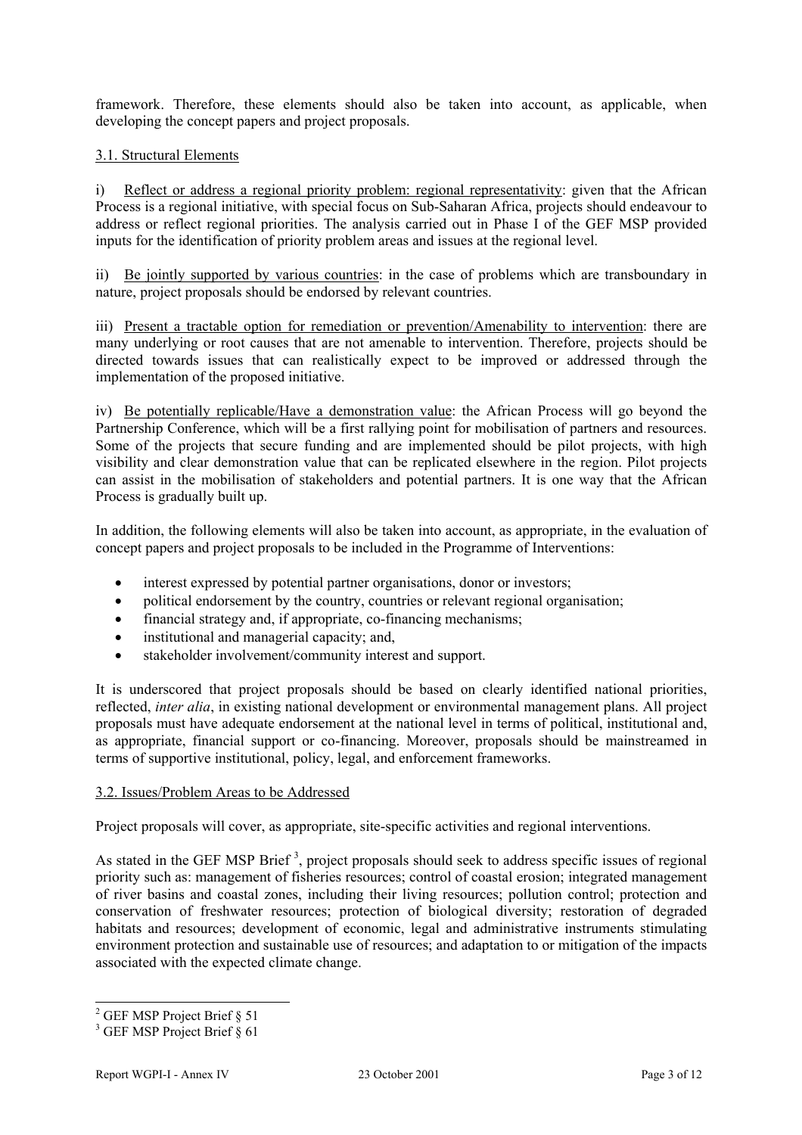framework. Therefore, these elements should also be taken into account, as applicable, when developing the concept papers and project proposals.

# 3.1. Structural Elements

i) Reflect or address a regional priority problem: regional representativity: given that the African Process is a regional initiative, with special focus on Sub-Saharan Africa, projects should endeavour to address or reflect regional priorities. The analysis carried out in Phase I of the GEF MSP provided inputs for the identification of priority problem areas and issues at the regional level.

ii) Be jointly supported by various countries: in the case of problems which are transboundary in nature, project proposals should be endorsed by relevant countries.

iii) Present a tractable option for remediation or prevention/Amenability to intervention: there are many underlying or root causes that are not amenable to intervention. Therefore, projects should be directed towards issues that can realistically expect to be improved or addressed through the implementation of the proposed initiative.

iv) Be potentially replicable/Have a demonstration value: the African Process will go beyond the Partnership Conference, which will be a first rallying point for mobilisation of partners and resources. Some of the projects that secure funding and are implemented should be pilot projects, with high visibility and clear demonstration value that can be replicated elsewhere in the region. Pilot projects can assist in the mobilisation of stakeholders and potential partners. It is one way that the African Process is gradually built up.

In addition, the following elements will also be taken into account, as appropriate, in the evaluation of concept papers and project proposals to be included in the Programme of Interventions:

- interest expressed by potential partner organisations, donor or investors;
- political endorsement by the country, countries or relevant regional organisation;
- financial strategy and, if appropriate, co-financing mechanisms;
- institutional and managerial capacity; and,
- stakeholder involvement/community interest and support.

It is underscored that project proposals should be based on clearly identified national priorities, reflected, *inter alia*, in existing national development or environmental management plans. All project proposals must have adequate endorsement at the national level in terms of political, institutional and, as appropriate, financial support or co-financing. Moreover, proposals should be mainstreamed in terms of supportive institutional, policy, legal, and enforcement frameworks.

#### 3.2. Issues/Problem Areas to be Addressed

Project proposals will cover, as appropriate, site-specific activities and regional interventions.

As stated in the GEF MSP Brief<sup>3</sup>, project proposals should seek to address specific issues of regional priority such as: management of fisheries resources; control of coastal erosion; integrated management of river basins and coastal zones, including their living resources; pollution control; protection and conservation of freshwater resources; protection of biological diversity; restoration of degraded habitats and resources; development of economic, legal and administrative instruments stimulating environment protection and sustainable use of resources; and adaptation to or mitigation of the impacts associated with the expected climate change.

<sup>&</sup>lt;sup>2</sup> GEF MSP Project Brief § 51

<sup>3</sup> GEF MSP Project Brief § 61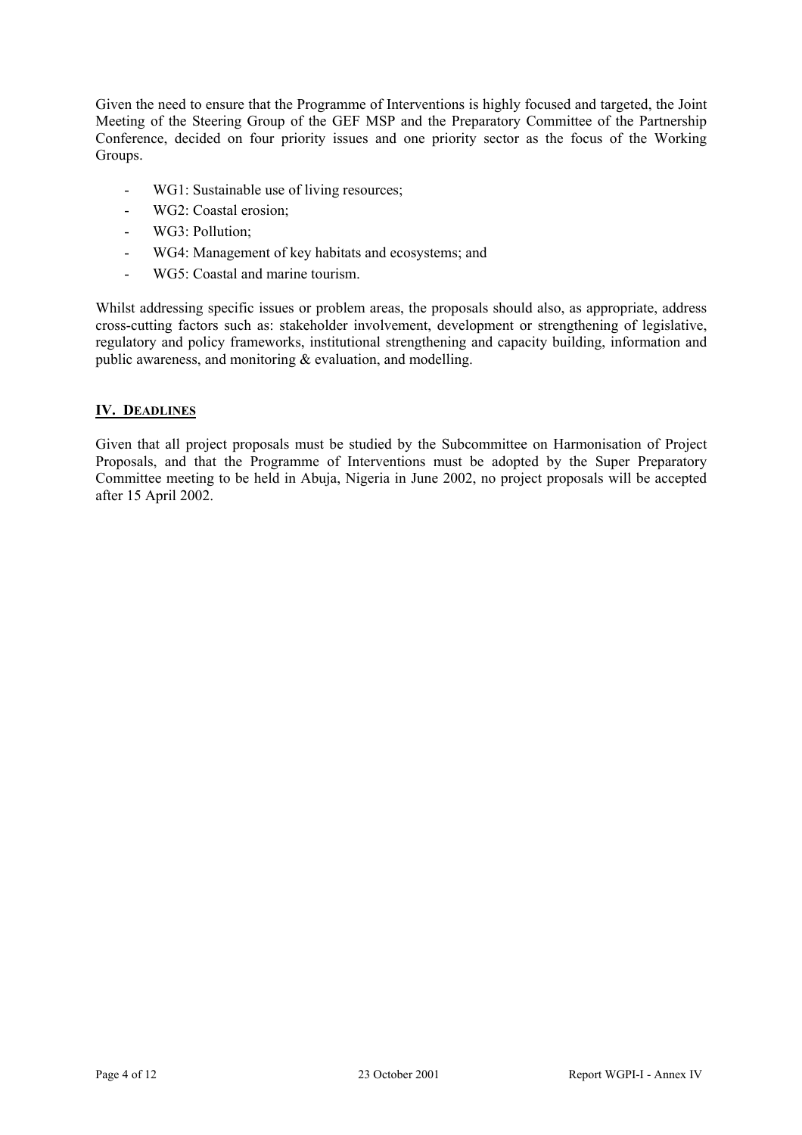Given the need to ensure that the Programme of Interventions is highly focused and targeted, the Joint Meeting of the Steering Group of the GEF MSP and the Preparatory Committee of the Partnership Conference, decided on four priority issues and one priority sector as the focus of the Working Groups.

- WG1: Sustainable use of living resources;
- WG2: Coastal erosion;
- WG3: Pollution;
- WG4: Management of key habitats and ecosystems; and
- WG5: Coastal and marine tourism.

Whilst addressing specific issues or problem areas, the proposals should also, as appropriate, address cross-cutting factors such as: stakeholder involvement, development or strengthening of legislative, regulatory and policy frameworks, institutional strengthening and capacity building, information and public awareness, and monitoring & evaluation, and modelling.

# **IV. DEADLINES**

Given that all project proposals must be studied by the Subcommittee on Harmonisation of Project Proposals, and that the Programme of Interventions must be adopted by the Super Preparatory Committee meeting to be held in Abuja, Nigeria in June 2002, no project proposals will be accepted after 15 April 2002.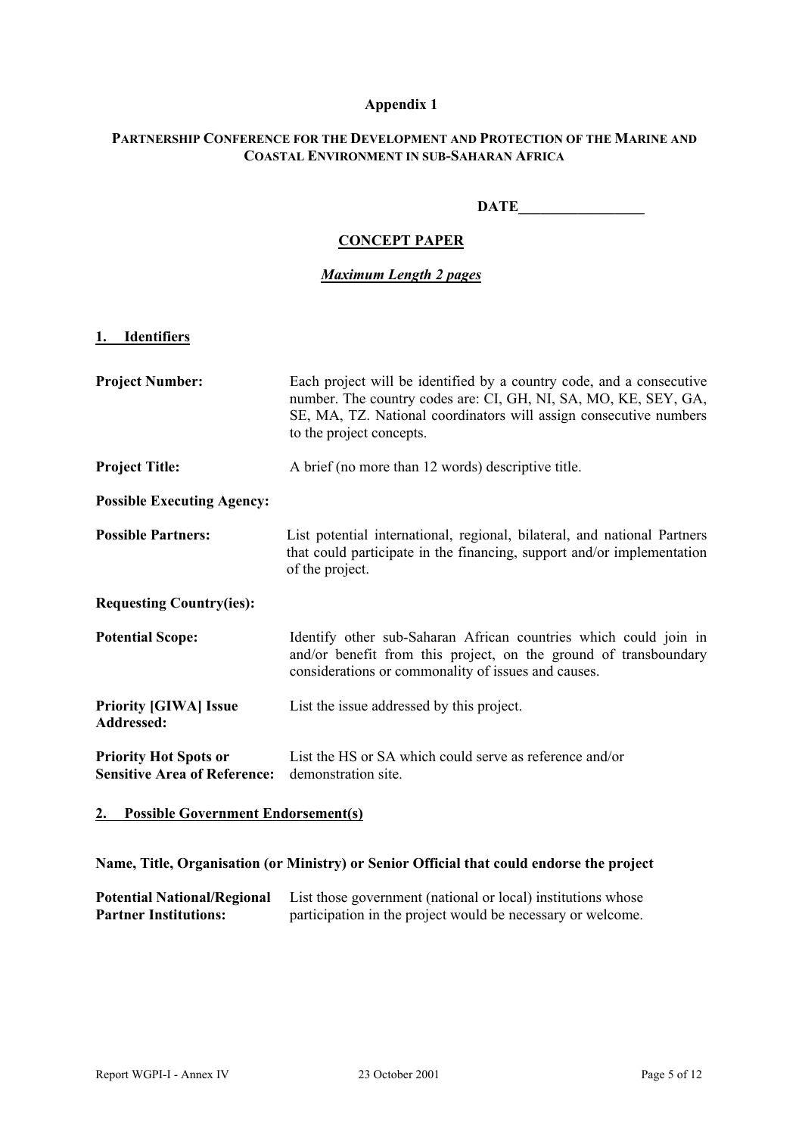# **Appendix 1**

# **PARTNERSHIP CONFERENCE FOR THE DEVELOPMENT AND PROTECTION OF THE MARINE AND COASTAL ENVIRONMENT IN SUB-SAHARAN AFRICA**

#### DATE

# **CONCEPT PAPER**

# *Maximum Length 2 pages*

#### **1. Identifiers**

| <b>Project Number:</b>                                              | Each project will be identified by a country code, and a consecutive<br>number. The country codes are: CI, GH, NI, SA, MO, KE, SEY, GA,<br>SE, MA, TZ. National coordinators will assign consecutive numbers<br>to the project concepts. |
|---------------------------------------------------------------------|------------------------------------------------------------------------------------------------------------------------------------------------------------------------------------------------------------------------------------------|
| <b>Project Title:</b>                                               | A brief (no more than 12 words) descriptive title.                                                                                                                                                                                       |
| <b>Possible Executing Agency:</b>                                   |                                                                                                                                                                                                                                          |
| <b>Possible Partners:</b>                                           | List potential international, regional, bilateral, and national Partners<br>that could participate in the financing, support and/or implementation<br>of the project.                                                                    |
| <b>Requesting Country(ies):</b>                                     |                                                                                                                                                                                                                                          |
| <b>Potential Scope:</b>                                             | Identify other sub-Saharan African countries which could join in<br>and/or benefit from this project, on the ground of transboundary<br>considerations or commonality of issues and causes.                                              |
| <b>Priority [GIWA] Issue</b><br>Addressed:                          | List the issue addressed by this project.                                                                                                                                                                                                |
| <b>Priority Hot Spots or</b><br><b>Sensitive Area of Reference:</b> | List the HS or SA which could serve as reference and/or<br>demonstration site.                                                                                                                                                           |

# **2. Possible Government Endorsement(s)**

# **Name, Title, Organisation (or Ministry) or Senior Official that could endorse the project**

| <b>Potential National/Regional</b> | List those government (national or local) institutions whose |
|------------------------------------|--------------------------------------------------------------|
| <b>Partner Institutions:</b>       | participation in the project would be necessary or welcome.  |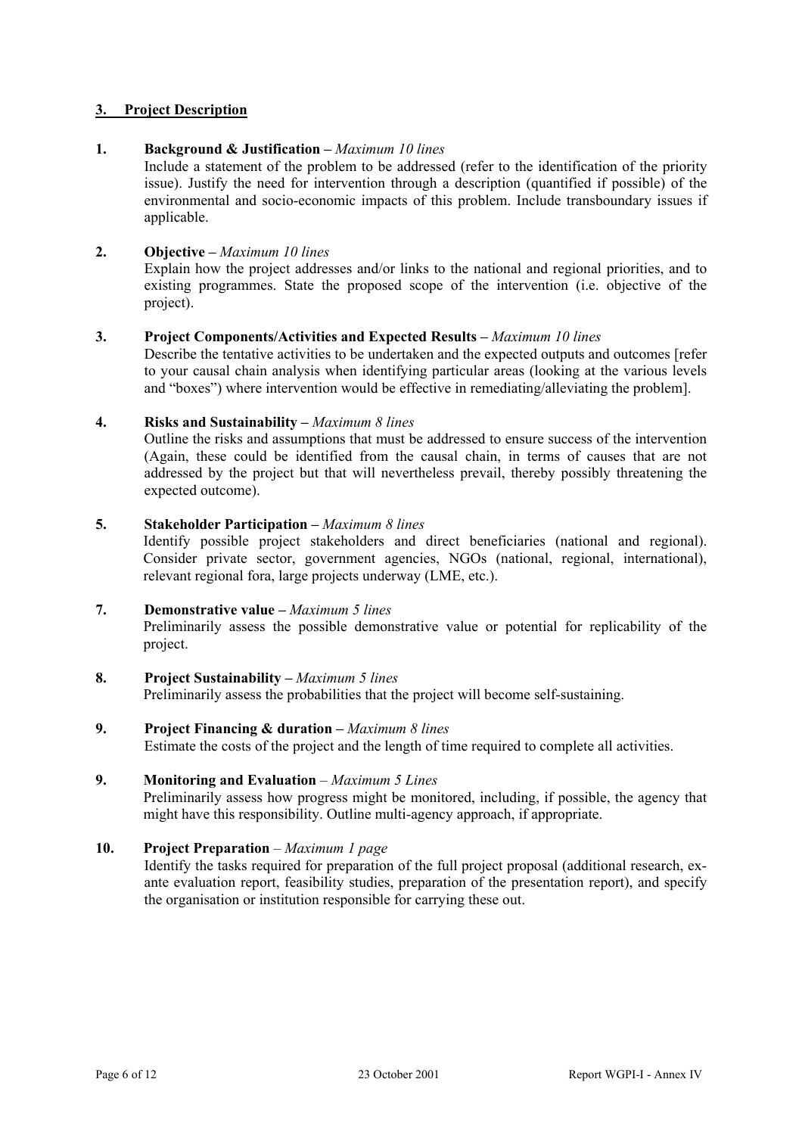# **3. Project Description**

# **1. Background & Justification –** *Maximum 10 lines*

Include a statement of the problem to be addressed (refer to the identification of the priority issue). Justify the need for intervention through a description (quantified if possible) of the environmental and socio-economic impacts of this problem. Include transboundary issues if applicable.

# **2. Objective –** *Maximum 10 lines*

Explain how the project addresses and/or links to the national and regional priorities, and to existing programmes. State the proposed scope of the intervention (i.e. objective of the project).

#### **3. Project Components/Activities and Expected Results –** *Maximum 10 lines*

Describe the tentative activities to be undertaken and the expected outputs and outcomes [refer to your causal chain analysis when identifying particular areas (looking at the various levels and "boxes") where intervention would be effective in remediating/alleviating the problem].

# **4. Risks and Sustainability –** *Maximum 8 lines*

Outline the risks and assumptions that must be addressed to ensure success of the intervention (Again, these could be identified from the causal chain, in terms of causes that are not addressed by the project but that will nevertheless prevail, thereby possibly threatening the expected outcome).

# **5. Stakeholder Participation –** *Maximum 8 lines*

Identify possible project stakeholders and direct beneficiaries (national and regional). Consider private sector, government agencies, NGOs (national, regional, international), relevant regional fora, large projects underway (LME, etc.).

#### **7. Demonstrative value –** *Maximum 5 lines*

Preliminarily assess the possible demonstrative value or potential for replicability of the project.

#### **8. Project Sustainability –** *Maximum 5 lines* Preliminarily assess the probabilities that the project will become self-sustaining.

**9. Project Financing & duration –** *Maximum 8 lines* Estimate the costs of the project and the length of time required to complete all activities.

# **9. Monitoring and Evaluation** – *Maximum 5 Lines*

Preliminarily assess how progress might be monitored, including, if possible, the agency that might have this responsibility. Outline multi-agency approach, if appropriate.

#### **10. Project Preparation** – *Maximum 1 page*

Identify the tasks required for preparation of the full project proposal (additional research, exante evaluation report, feasibility studies, preparation of the presentation report), and specify the organisation or institution responsible for carrying these out.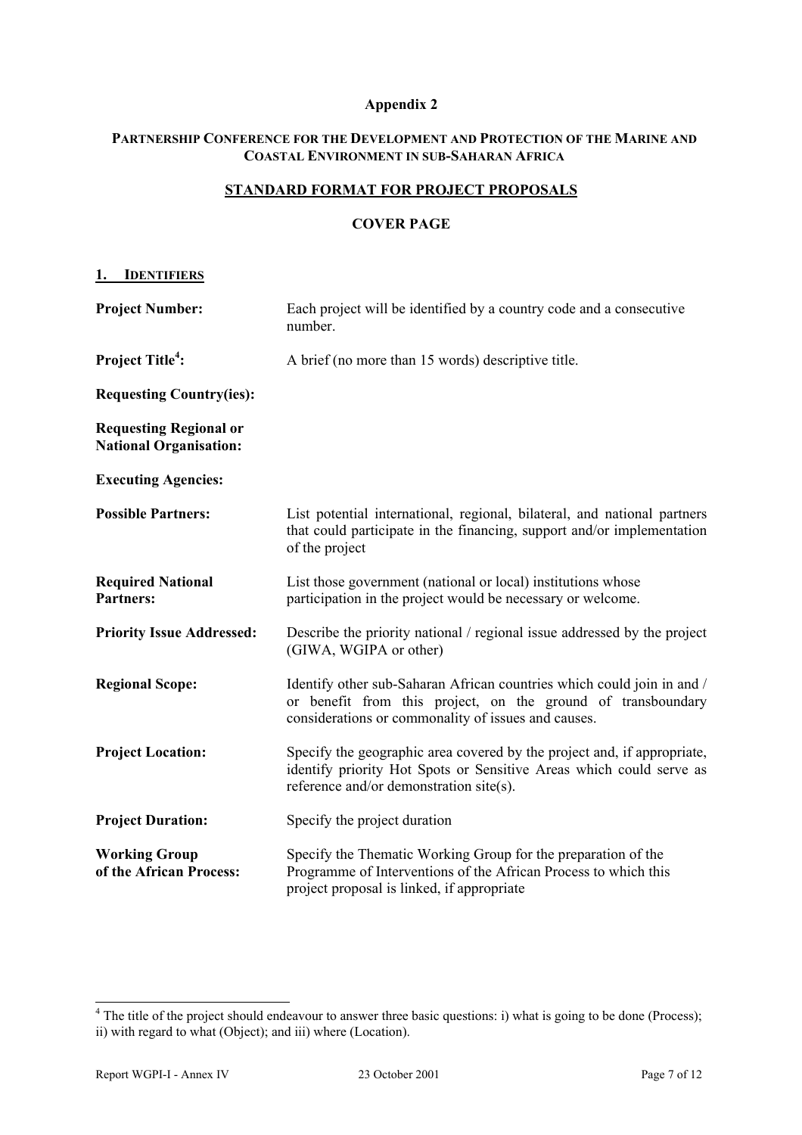# **Appendix 2**

# **PARTNERSHIP CONFERENCE FOR THE DEVELOPMENT AND PROTECTION OF THE MARINE AND COASTAL ENVIRONMENT IN SUB-SAHARAN AFRICA**

# **STANDARD FORMAT FOR PROJECT PROPOSALS**

#### **COVER PAGE**

#### **1. IDENTIFIERS**

| <b>Project Number:</b>                                         | Each project will be identified by a country code and a consecutive<br>number.                                                                                                                |
|----------------------------------------------------------------|-----------------------------------------------------------------------------------------------------------------------------------------------------------------------------------------------|
| <b>Project Title<sup>4</sup></b> :                             | A brief (no more than 15 words) descriptive title.                                                                                                                                            |
| <b>Requesting Country(ies):</b>                                |                                                                                                                                                                                               |
| <b>Requesting Regional or</b><br><b>National Organisation:</b> |                                                                                                                                                                                               |
| <b>Executing Agencies:</b>                                     |                                                                                                                                                                                               |
| <b>Possible Partners:</b>                                      | List potential international, regional, bilateral, and national partners<br>that could participate in the financing, support and/or implementation<br>of the project                          |
| <b>Required National</b><br><b>Partners:</b>                   | List those government (national or local) institutions whose<br>participation in the project would be necessary or welcome.                                                                   |
| <b>Priority Issue Addressed:</b>                               | Describe the priority national / regional issue addressed by the project<br>(GIWA, WGIPA or other)                                                                                            |
| <b>Regional Scope:</b>                                         | Identify other sub-Saharan African countries which could join in and /<br>or benefit from this project, on the ground of transboundary<br>considerations or commonality of issues and causes. |
| <b>Project Location:</b>                                       | Specify the geographic area covered by the project and, if appropriate,<br>identify priority Hot Spots or Sensitive Areas which could serve as<br>reference and/or demonstration site(s).     |
| <b>Project Duration:</b>                                       | Specify the project duration                                                                                                                                                                  |
| <b>Working Group</b><br>of the African Process:                | Specify the Thematic Working Group for the preparation of the<br>Programme of Interventions of the African Process to which this<br>project proposal is linked, if appropriate                |

 $4$  The title of the project should endeavour to answer three basic questions: i) what is going to be done (Process); ii) with regard to what (Object); and iii) where (Location).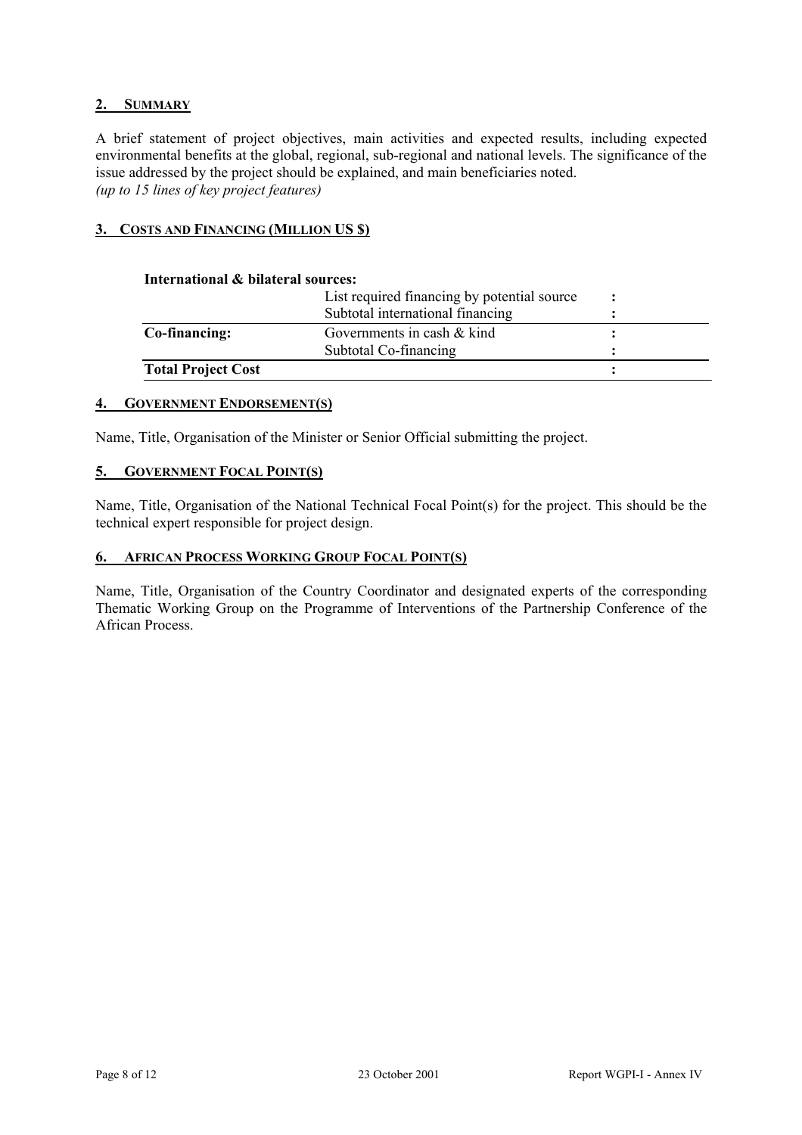# **2. SUMMARY**

A brief statement of project objectives, main activities and expected results, including expected environmental benefits at the global, regional, sub-regional and national levels. The significance of the issue addressed by the project should be explained, and main beneficiaries noted. *(up to 15 lines of key project features)* 

# **3. COSTS AND FINANCING (MILLION US \$)**

#### **International & bilateral sources:**

|                           | List required financing by potential source<br>Subtotal international financing |  |
|---------------------------|---------------------------------------------------------------------------------|--|
| Co-financing:             | Governments in cash & kind                                                      |  |
|                           | Subtotal Co-financing                                                           |  |
| <b>Total Project Cost</b> |                                                                                 |  |

#### **4. GOVERNMENT ENDORSEMENT(S)**

Name, Title, Organisation of the Minister or Senior Official submitting the project.

#### **5. GOVERNMENT FOCAL POINT(S)**

Name, Title, Organisation of the National Technical Focal Point(s) for the project. This should be the technical expert responsible for project design.

#### **6. AFRICAN PROCESS WORKING GROUP FOCAL POINT(S)**

Name, Title, Organisation of the Country Coordinator and designated experts of the corresponding Thematic Working Group on the Programme of Interventions of the Partnership Conference of the African Process.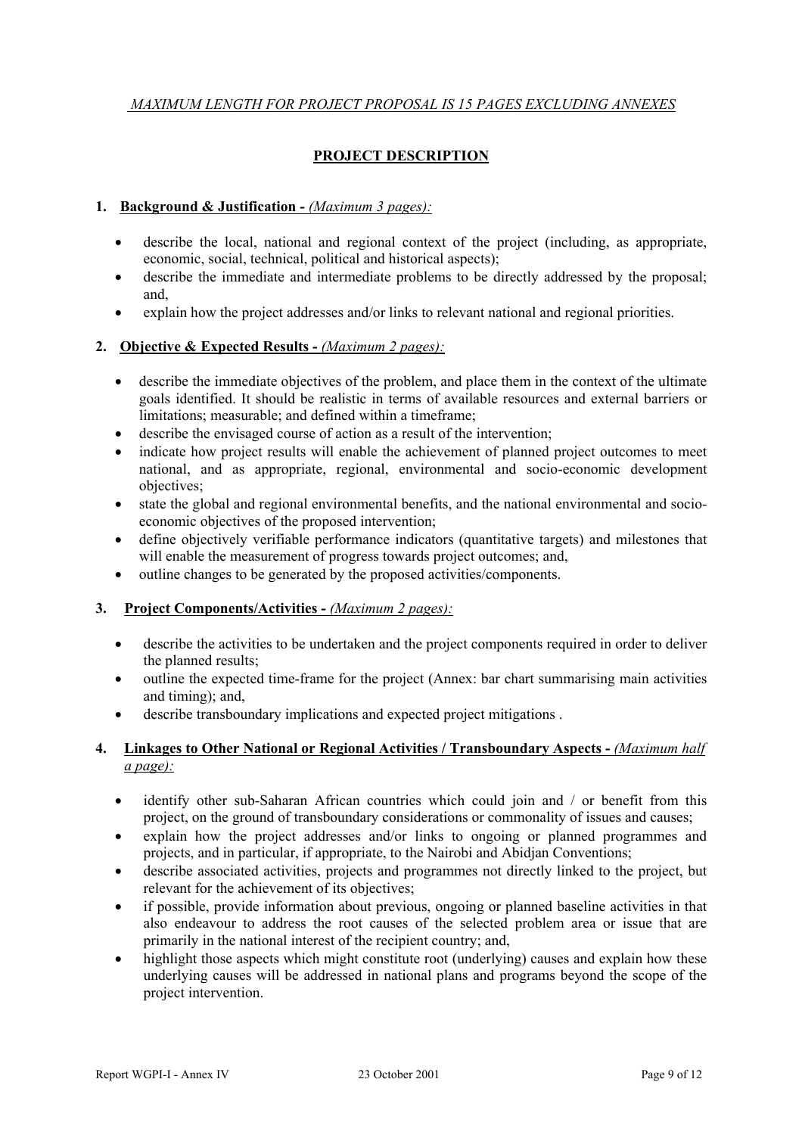# *MAXIMUM LENGTH FOR PROJECT PROPOSAL IS 15 PAGES EXCLUDING ANNEXES*

# **PROJECT DESCRIPTION**

# **1. Background & Justification -** *(Maximum 3 pages):*

- describe the local, national and regional context of the project (including, as appropriate, economic, social, technical, political and historical aspects);
- describe the immediate and intermediate problems to be directly addressed by the proposal; and,
- explain how the project addresses and/or links to relevant national and regional priorities.

#### **2. Objective & Expected Results -** *(Maximum 2 pages):*

- $\bullet$  describe the immediate objectives of the problem, and place them in the context of the ultimate goals identified. It should be realistic in terms of available resources and external barriers or limitations; measurable; and defined within a timeframe;
- $\bullet$  describe the envisaged course of action as a result of the intervention;
- indicate how project results will enable the achievement of planned project outcomes to meet national, and as appropriate, regional, environmental and socio-economic development objectives;
- state the global and regional environmental benefits, and the national environmental and socioeconomic objectives of the proposed intervention;
- define objectively verifiable performance indicators (quantitative targets) and milestones that will enable the measurement of progress towards project outcomes; and,
- outline changes to be generated by the proposed activities/components.

#### **3. Project Components/Activities -** *(Maximum 2 pages):*

- describe the activities to be undertaken and the project components required in order to deliver the planned results;
- outline the expected time-frame for the project (Annex: bar chart summarising main activities and timing); and,
- describe transboundary implications and expected project mitigations .

# **4. Linkages to Other National or Regional Activities / Transboundary Aspects -** *(Maximum half a page):*

- identify other sub-Saharan African countries which could join and / or benefit from this project, on the ground of transboundary considerations or commonality of issues and causes;
- x explain how the project addresses and/or links to ongoing or planned programmes and projects, and in particular, if appropriate, to the Nairobi and Abidjan Conventions;
- describe associated activities, projects and programmes not directly linked to the project, but relevant for the achievement of its objectives;
- if possible, provide information about previous, ongoing or planned baseline activities in that also endeavour to address the root causes of the selected problem area or issue that are primarily in the national interest of the recipient country; and,
- highlight those aspects which might constitute root (underlying) causes and explain how these underlying causes will be addressed in national plans and programs beyond the scope of the project intervention.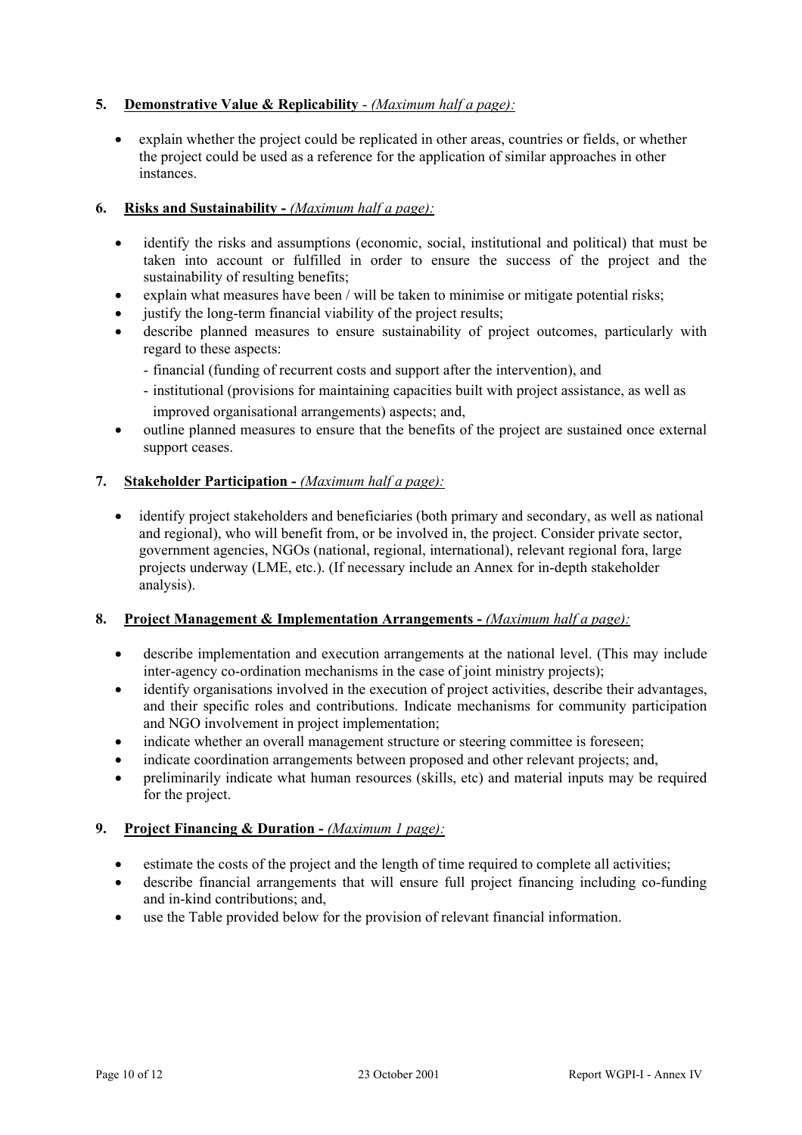# **5. Demonstrative Value & Replicability** - *(Maximum half a page):*

x explain whether the project could be replicated in other areas, countries or fields, or whether the project could be used as a reference for the application of similar approaches in other instances.

# **6. Risks and Sustainability -** *(Maximum half a page):*

- identify the risks and assumptions (economic, social, institutional and political) that must be taken into account or fulfilled in order to ensure the success of the project and the sustainability of resulting benefits;
- explain what measures have been / will be taken to minimise or mitigate potential risks;
- justify the long-term financial viability of the project results;
- describe planned measures to ensure sustainability of project outcomes, particularly with regard to these aspects:
	- financial (funding of recurrent costs and support after the intervention), and
	- institutional (provisions for maintaining capacities built with project assistance, as well as improved organisational arrangements) aspects; and,
- outline planned measures to ensure that the benefits of the project are sustained once external support ceases.

# **7. Stakeholder Participation -** *(Maximum half a page):*

• identify project stakeholders and beneficiaries (both primary and secondary, as well as national and regional), who will benefit from, or be involved in, the project. Consider private sector, government agencies, NGOs (national, regional, international), relevant regional fora, large projects underway (LME, etc.). (If necessary include an Annex for in-depth stakeholder analysis).

#### **8. Project Management & Implementation Arrangements -** *(Maximum half a page):*

- describe implementation and execution arrangements at the national level. (This may include inter-agency co-ordination mechanisms in the case of joint ministry projects);
- identify organisations involved in the execution of project activities, describe their advantages, and their specific roles and contributions. Indicate mechanisms for community participation and NGO involvement in project implementation;
- indicate whether an overall management structure or steering committee is foreseen;
- indicate coordination arrangements between proposed and other relevant projects; and,
- preliminarily indicate what human resources (skills, etc) and material inputs may be required for the project.

#### **9. Project Financing & Duration -** *(Maximum 1 page):*

- $\bullet$  estimate the costs of the project and the length of time required to complete all activities;
- describe financial arrangements that will ensure full project financing including co-funding and in-kind contributions; and,
- use the Table provided below for the provision of relevant financial information.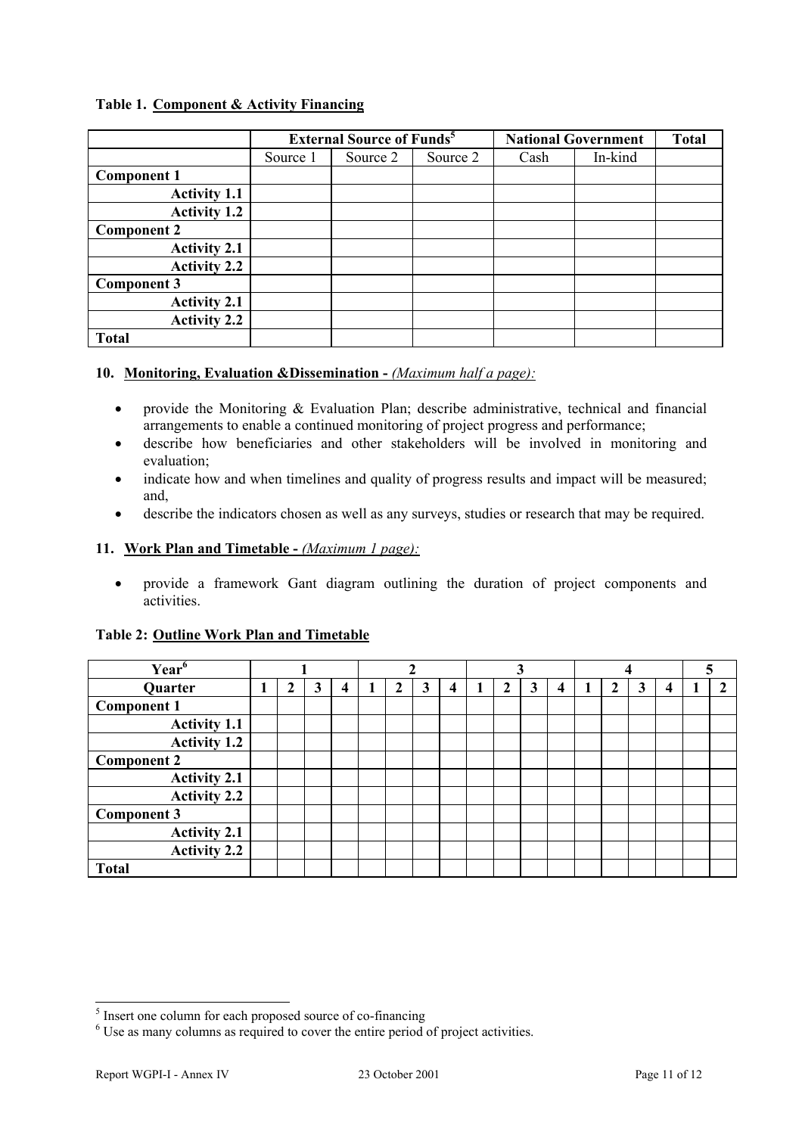# **Table 1. Component & Activity Financing**

|                     |          | <b>External Source of Funds<sup>5</sup></b> |          |      | <b>National Government</b> | <b>Total</b> |
|---------------------|----------|---------------------------------------------|----------|------|----------------------------|--------------|
|                     | Source 1 | Source 2                                    | Source 2 | Cash | In-kind                    |              |
| <b>Component 1</b>  |          |                                             |          |      |                            |              |
| <b>Activity 1.1</b> |          |                                             |          |      |                            |              |
| <b>Activity 1.2</b> |          |                                             |          |      |                            |              |
| <b>Component 2</b>  |          |                                             |          |      |                            |              |
| <b>Activity 2.1</b> |          |                                             |          |      |                            |              |
| <b>Activity 2.2</b> |          |                                             |          |      |                            |              |
| Component 3         |          |                                             |          |      |                            |              |
| <b>Activity 2.1</b> |          |                                             |          |      |                            |              |
| <b>Activity 2.2</b> |          |                                             |          |      |                            |              |
| <b>Total</b>        |          |                                             |          |      |                            |              |

# **10. Monitoring, Evaluation &Dissemination -** *(Maximum half a page):*

- provide the Monitoring  $\&$  Evaluation Plan; describe administrative, technical and financial arrangements to enable a continued monitoring of project progress and performance;
- describe how beneficiaries and other stakeholders will be involved in monitoring and evaluation;
- indicate how and when timelines and quality of progress results and impact will be measured; and,
- describe the indicators chosen as well as any surveys, studies or research that may be required.

# **11. Work Plan and Timetable -** *(Maximum 1 page):*

x provide a framework Gant diagram outlining the duration of project components and activities.

| Year <sup>6</sup>   |   |   |   |   |   |   |                         |   |   |   |              |   |   |  |
|---------------------|---|---|---|---|---|---|-------------------------|---|---|---|--------------|---|---|--|
| Quarter             | 1 | 2 | 3 | 4 | ി | 3 | $\overline{\mathbf{4}}$ | 2 | 3 | 4 | $\mathbf{2}$ | 3 | 4 |  |
| <b>Component 1</b>  |   |   |   |   |   |   |                         |   |   |   |              |   |   |  |
| <b>Activity 1.1</b> |   |   |   |   |   |   |                         |   |   |   |              |   |   |  |
| <b>Activity 1.2</b> |   |   |   |   |   |   |                         |   |   |   |              |   |   |  |
| <b>Component 2</b>  |   |   |   |   |   |   |                         |   |   |   |              |   |   |  |
| <b>Activity 2.1</b> |   |   |   |   |   |   |                         |   |   |   |              |   |   |  |
| <b>Activity 2.2</b> |   |   |   |   |   |   |                         |   |   |   |              |   |   |  |
| <b>Component 3</b>  |   |   |   |   |   |   |                         |   |   |   |              |   |   |  |
| <b>Activity 2.1</b> |   |   |   |   |   |   |                         |   |   |   |              |   |   |  |
| <b>Activity 2.2</b> |   |   |   |   |   |   |                         |   |   |   |              |   |   |  |
| <b>Total</b>        |   |   |   |   |   |   |                         |   |   |   |              |   |   |  |

# **Table 2: Outline Work Plan and Timetable**

<sup>&</sup>lt;sup>5</sup> Insert one column for each proposed source of co-financing

<sup>&</sup>lt;sup>6</sup> Use as many columns as required to cover the entire period of project activities.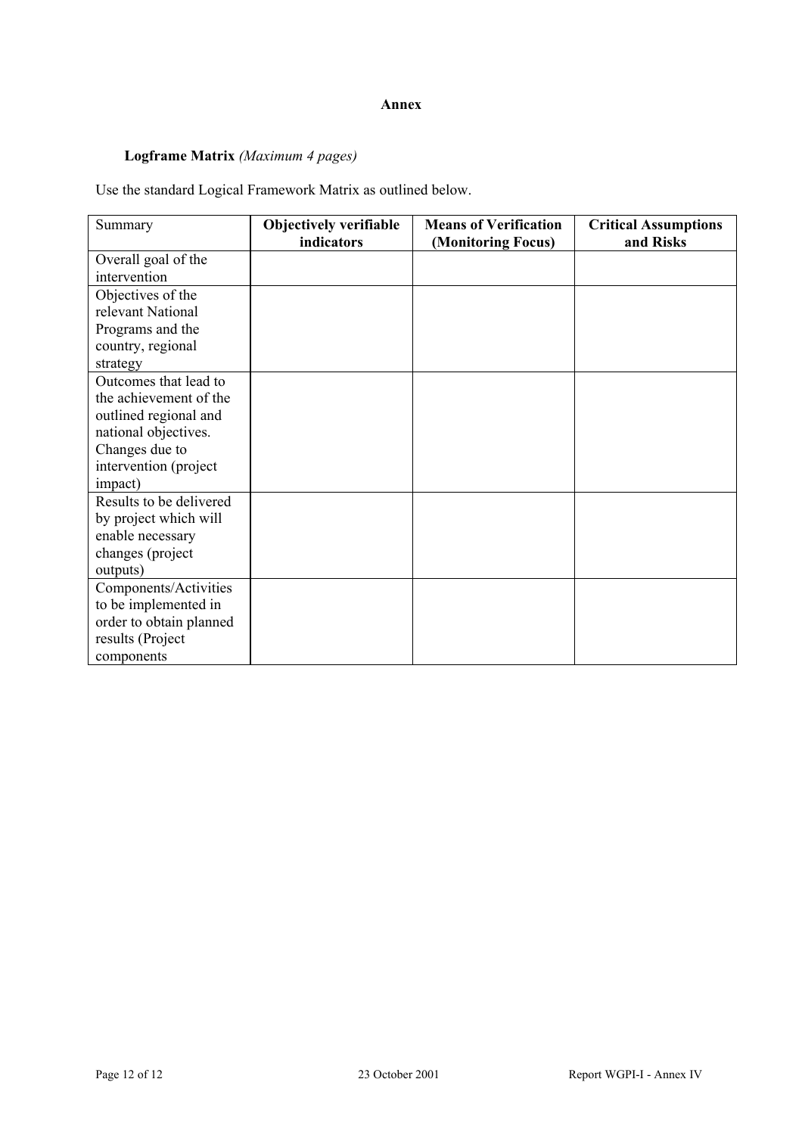# **Annex**

# **Logframe Matrix** *(Maximum 4 pages)*

Use the standard Logical Framework Matrix as outlined below.

| Summary                                                                                                                                                | <b>Objectively verifiable</b><br>indicators | <b>Means of Verification</b><br>(Monitoring Focus) | <b>Critical Assumptions</b><br>and Risks |
|--------------------------------------------------------------------------------------------------------------------------------------------------------|---------------------------------------------|----------------------------------------------------|------------------------------------------|
| Overall goal of the<br>intervention                                                                                                                    |                                             |                                                    |                                          |
| Objectives of the<br>relevant National<br>Programs and the<br>country, regional<br>strategy                                                            |                                             |                                                    |                                          |
| Outcomes that lead to<br>the achievement of the<br>outlined regional and<br>national objectives.<br>Changes due to<br>intervention (project<br>impact) |                                             |                                                    |                                          |
| Results to be delivered<br>by project which will<br>enable necessary<br>changes (project<br>outputs)                                                   |                                             |                                                    |                                          |
| Components/Activities<br>to be implemented in<br>order to obtain planned<br>results (Project<br>components                                             |                                             |                                                    |                                          |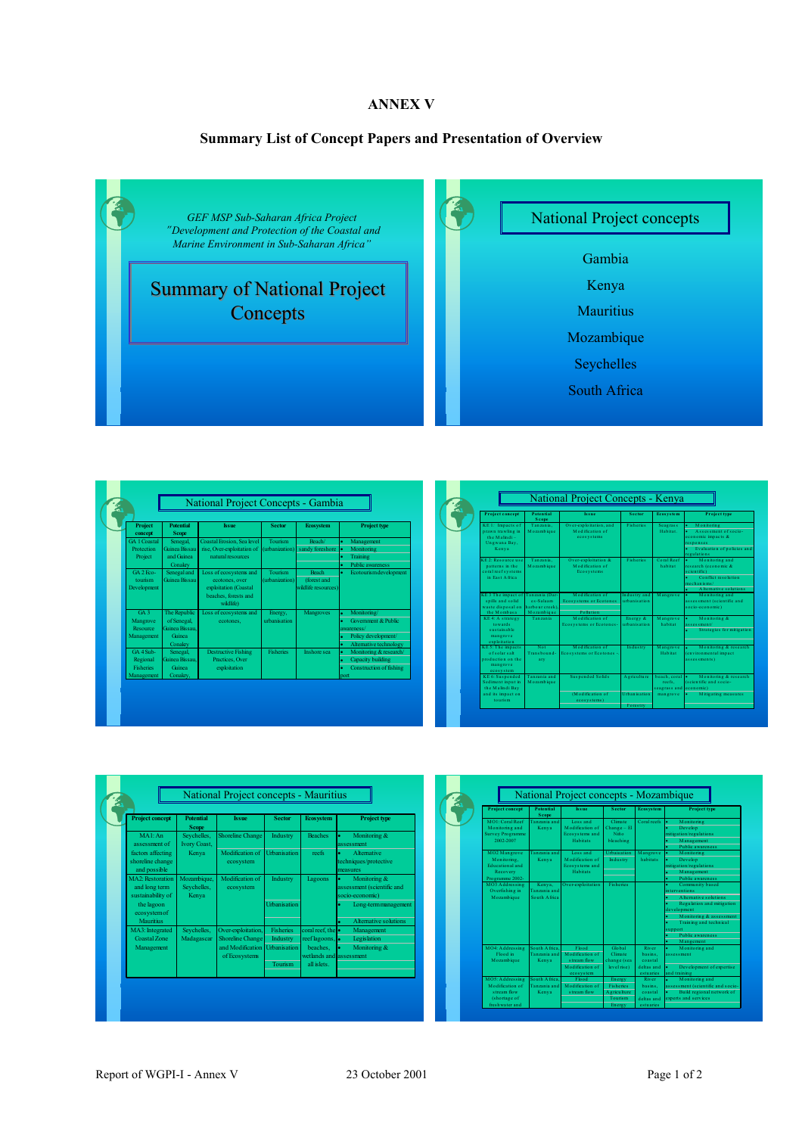# **ANNEX V**

# **Summary List of Concept Papers and Presentation of Overview**



| <b>Project</b><br>concept                               | <b>Potential</b><br><b>Scope</b>                                  | <b>Issue</b>                                                                                           | <b>Sector</b>                    | <b>Ecosystem</b>                                   | <b>Project type</b>                                                                                              |
|---------------------------------------------------------|-------------------------------------------------------------------|--------------------------------------------------------------------------------------------------------|----------------------------------|----------------------------------------------------|------------------------------------------------------------------------------------------------------------------|
| <b>GA 1 Coastal</b><br>Protection<br>Project            | Senegal,<br><b>Guinea Bissan</b><br>and Guinea<br>Conakry         | Coastal Frosion, Sea level<br>rise. Over-exploitation of<br>natural resources.                         | <b>Tourism</b><br>(urbanization) | Reach/<br>sandy foreshore                          | Management<br>Monitoring<br>Training<br>٠<br>Public awareness                                                    |
| GA 2 Feo-<br>tourism<br>Development                     | Senegal and<br><b>Guinea Bissan</b>                               | Loss of ecosystems and<br>ecotones, over<br>exploitation (Coastal<br>beaches, forests and<br>wildlife) | <b>Tourism</b><br>(urbanization) | <b>Beach</b><br>(forest and<br>wildlife resources) | Ecotourismdevelopment<br>٠                                                                                       |
| GA <sub>3</sub><br>Mangrove<br>Resource<br>Management   | The Republic<br>of Senegal.<br>Grinea Bissan<br>Guinea<br>Conakry | Loss of ecosystems and<br>ecotones.                                                                    | Energy,<br>urbanisation          | Mangroves                                          | Monitoring/<br><b>Government &amp; Public</b><br>awareness/<br>Policy development/<br>Altemative technology<br>٠ |
| GA 4 Sub-<br>Regional<br><b>Fisheries</b><br>Management | Senegal,<br>Guinea Bissau.<br>Guinea<br>Conakry.                  | <b>Destructive Fishing</b><br>Practices. Over<br>exploitation                                          | <b>Fisheries</b>                 | Inshore sea                                        | Monitoring & research/<br>Capacity building<br>Construction of fishing<br>port                                   |

| <b>Project concept</b>                                                                   | <b>Potential</b><br><b>Scope</b>           | Issue                                                         | <b>Sector</b>                | Ecosystem                                 | Project type                                                                                                                             |
|------------------------------------------------------------------------------------------|--------------------------------------------|---------------------------------------------------------------|------------------------------|-------------------------------------------|------------------------------------------------------------------------------------------------------------------------------------------|
| KE 1: Impacts of<br>prawn trawling in<br>the Malindi-<br>Ungwana Bay.<br>Kenya           | Tanzania.<br>Mozambique                    | Over-exploitation, and<br>Modification of<br>ecosystems       | <b>Ficheries</b>             | <b>Seagrass</b><br>Habitat.               | Monitoring<br>Assessment of socio-<br>economic impacts &<br>responses<br>Evaluation of policies and<br><b>regulations</b>                |
| KE 2: Resource use<br>patterns in the<br>coral reef systems<br>in Fast Africa.           | Tanzania.<br>Mozambique                    | Over-exploitation &<br>Modification of<br>Ecosystems          | <b>Ficheries</b>             | Coral Reef.<br>habitat                    | Monitoring and<br>$\blacksquare$<br>research (economic &<br>scientific)<br>Conflict resolution.<br>mechanisms/<br>A iternative solutions |
| KE3 The impact of Tanzania (Dar-<br>spills and solid<br>waste disposal on<br>the Mombasa | ex-Salaam.<br>harbour creek)<br>Mozambique | Modification of<br><b>Ecosystems or Ecotones</b><br>Pollution | Industry and<br>urbanisation | Mangrove                                  | Monitoring and<br>assessment (scientific and<br>socio-economic)                                                                          |
| KE4: A strategy<br>towards<br>sustainable.<br>mangrove<br>exploitation                   | Tanzania                                   | Modification of<br>Ecosystems or Ecotones-                    | Energy &<br>urbanisation     | Mangrove<br>habitat                       | Monitoring &<br>٠<br>assessment/<br>Strategies for mitigation                                                                            |
| KE 5: The impacts<br>of solar salt.<br>production on the<br>mangrove<br>ecosystem        | Not<br>Transhound.<br>arv                  | Modification of<br>Ecosystems or Ecotones -                   | Industry                     | Mangrove<br>Habitat                       | Monitoring & research<br>¥.<br>(environmental impact)<br>assessments)                                                                    |
| KE6: Suspended<br>Sediment input in<br>the Malindi Bay                                   | Tanzania and<br>Mozambique                 | <b>Suspended Solids</b>                                       | A griculture                 | beach, coral lo<br>reefs.<br>seagrass and | Monitoring & research<br>(scientific and socio-<br>economic)                                                                             |
| and its impact on<br>tourism                                                             |                                            | (Modification of<br>ecosystems)                               | <b>Hebanication</b>          | mangrove                                  | Mitigating measures                                                                                                                      |

| <b>Project concept</b>                                 | <b>Potential</b><br><b>Scope</b>    | <b>Issue</b>                      | <b>Sector</b>       | <b>Ecosystem</b>                    | <b>Project type</b>                                           |
|--------------------------------------------------------|-------------------------------------|-----------------------------------|---------------------|-------------------------------------|---------------------------------------------------------------|
| MA <sub>1</sub> An<br>assessment of                    | Seychelles,<br><b>Ivory Coast,</b>  | <b>Shoreline Change</b>           | Industry            | <b>Beaches</b>                      | Monitoring &<br>۰<br>assessment                               |
| factors affecting<br>shoreline change<br>and possible  | Kenya                               | Modification of<br>ecosystem      | <b>Urbanisation</b> | reefs                               | <b>Alternative</b><br>ä<br>techniques/protective<br>measures  |
| MA2: Restoration<br>and long term<br>sustainability of | Mozambique,<br>Seychelles,<br>Kenya | Modification of<br>ecosystem      | Industry            | Lagoons                             | Monitoring &<br>assessment (scientific and<br>socio-economic) |
| the lagoon<br>ecosystemof                              |                                     |                                   | <b>Urbanisation</b> |                                     | Long-term management                                          |
| Mauritius<br>MA3: Integrated                           | Seychelles,                         | Over-exploitation,                | Fisheries           | coral reef. the $\bullet$           | <b>Alternative solutions</b><br>Management                    |
| <b>Coastal Zone</b>                                    | Madagascar                          | <b>Shoreline Change</b>           | Industry            | reef lagoons,                       | Legislation                                                   |
| Management                                             |                                     | and Modification<br>of Ecosystems | <b>Urbanisation</b> | beaches.<br>wetlands and assessment | Monitoring &                                                  |
|                                                        |                                     |                                   | Tourism             | all islets                          |                                                               |

| <b>Project concept</b>                                                               | <b>Potential</b><br><b>Scope</b>        | <b>Issue</b>                                                            | <b>Sector</b>                                                | <b>Ecos ys tem</b>                                     | <b>Project type</b>                                                                                                                                                                                             |
|--------------------------------------------------------------------------------------|-----------------------------------------|-------------------------------------------------------------------------|--------------------------------------------------------------|--------------------------------------------------------|-----------------------------------------------------------------------------------------------------------------------------------------------------------------------------------------------------------------|
| MOI: Coral Reef<br>Monitoring and<br><b>Survey Programme</b><br>2002-2007            | Tanzania and<br>Kenva                   | Loss and<br>Modification of<br>Ecosystems and<br><b>Habitats</b>        | Climate<br>$Change - El$<br>Niño<br>bleaching                | <b>Coral reefs</b>                                     | Monitoring<br>٠<br>Develop:<br>mitigation/regulations<br>Management<br><b>Public awareness</b>                                                                                                                  |
| MO2 Mangrove<br>Monitoring,<br><b>Educational and</b><br>Recovery<br>Programme 2002- | Tanzania and<br>Kenva                   | Loss and<br>Modification of<br>Ecosystems and<br><b>Habitats</b>        | <b>Hrbaisation</b><br>Industry                               | Mangrove<br>habitats                                   | Monitoring<br>٠<br>Develop<br>mitigation/regulations<br>Management<br><b>Public awareness</b><br>ä.                                                                                                             |
| MO3 Addressing<br>Overfishing in<br>Mozambique                                       | Kenva.<br>Tanzania and<br>South A frica | Over-exploitation                                                       | <b>Fisheries</b>                                             |                                                        | Community based<br><i>interventions</i><br>A Iternative solutions.<br>Regulation and mitigation<br>development<br>Monitoring & assessment<br>Training and technical<br>support<br>Public awareness<br>Mangement |
| MO4: Addressing<br>Flood in<br>Mozambique                                            | South Africa<br>Tanzania and<br>Kenva   | Flood<br>Modification of<br>stream flow<br>Modification of<br>ecosystem | Global<br>Climate<br>change (sea<br>level rise)              | River<br>basins.<br>coastal<br>deltas and<br>estuaries | Monitoring and<br>assessment<br>Development of expertise<br>and training                                                                                                                                        |
| MO5: Addressing<br>Modification of<br>stream flow<br>(shortage of                    | South Africa<br>Tanzania and<br>Kenva   | Flood<br>Modification of<br>stream flow                                 | Energy<br><b>Fisheries</b><br><b>A</b> griculture<br>Tourism | <b>River</b><br>basins.<br>coastal<br>deltas and       | Monitoring and<br>assessment (scientific and socio-<br>Build regional network of<br>experts and services                                                                                                        |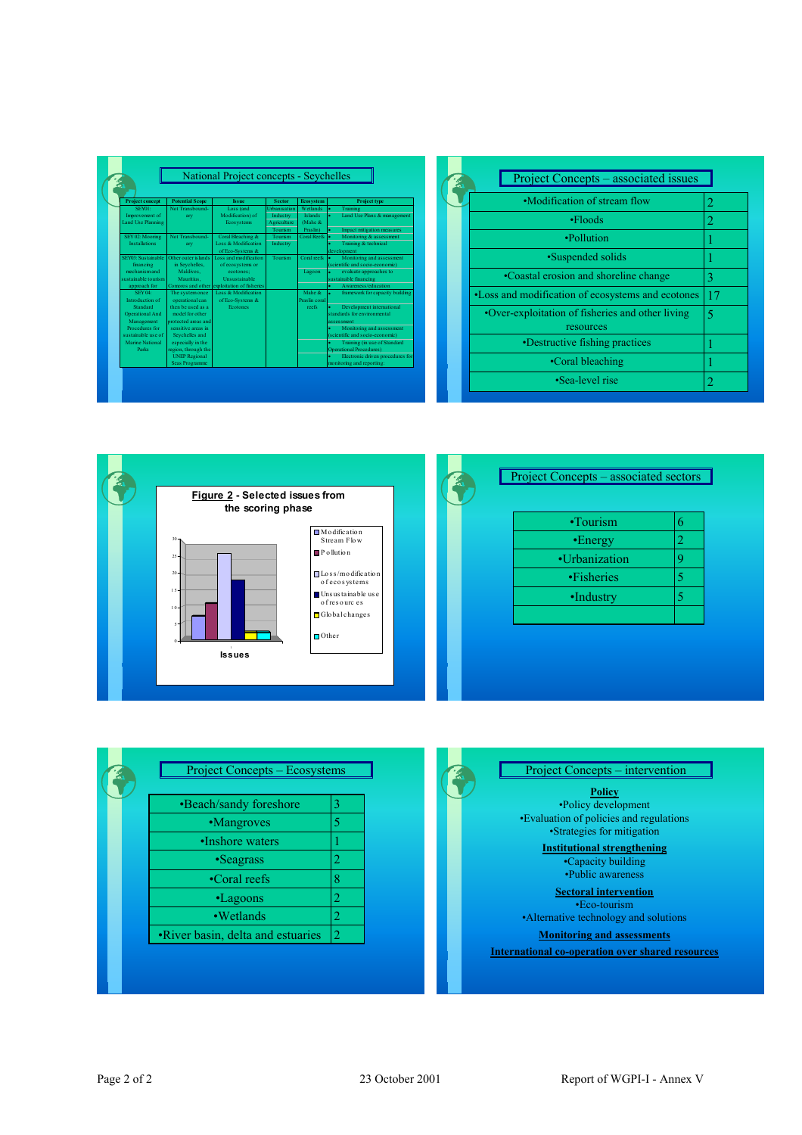| <b>Project concept</b> | <b>Potential Scope</b> | <b>Issue</b>                                | <b>Sector</b>       | <b>Ecosystem</b> | <b>Project type</b>                  |
|------------------------|------------------------|---------------------------------------------|---------------------|------------------|--------------------------------------|
| SEY01:                 | Not Transbound-        | Loss (and                                   | <b>Urbanisation</b> | Wetlands         | Training                             |
| Improvement of         | arv                    | Modification) of                            | Industry            | Islands          | Land Use Plans & management<br>ä.    |
| Land Use Planning      |                        | Ecosystems                                  | Agriculture         | (Mahe &          |                                      |
|                        |                        |                                             | Tourism             | Praslin)         | Impact mitigation measures           |
| SEY 02: Mooring        | Not Transhound-        | Coral Bleaching &                           | Tourism             | Coral Reefs      | Monitoring & assessment              |
| <b>Installations</b>   | arv                    | Loss & Modification                         | Industry            |                  | Training & technical                 |
|                        |                        | of Eco-Systems &                            |                     |                  | development                          |
| SEY03: Sustainable     | Other outer is lands.  | Loss and modification                       | Tourism             | Coral reefs      | Monitoring and assessment<br>٠       |
| financing              | in Seychelles,         | of ecosystems or                            |                     |                  | (scientific and socio-economic)      |
| mechanism and          | Maldives.              | ecotones:                                   |                     | Lagoon           | evaluate approaches to               |
| sustainable tourism.   | Mauritius.             | <b>Unsustainable</b>                        |                     |                  | sustainable financing                |
| approach for           |                        | Comoros and other exploitation of fisheries |                     |                  | Awareness/education                  |
| SEY 04:                | The systemonce         | Loss & Modification                         |                     | Mahe &           | ٠<br>framework for capacity building |
| Introduction of        | operational can        | of Eco-Systems &                            |                     | Praslin coral    |                                      |
| Standard               | then be used as a      | <b>Ecotones</b>                             |                     | reefs            | Development international<br>٠       |
| Operational And        | model for other.       |                                             |                     |                  | standards for environmental          |
| Management             | protected areas and    |                                             |                     |                  | assessment                           |
| Procedures for         | sensitive areas in     |                                             |                     |                  | Monitoring and assessment            |
| sustainable use of     | Seychelles and         |                                             |                     |                  | (scientific and socio-economic)      |
| Marine National        | especially in the      |                                             |                     |                  | Training (in use of Standard         |
| Parks                  | region, through the    |                                             |                     |                  | <b>Operational Procedures)</b>       |
|                        | <b>UNEP Regional</b>   |                                             |                     |                  | Electronic driven procedures for     |
|                        | <b>Seas Programme</b>  |                                             |                     |                  | monitoring and reporting:            |

| Project Concepts – associated issues                          |                             |
|---------------------------------------------------------------|-----------------------------|
| •Modification of stream flow                                  | $\overline{2}$              |
| $\cdot$ Floods                                                | 2                           |
| •Pollution                                                    |                             |
| •Suspended solids                                             |                             |
| •Coastal erosion and shoreline change                         | 3                           |
| •Loss and modification of ecosystems and ecotones             | 17                          |
| •Over-exploitation of fisheries and other living<br>resources | 5                           |
| •Destructive fishing practices                                |                             |
| •Coral bleaching                                              |                             |
| •Sea-level rise                                               | $\mathcal{D}_{\mathcal{A}}$ |



| •Beach/sandy foreshore            | 3              |
|-----------------------------------|----------------|
| •Mangroves                        | 5              |
| •Inshore waters                   |                |
| •Seagrass                         | 2              |
| •Coral reefs                      | 8              |
| •Lagoons                          | 2              |
| •Wetlands                         | 2              |
| •River basin, delta and estuaries | $\mathfrak{D}$ |

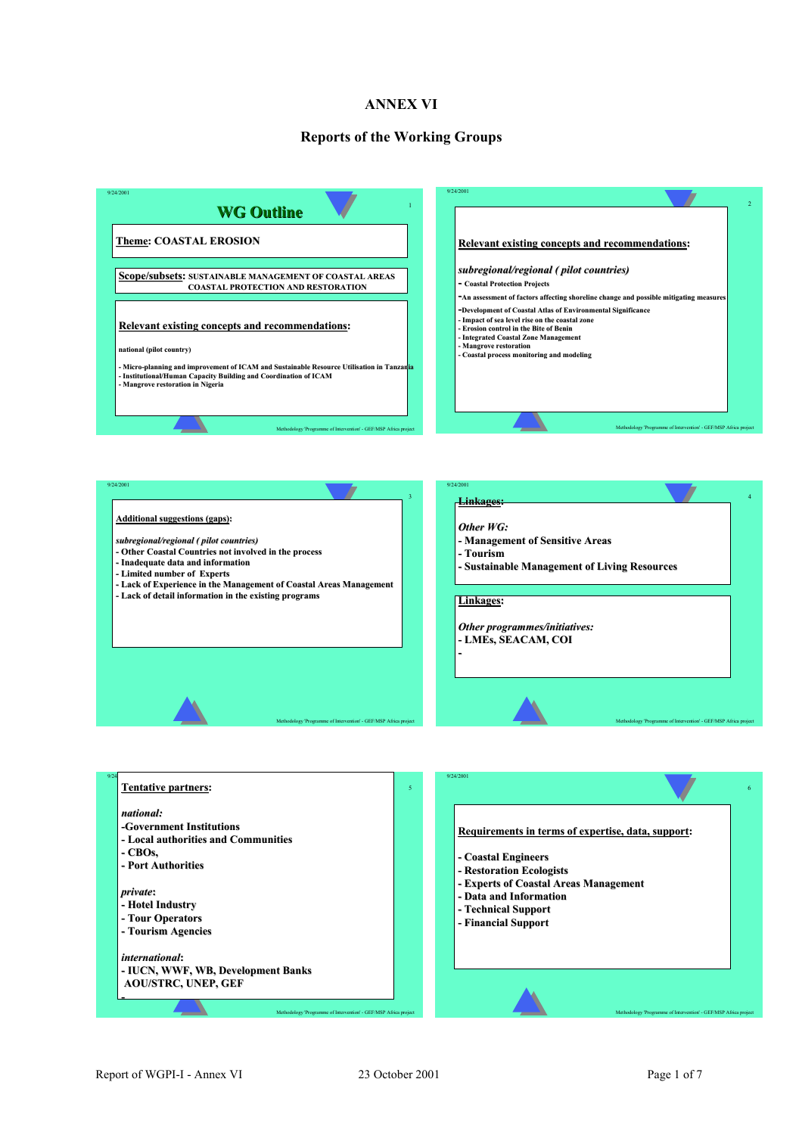# **ANNEX VI**

#### **Reports of the Working Groups**





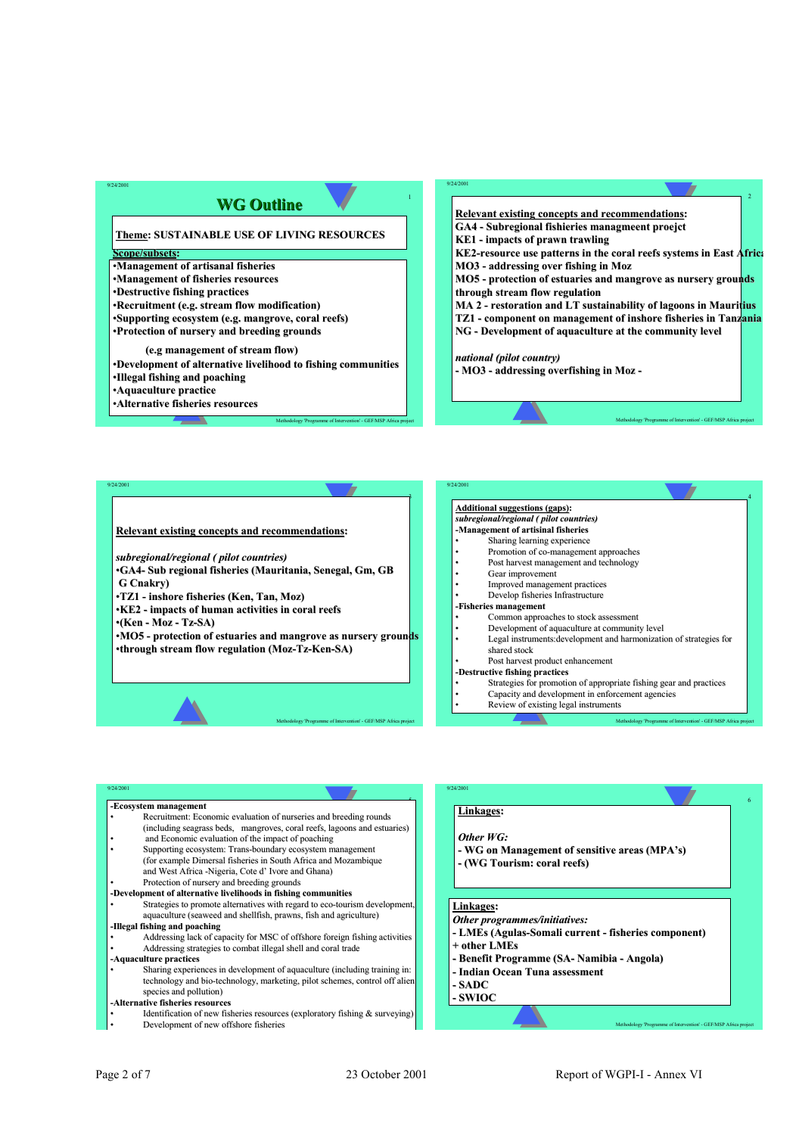# **WG Outline WG Outline**

**Theme: SUSTAINABLE USE OF LIVING RESOURCES**

#### $Scope/subsets:$

9/24/2001

9/24/2001

- $•$ **Management of artisanal fisheries**
- •**Management of fisheries resources Management of fisheries resources**
- •**Destructive fishing practices**
- •**Recruitment (e.g. stream flow modification) Recruitment (e.g. stream flow modification)**
- •**Supporting ecosystem (e.g. mangrove, coral reefs) Supporting ecosystem (e.g. mangrove, coral reefs)**
- •**Protection of nursery and breeding grounds Protection of nursery and breeding grounds**

#### **(e.g management of stream flow)**

•**Development of alternative livelihood to fishing communities Development of alternative livelihood to fishing communities**

Methodology 'Programme of Intervention' - GEF/MSP Africa project

Methodology 'Programme of Intervention' - GEF/MSP Africa project

1

3

9/24/2001

- •**Illegal fishing and poaching**
- •**Aquaculture practice**
- •**Alternative fisheries resources fisheries resources**

9/24/2001 **Relevant existing concepts and recommendations: GA4** - Subregional fishieries managmeent proejct **KE1 - impacts of prawn trawling impacts of prawn trawling KE2-resource use patterns in the coral reefs systems in East Africa MO3** - **addressing** over fishing in Moz **MO5** - protection of estuaries and mangrove as nursery grounds **through stream flow regulation MA 2 - restoration and LT sustainability of lagoons in Mauritius TZ1 - component on management of inshore fisheries in Tanzania NG** - Development of aquaculture at the community level *national (pilot country) (pilot country)* **- MO3 - addressing overfishing in Moz -**

Methodology 'Programme of Intervention' - GEF/MSP Africa project

4

Methodology 'Programme of Intervention' - GEF/MSP Africa project

#### **Relevant existing concepts and recommendations:**

#### $subregional/regional ( pilot countries)$

- •**GA4- Sub regional fisheries (Mauritania, Senegal, Gm, GB G Cnakry)**
- $\cdot$ TZ1 inshore fisheries (Ken, Tan, Moz)
- •**KE2 - impacts of human activities in coral reefs impacts of human activities in coral reefs**
- •**(Ken - Moz - Tz-SA)**
- •**MO5 - protection of estuaries and mangrove as nursery grounds** •**through stream flow regulation ( (Moz-Tz-Ken-SA)**

#### **Additional suggestions (gaps):** *subregional/regional ( pilot countries) -Management of artisinal fisheries* Sharing learning experience Promotion of co-management approaches Post harvest management and technology Gear improvement Improved management practices • Develop fisheries Infrastructure **-Fisheries management** • Common approaches to stock assessment • Development of aquaculture at community level Legal instruments: development and harmonization of strategies for shared stock Post harvest product enhancement **-Destructive fishing practices** Strategies for promotion of appropriate fishing gear and practices • Capacity and development in enforcement agencies • Review of existing legal instruments

| 9/24/2001                        |                                                                                                                               | 9/24/2001                                                        |
|----------------------------------|-------------------------------------------------------------------------------------------------------------------------------|------------------------------------------------------------------|
|                                  | -Ecosystem management<br>Recruitment: Economic evaluation of nurseries and breeding rounds                                    | Linkages:                                                        |
|                                  | (including seagrass beds, mangroves, coral reefs, lagoons and estuaries)<br>and Economic evaluation of the impact of poaching | Other WG:                                                        |
|                                  | Supporting ecosystem: Trans-boundary ecosystem management                                                                     | - WG on Management of sensitive areas (MPA's)                    |
|                                  | (for example Dimersal fisheries in South Africa and Mozambique<br>and West Africa - Nigeria, Cote d'Ivore and Ghana)          | - (WG Tourism: coral reefs)                                      |
|                                  | Protection of nursery and breeding grounds                                                                                    |                                                                  |
|                                  | -Development of alternative livelihoods in fishing communities                                                                |                                                                  |
|                                  | Strategies to promote alternatives with regard to eco-tourism development,                                                    | Linkages:                                                        |
|                                  | aquaculture (seaweed and shellfish, prawns, fish and agriculture)                                                             | Other programmes/initiatives:                                    |
|                                  | -Illegal fishing and poaching                                                                                                 | - LMEs (Agulas-Somali current - fisheries component)             |
|                                  | Addressing lack of capacity for MSC of offshore foreign fishing activities                                                    |                                                                  |
|                                  | Addressing strategies to combat illegal shell and coral trade                                                                 | + other LMEs                                                     |
| -Aquaculture practices           |                                                                                                                               | - Benefit Programme (SA- Namibia - Angola)                       |
|                                  | Sharing experiences in development of aquaculture (including training in:                                                     | - Indian Ocean Tuna assessment                                   |
|                                  | technology and bio-technology, marketing, pilot schemes, control off alien                                                    | - SADC                                                           |
|                                  | species and pollution)                                                                                                        |                                                                  |
| -Alternative fisheries resources |                                                                                                                               | - SWIOC                                                          |
|                                  | Identification of new fisheries resources (exploratory fishing $\&$ surveying)                                                |                                                                  |
|                                  | Development of new offshore fisheries                                                                                         | Methodology 'Programme of Intervention' - GEF/MSP Africa project |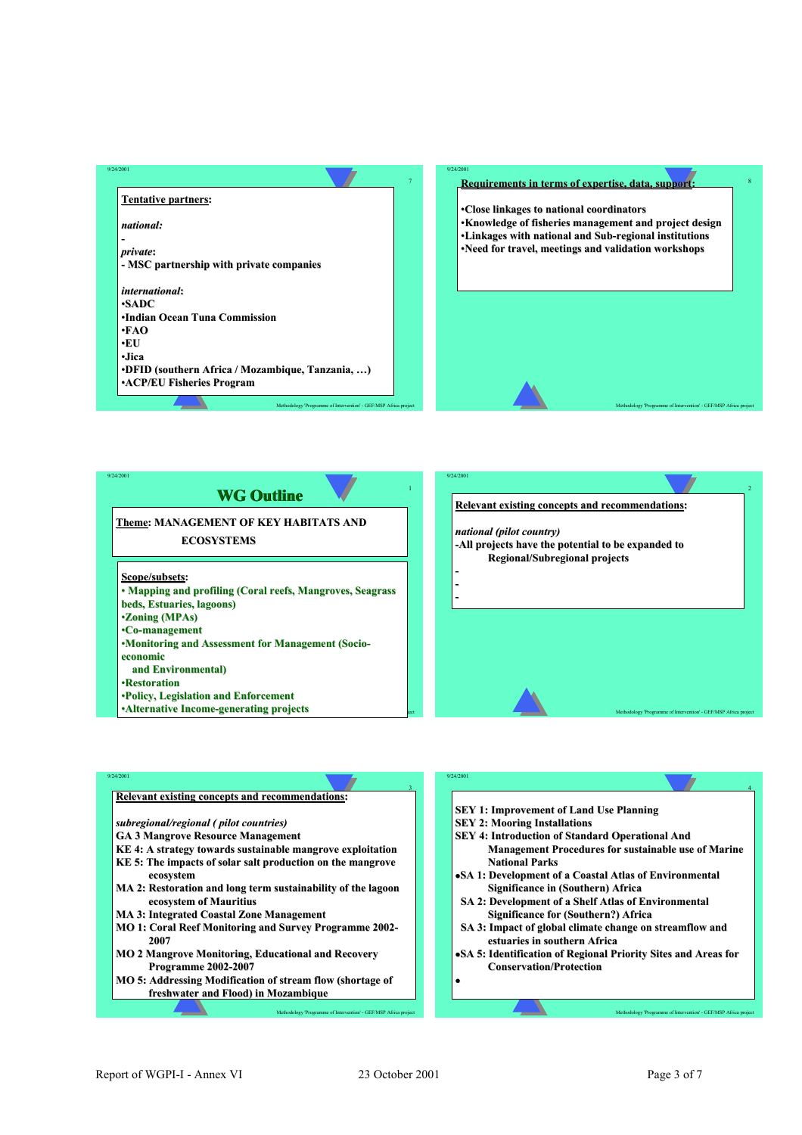



| 9/24/2001                                                     | 9/24/2001                                                      |
|---------------------------------------------------------------|----------------------------------------------------------------|
| Relevant existing concepts and recommendations:               |                                                                |
|                                                               | <b>SEY 1: Improvement of Land Use Planning</b>                 |
| subregional/regional (pilot countries)                        | <b>SEY 2: Mooring Installations</b>                            |
| <b>GA 3 Mangrove Resource Management</b>                      | <b>SEY 4: Introduction of Standard Operational And</b>         |
| KE 4: A strategy towards sustainable mangrove exploitation    | <b>Management Procedures for sustainable use of Marine</b>     |
| KE 5: The impacts of solar salt production on the mangrove    | <b>National Parks</b>                                          |
| ecosystem                                                     | •SA 1: Development of a Coastal Atlas of Environmental         |
| MA 2: Restoration and long term sustainability of the lagoon  | <b>Significance in (Southern) Africa</b>                       |
| ecosystem of Mauritius                                        | <b>SA 2: Development of a Shelf Atlas of Environmental</b>     |
| <b>MA 3: Integrated Coastal Zone Management</b>               | <b>Significance for (Southern?) Africa</b>                     |
| <b>MO 1: Coral Reef Monitoring and Survey Programme 2002-</b> | SA 3: Impact of global climate change on streamflow and        |
| 2007                                                          | estuaries in southern Africa                                   |
| <b>MO 2 Mangrove Monitoring, Educational and Recovery</b>     | •SA 5: Identification of Regional Priority Sites and Areas for |
| <b>Programme 2002-2007</b>                                    | <b>Conservation/Protection</b>                                 |
| MO 5: Addressing Modification of stream flow (shortage of     |                                                                |
| freshwater and Flood) in Mozambique                           |                                                                |
|                                                               |                                                                |

Methodology 'Programme of Intervention' - GEF/MSP Africa project

Methodology 'Programme of Intervention' - GEF/MSP Africa project

4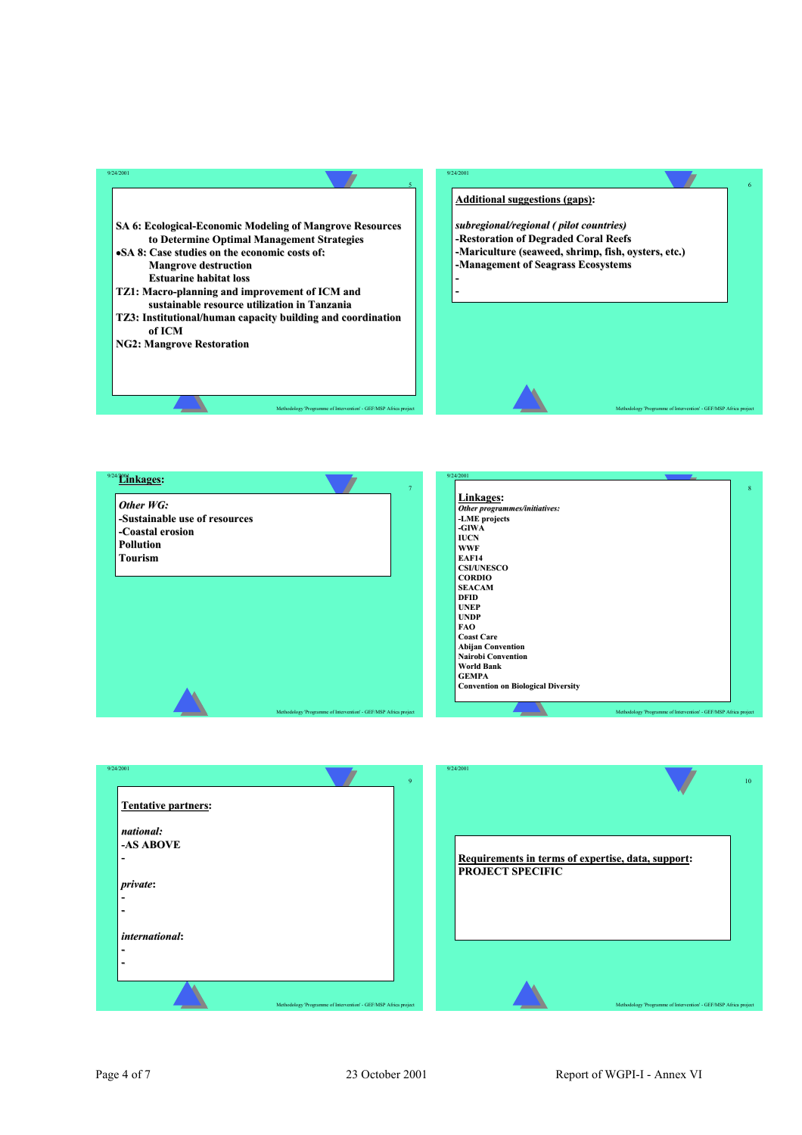



| Other programmes/initiatives:<br>-LME projects<br>-GIWA<br><b>IUCN</b><br><b>WWF</b><br><b>EAF14</b><br><b>CSI/UNESCO</b><br><b>CORDIO</b><br><b>SEACAM</b><br><b>DFID</b><br><b>UNEP</b><br><b>UNDP</b><br><b>FAO</b><br><b>Coast Care</b><br><b>Abijan Convention</b><br><b>Nairobi Convention</b><br><b>World Bank</b><br><b>GEMPA</b><br><b>Convention on Biological Diversity</b> |           |  |
|----------------------------------------------------------------------------------------------------------------------------------------------------------------------------------------------------------------------------------------------------------------------------------------------------------------------------------------------------------------------------------------|-----------|--|
|                                                                                                                                                                                                                                                                                                                                                                                        | Linkages: |  |
|                                                                                                                                                                                                                                                                                                                                                                                        |           |  |
|                                                                                                                                                                                                                                                                                                                                                                                        |           |  |
|                                                                                                                                                                                                                                                                                                                                                                                        |           |  |
|                                                                                                                                                                                                                                                                                                                                                                                        |           |  |
|                                                                                                                                                                                                                                                                                                                                                                                        |           |  |
|                                                                                                                                                                                                                                                                                                                                                                                        |           |  |
|                                                                                                                                                                                                                                                                                                                                                                                        |           |  |
|                                                                                                                                                                                                                                                                                                                                                                                        |           |  |
|                                                                                                                                                                                                                                                                                                                                                                                        |           |  |
|                                                                                                                                                                                                                                                                                                                                                                                        |           |  |
|                                                                                                                                                                                                                                                                                                                                                                                        |           |  |
|                                                                                                                                                                                                                                                                                                                                                                                        |           |  |
|                                                                                                                                                                                                                                                                                                                                                                                        |           |  |
|                                                                                                                                                                                                                                                                                                                                                                                        |           |  |
|                                                                                                                                                                                                                                                                                                                                                                                        |           |  |
|                                                                                                                                                                                                                                                                                                                                                                                        |           |  |
|                                                                                                                                                                                                                                                                                                                                                                                        |           |  |
|                                                                                                                                                                                                                                                                                                                                                                                        |           |  |
|                                                                                                                                                                                                                                                                                                                                                                                        |           |  |

Methodology 'Programme of Intervention' - GEF/MSP Africa project

| 9/24/2001                                                                                                      | 9 | 9/24/2001                                                                     | 10 <sup>°</sup> |
|----------------------------------------------------------------------------------------------------------------|---|-------------------------------------------------------------------------------|-----------------|
| <b>Tentative partners:</b><br>national:<br>-AS ABOVE<br>$\overline{\phantom{0}}$<br>$ $ <i>private</i> :<br>-  |   | Requirements in terms of expertise, data, support:<br><b>PROJECT SPECIFIC</b> |                 |
| -<br>international:<br>$\blacksquare$<br>-<br>Methodology 'Programme of Intervention' - GEF/MSP Africa project |   | Methodology 'Programme of Intervention' - GEF/MSP Africa project              |                 |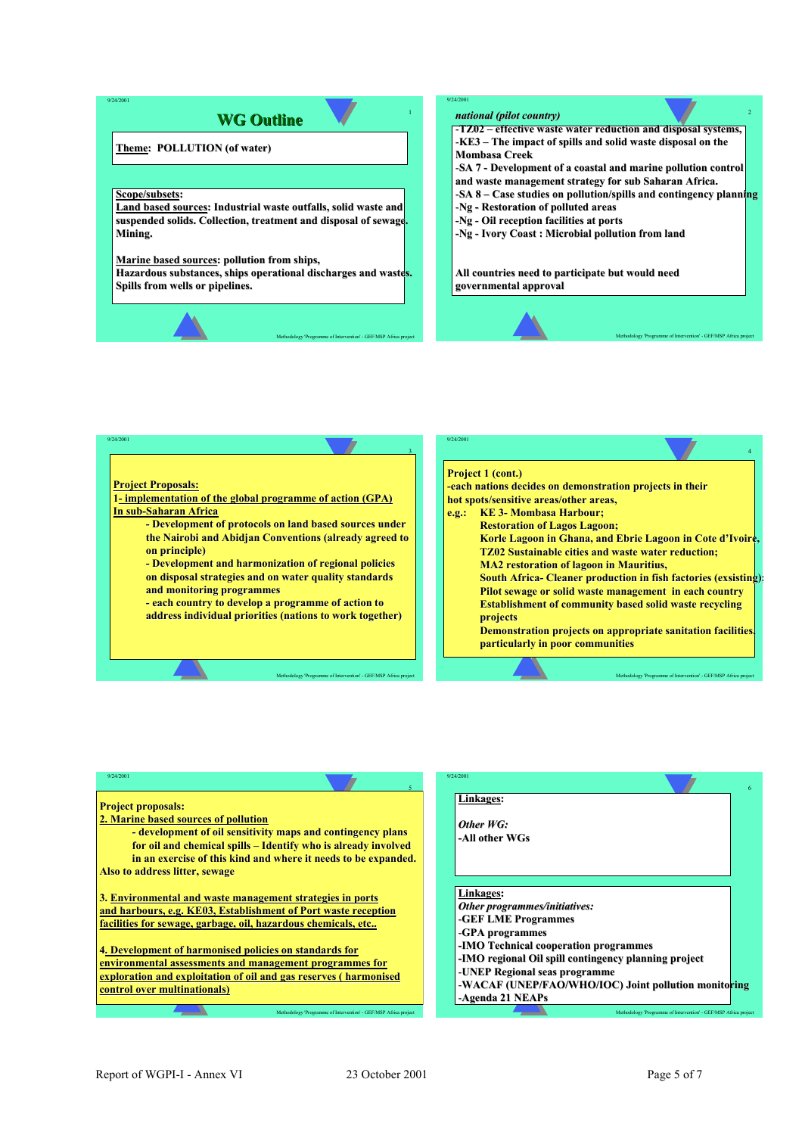# **WG Outline WG Outline**

#### **Theme: POLLUTION (of water) : POLLUTION (of water)**

#### $Scope/subsets:$

9/24/2001

**Land based sources: Industrial waste outfalls, solid waste and suspended solids. Collection, treatment and disposal of sewage. Mining. Mining.**

#### **Marine based sources: pollution from ships,**

**Hazardous substances, ships operational discharges and wastes. ships operational discharges and wastes. Spills from wells or pipelines. Spills from wells or pipelines.**

Methodology 'Programme of Intervention' - GEF/MSP Africa project

#### *national (pilot country) national (pilot country)*

1

9/24/2001

-**TZ02** – effective waste water reduction and disposal systems, -**KE3** – The impact of spills and solid waste disposal on the **Mombasa Creek** 

-SA 7 - Development of a coastal and marine pollution control **and waste management strategy for sub Saharan Africa. waste management for sub Saharan** 

-**SA 8 – Case studies on pollution/spills and contingency planning** 

Methodology 'Programme of Intervention' - GEF/MSP Africa project

- -**Ng - Restoration of polluted areas -Ng - Oil reception facilities at ports**
- **-Ng - Ivory Coast : Microbial pollution from land**

All countries need to participate but would need

**governmental approval governmental approval**



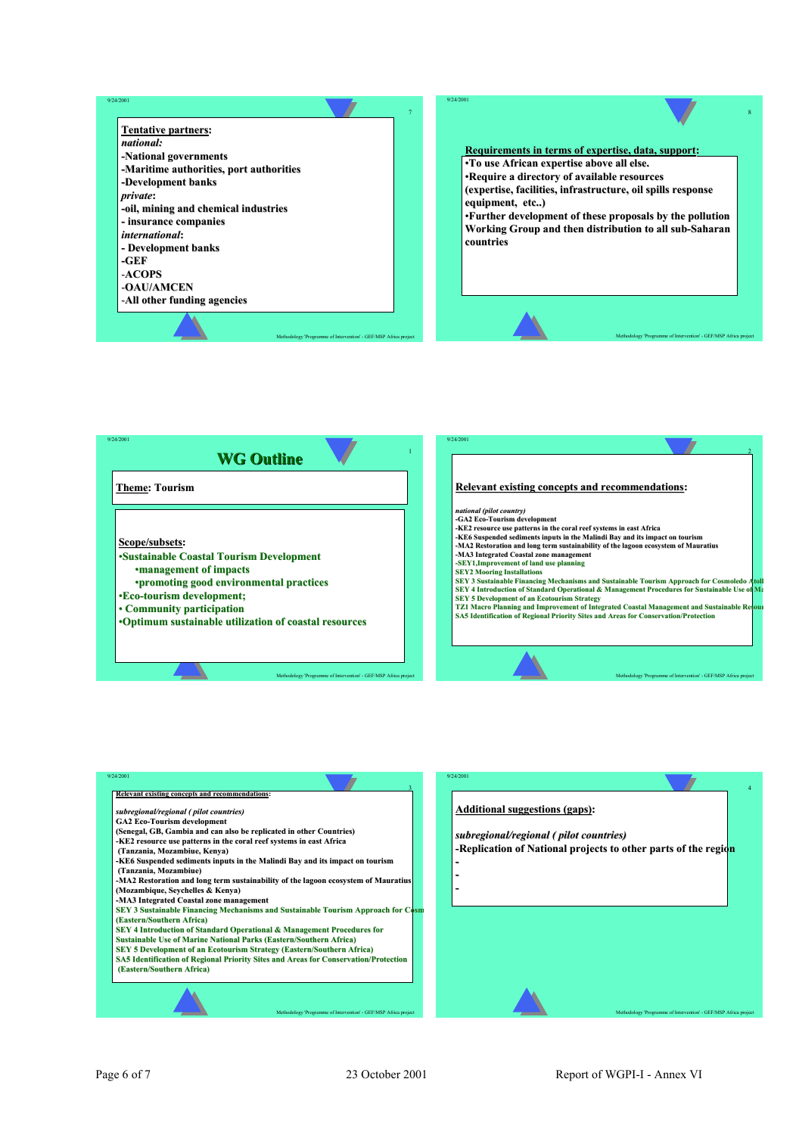![](_page_48_Picture_0.jpeg)

![](_page_48_Figure_1.jpeg)

![](_page_48_Figure_2.jpeg)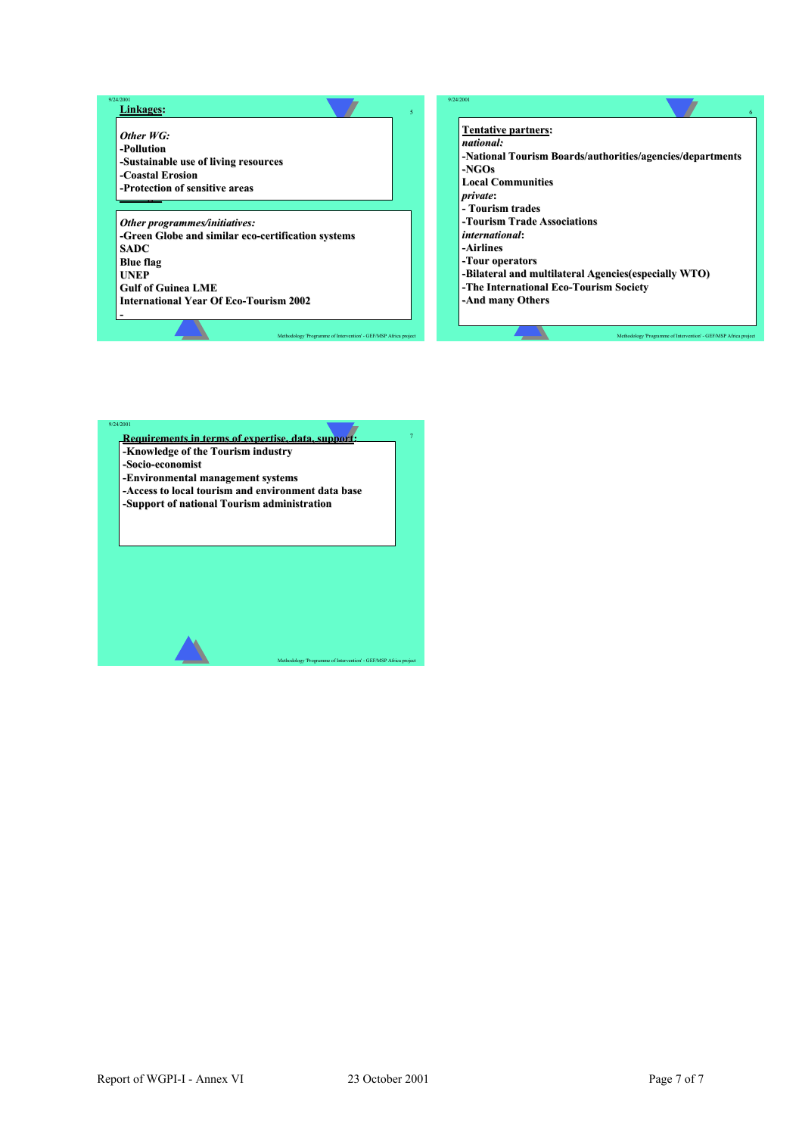#### Methodology 'Programme of Intervention' - GEF/MSP Africa project 5 9/24/2001 **Linuxary Construction of sensitive areas** *Other programmes programmes/initiatives: /initiatives:* **-Green Globe and similar eco-certification systems SADC Blue flag UNEP Gulf of Guinea LME International Year Of Eco-Tourism 2002 - Linkages:** *Other WG:* **-Pollution -Sustainable use of living resources -Coastal Erosion Coastal**  Methodology 'Programme of Intervention' - GEF/MSP Africa project 6 9/24/2001 **Tentative partners:** *national: national:* **-National Tourism Boards/authorities/agencies/departments National Tourism Boards/authorities/agencies/departments -NGOs Local Communities Local Communities** *private***: - Tourism trades Tourism trades -Tourism Trade Associations Tourism Trade Associations** *international international***: -Airlines Airlines -Tour operators Tour operators -Bilateral and multilateral Agencies(especially WTO) Bilateral and multilateral Agencies(especially WTO) -The International Eco-Tourism Society -And many Others And many**

![](_page_49_Picture_1.jpeg)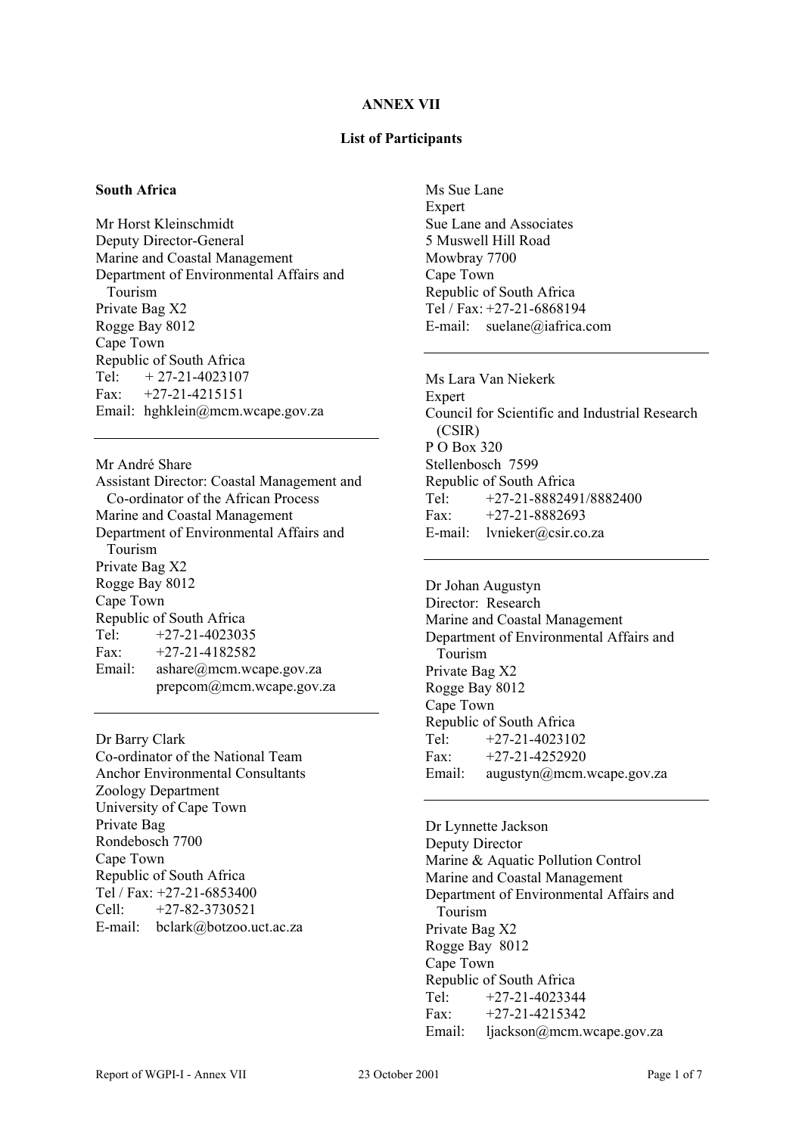#### **ANNEX VII**

#### **List of Participants**

#### **South Africa**

Mr Horst Kleinschmidt Deputy Director-General Marine and Coastal Management Department of Environmental Affairs and Tourism Private Bag X2 Rogge Bay 8012 Cape Town Republic of South Africa Tel: *+* 27-21-4023107 Fax:  $+27-21-4215151$ Email: hghklein@mcm.wcape.gov.za

Mr André Share Assistant Director: Coastal Management and Co-ordinator of the African Process Marine and Coastal Management Department of Environmental Affairs and Tourism Private Bag X2 Rogge Bay 8012 Cape Town Republic of South Africa Tel:  $+27-21-4023035$ Fax:  $+27-21-4182582$ Email: ashare@mcm.wcape.gov.za prepcom@mcm.wcape.gov.za

Dr Barry Clark Co-ordinator of the National Team Anchor Environmental Consultants Zoology Department University of Cape Town Private Bag Rondebosch 7700 Cape Town Republic of South Africa Tel / Fax: +27-21-6853400 Cell: +27-82-3730521 E-mail: bclark@botzoo.uct.ac.za

Ms Sue Lane **Expert** Sue Lane and Associates 5 Muswell Hill Road Mowbray 7700 Cape Town Republic of South Africa Tel / Fax: +27-21-6868194 E-mail: suelane@iafrica.com

Ms Lara Van Niekerk **Expert** Council for Scientific and Industrial Research (CSIR) P O Box 320 Stellenbosch 7599 Republic of South Africa Tel: +27-21-8882491/8882400 Fax:  $+27-21-8882693$ E-mail: lvnieker@csir.co.za

Dr Johan Augustyn Director: Research Marine and Coastal Management Department of Environmental Affairs and Tourism Private Bag X2 Rogge Bay 8012 Cape Town Republic of South Africa Tel:  $+27-21-4023102$ Fax:  $+27-21-4252920$ Email: augustyn@mcm.wcape.gov.za

Dr Lynnette Jackson Deputy Director Marine & Aquatic Pollution Control Marine and Coastal Management Department of Environmental Affairs and Tourism Private Bag X2 Rogge Bay 8012 Cape Town Republic of South Africa  $Tel: +27-21-4023344$ Fax:  $+27-21-4215342$ Email: ljackson@mcm.wcape.gov.za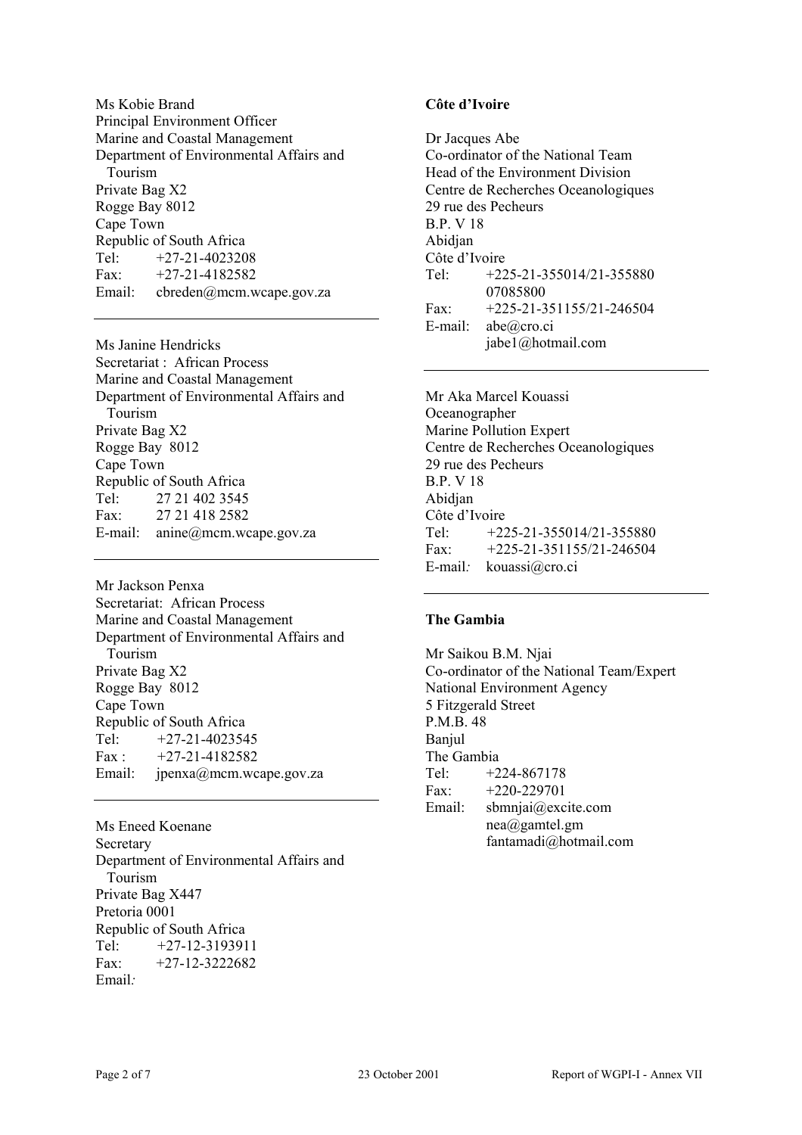Ms Kobie Brand Principal Environment Officer Marine and Coastal Management Department of Environmental Affairs and Tourism Private Bag X2 Rogge Bay 8012 Cape Town Republic of South Africa Tel: +27-21-4023208 Fax:  $+27-21-4182582$ Email: cbreden@mcm.wcape.gov.za

Ms Janine Hendricks Secretariat : African Process Marine and Coastal Management Department of Environmental Affairs and Tourism Private Bag X2 Rogge Bay 8012 Cape Town Republic of South Africa Tel: 27 21 402 3545 Fax: 27 21 418 2582 E-mail: anine@mcm.wcape.gov.za

Mr Jackson Penxa Secretariat: African Process Marine and Coastal Management Department of Environmental Affairs and Tourism Private Bag X2 Rogge Bay 8012 Cape Town Republic of South Africa Tel: *+*27-21-4023545 Fax : *+*27-21-4182582 Email: jpenxa@mcm.wcape.gov.za

Ms Eneed Koenane Secretary Department of Environmental Affairs and Tourism Private Bag X447 Pretoria 0001 Republic of South Africa Tel: *+*27-12-3193911 Fax: +27-12-3222682 Email*:*

# **Côte d'Ivoire**

Dr Jacques Abe Co-ordinator of the National Team Head of the Environment Division Centre de Recherches Oceanologiques 29 rue des Pecheurs B.P. V 18 Abidjan Côte d'Ivoire Tel: +225-21-355014/21-355880 07085800 Fax: +225-21-351155/21-246504 E-mail: abe@cro.ci jabe1@hotmail.com

Mr Aka Marcel Kouassi Oceanographer Marine Pollution Expert Centre de Recherches Oceanologiques 29 rue des Pecheurs B.P. V 18 Abidjan Côte d'Ivoire Tel: *+*225-21-355014/21-355880 Fax: *+*225-21-351155/21-246504 E-mail*:* kouassi@cro.ci

#### **The Gambia**

Mr Saikou B.M. Njai Co-ordinator of the National Team/Expert National Environment Agency 5 Fitzgerald Street P.M.B. 48 **Banjul** The Gambia Tel: +224-867178 Fax:  $+220-229701$ Email: sbmnjai@excite.com nea@gamtel.gm fantamadi@hotmail.com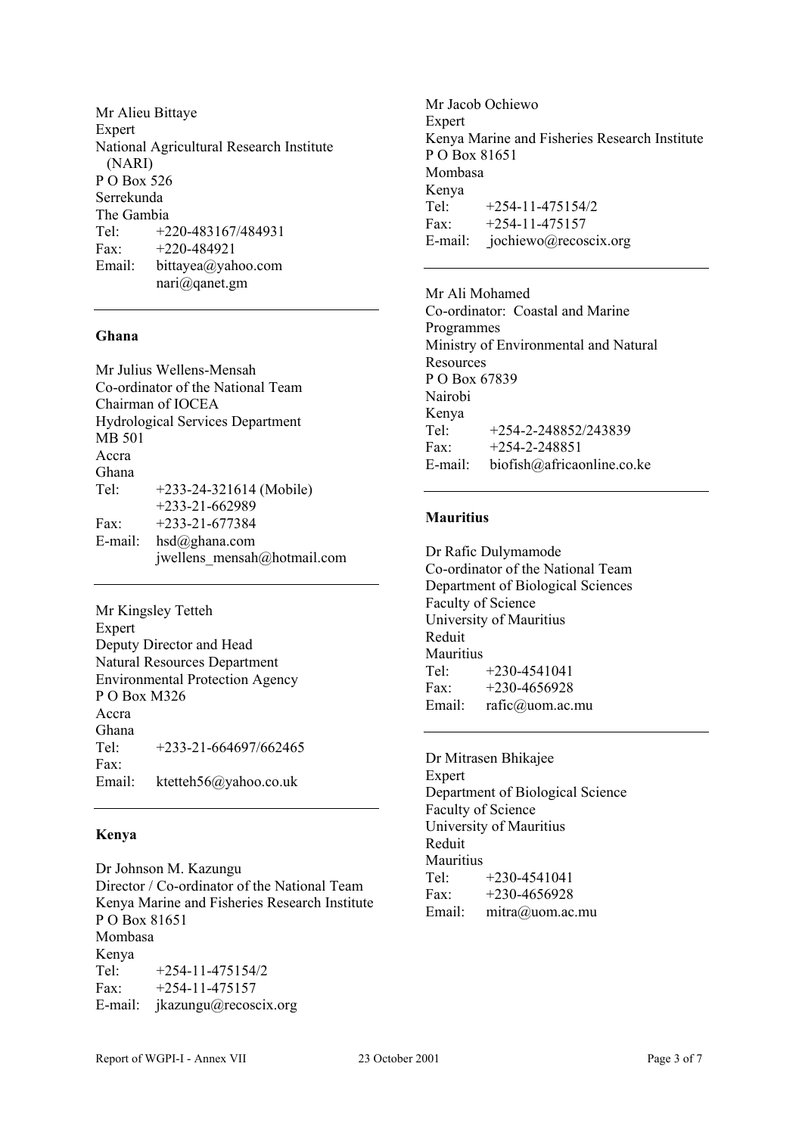Mr Alieu Bittaye Expert National Agricultural Research Institute (NARI) P O Box 526 Serrekunda The Gambia Tel: +220-483167/484931 Fax: +220-484921 Email: bittayea@yahoo.com nari@qanet.gm

#### **Ghana**

Mr Julius Wellens-Mensah Co-ordinator of the National Team Chairman of IOCEA Hydrological Services Department MB 501 Accra Ghana Tel: +233-24-321614 (Mobile) +233-21-662989 Fax: +233-21-677384 E-mail: hsd@ghana.com jwellens\_mensah@hotmail.com

Mr Kingsley Tetteh Expert Deputy Director and Head Natural Resources Department Environmental Protection Agency P O Box M326 Accra Ghana  $Tel: +233-21-664697/662465$ Fax: Email: ktetteh56@yahoo.co.uk

#### **Kenya**

Dr Johnson M. Kazungu Director / Co-ordinator of the National Team Kenya Marine and Fisheries Research Institute P O Box 81651 Mombasa Kenya Tel: +254-11-475154/2 Fax:  $+254-11-475157$ E-mail: jkazungu@recoscix.org

Mr Jacob Ochiewo **Expert** Kenya Marine and Fisheries Research Institute P O Box 81651 Mombasa Kenya Tel:  $+254-11-475154/2$ Fax:  $+254-11-475157$ E-mail: jochiewo@recoscix.org

Mr Ali Mohamed Co-ordinator: Coastal and Marine Programmes Ministry of Environmental and Natural **Resources** P O Box 67839 Nairobi Kenya Tel: +254-2-248852/243839 Fax:  $+254-2-248851$ E-mail: biofish@africaonline.co.ke

#### **Mauritius**

Dr Rafic Dulymamode Co-ordinator of the National Team Department of Biological Sciences Faculty of Science University of Mauritius Reduit **Mauritius** Tel: +230-4541041 Fax:  $+230-4656928$ Email: rafic@uom.ac.mu

Dr Mitrasen Bhikajee Expert Department of Biological Science Faculty of Science University of Mauritius Reduit **Mauritius** Tel: +230-4541041 Fax:  $+230-4656928$ Email: mitra@uom.ac.mu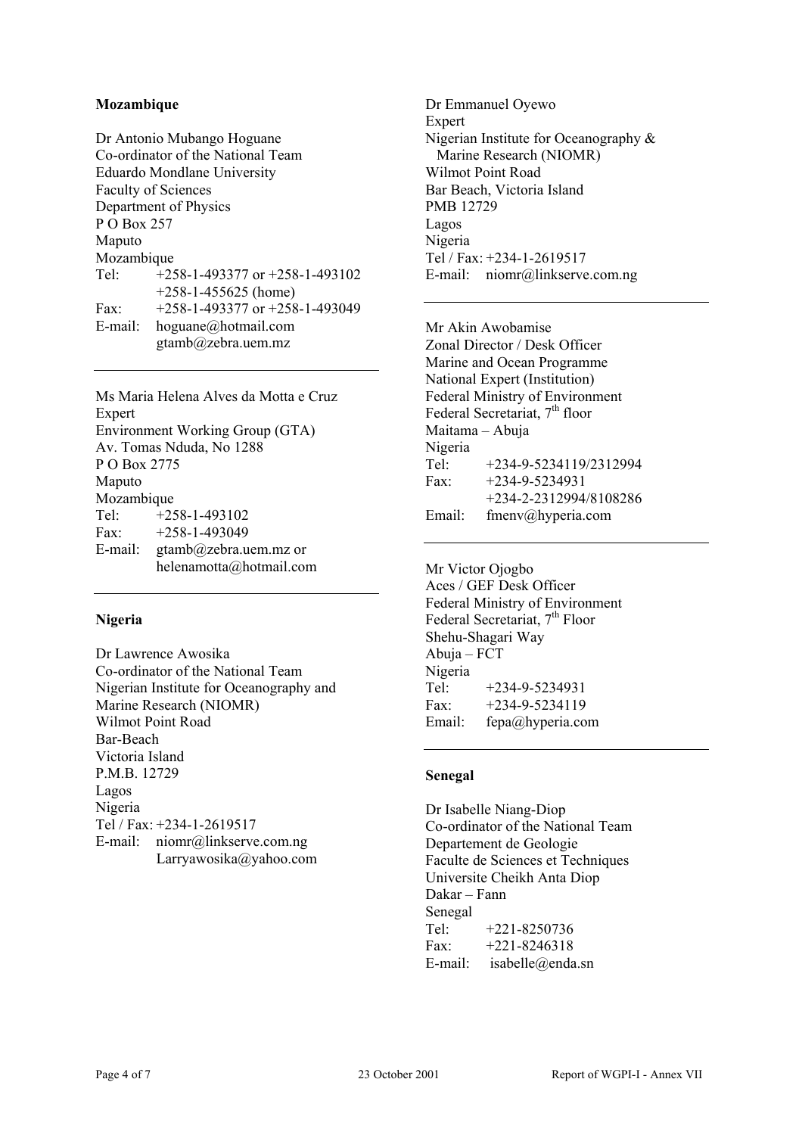# **Mozambique**

Dr Antonio Mubango Hoguane Co-ordinator of the National Team Eduardo Mondlane University Faculty of Sciences Department of Physics P O Box 257 Maputo Mozambique Tel: +258-1-493377 or +258-1-493102 +258-1-455625 (home) Fax: +258-1-493377 or +258-1-493049 E-mail: hoguane@hotmail.com gtamb@zebra.uem.mz

Ms Maria Helena Alves da Motta e Cruz Expert Environment Working Group (GTA) Av. Tomas Nduda, No 1288 P O Box 2775 Maputo Mozambique Tel: +258-1-493102 Fax:  $+258-1-493049$ E-mail: gtamb@zebra.uem.mz or helenamotta@hotmail.com

#### **Nigeria**

Dr Lawrence Awosika Co-ordinator of the National Team Nigerian Institute for Oceanography and Marine Research (NIOMR) Wilmot Point Road Bar-Beach Victoria Island P.M.B. 12729 Lagos Nigeria Tel / Fax: +234-1-2619517 E-mail: niomr@linkserve.com.ng Larryawosika@yahoo.com

Dr Emmanuel Oyewo Expert Nigerian Institute for Oceanography & Marine Research (NIOMR) Wilmot Point Road Bar Beach, Victoria Island PMB 12729 Lagos Nigeria Tel / Fax: +234-1-2619517 E-mail: niomr@linkserve.com.ng

Mr Akin Awobamise Zonal Director / Desk Officer Marine and Ocean Programme National Expert (Institution) Federal Ministry of Environment Federal Secretariat, 7<sup>th</sup> floor Maitama – Abuja Nigeria Tel: +234-9-5234119/2312994 Fax:  $+234-9-5234931$  +234-2-2312994/8108286 Email: fmenv@hyperia.com

Mr Victor Ojogbo Aces / GEF Desk Officer Federal Ministry of Environment Federal Secretariat, 7<sup>th</sup> Floor Shehu-Shagari Way Abuja – FCT Nigeria Tel: +234-9-5234931 Fax:  $+234-9-5234119$ Email: fepa@hyperia.com

#### **Senegal**

Dr Isabelle Niang-Diop Co-ordinator of the National Team Departement de Geologie Faculte de Sciences et Techniques Universite Cheikh Anta Diop Dakar – Fann Senegal Tel: +221-8250736 Fax:  $+221-8246318$ E-mail: isabelle@enda.sn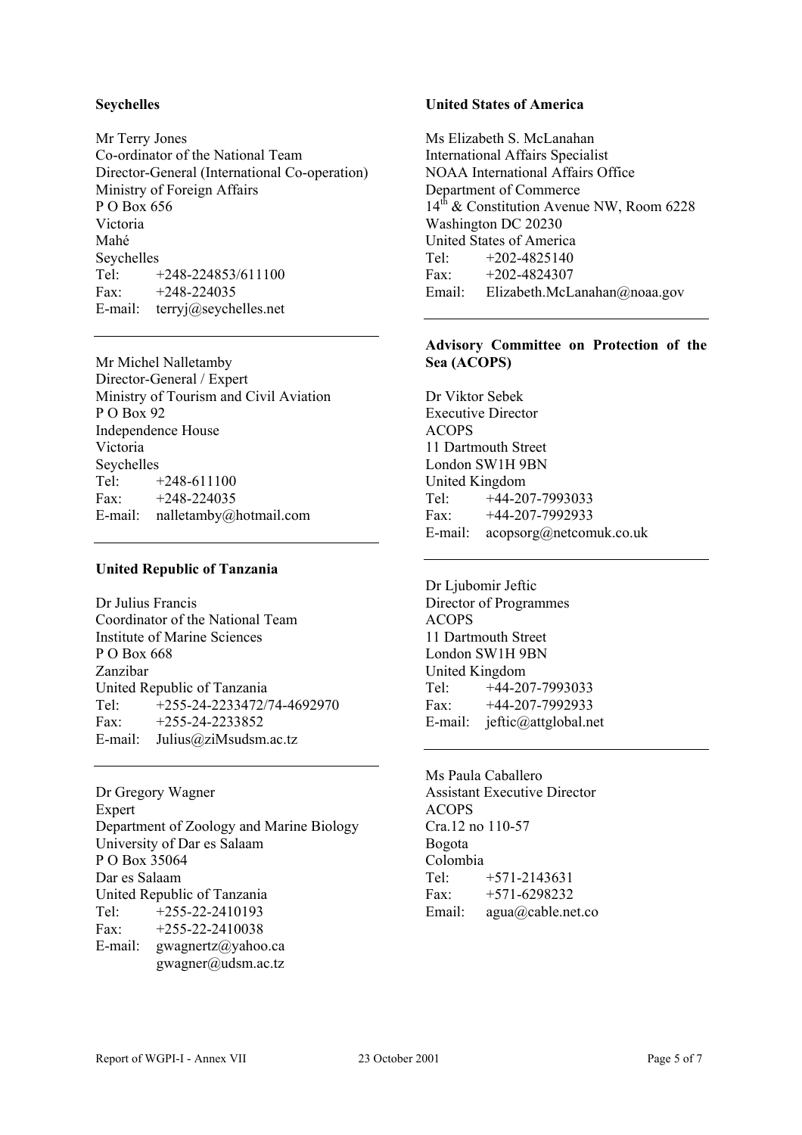# **Seychelles**

Mr Terry Jones Co-ordinator of the National Team Director-General (International Co-operation) Ministry of Foreign Affairs P O Box 656 Victoria Mahé Seychelles<br>Tel: + +248-224853/611100  $Fax + 248 - 224035$ E-mail: terryj@seychelles.net

Mr Michel Nalletamby Director-General / Expert Ministry of Tourism and Civil Aviation P O Box 92 Independence House Victoria Seychelles Tel:  $+248-611100$ Fax:  $+248-224035$ E-mail: nalletamby@hotmail.com

#### **United Republic of Tanzania**

Dr Julius Francis Coordinator of the National Team Institute of Marine Sciences P O Box 668 Zanzibar United Republic of Tanzania Tel: +255-24-2233472/74-4692970 Fax:  $+255-24-2233852$ E-mail: Julius@ziMsudsm.ac.tz

Dr Gregory Wagner **Expert** Department of Zoology and Marine Biology University of Dar es Salaam P O Box 35064 Dar es Salaam United Republic of Tanzania Tel: +255-22-2410193 Fax: +255-22-2410038 E-mail: gwagnertz@yahoo.ca gwagner@udsm.ac.tz

# **United States of America**

Ms Elizabeth S. McLanahan International Affairs Specialist NOAA International Affairs Office Department of Commerce  $14^{th}$  & Constitution Avenue NW, Room 6228 Washington DC 20230 United States of America Tel: +202-4825140 Fax:  $+202-4824307$ Email: Elizabeth.McLanahan@noaa.gov

# **Advisory Committee on Protection of the Sea (ACOPS)**

Dr Viktor Sebek Executive Director ACOPS 11 Dartmouth Street London SW1H 9BN United Kingdom Tel: +44-207-7993033 Fax: +44-207-7992933 E-mail: acopsorg@netcomuk.co.uk

Dr Ljubomir Jeftic Director of Programmes ACOPS 11 Dartmouth Street London SW1H 9BN United Kingdom Tel: +44-207-7993033 Fax: +44-207-7992933 E-mail: jeftic@attglobal.net

Ms Paula Caballero Assistant Executive Director ACOPS Cra.12 no 110-57 Bogota Colombia Tel: +571-2143631 Fax:  $+571-6298232$ Email: agua@cable.net.co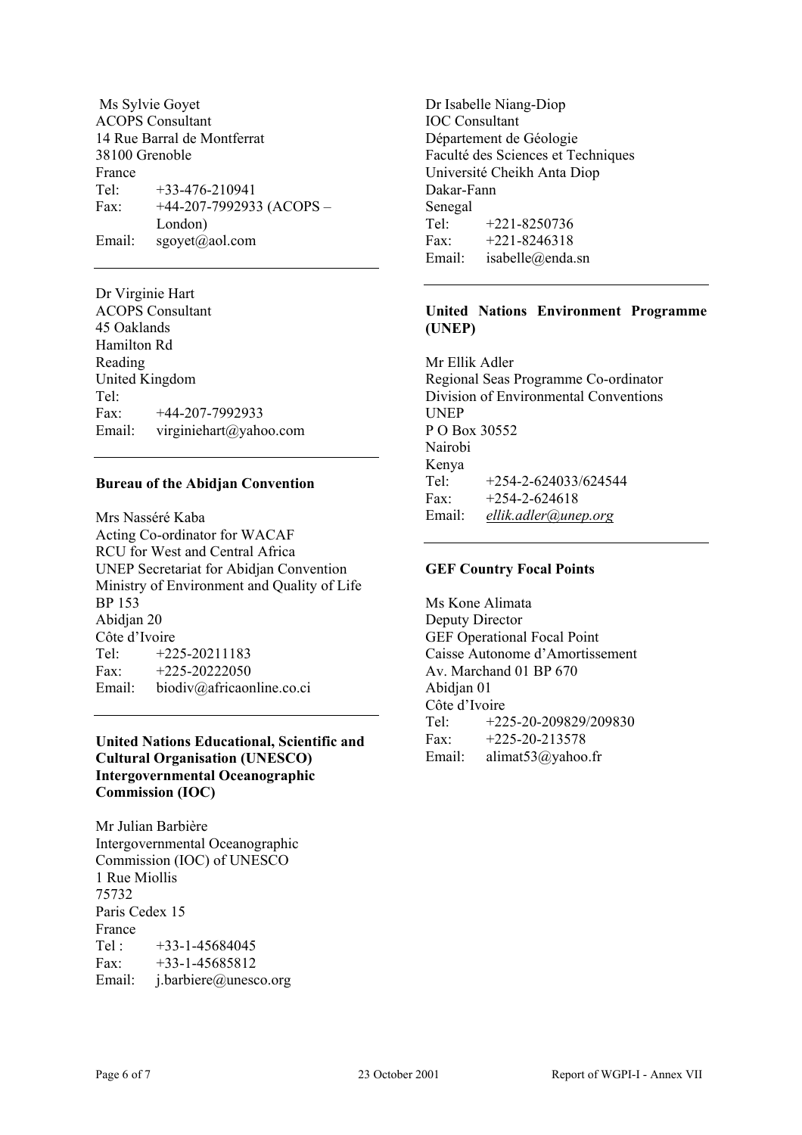Ms Sylvie Goyet ACOPS Consultant 14 Rue Barral de Montferrat 38100 Grenoble France Tel:  $+33-476-210941$ Fax:  $+44-207-7992933$  (ACOPS – London) Email: sgoyet@aol.com

Dr Virginie Hart ACOPS Consultant 45 Oaklands Hamilton Rd Reading United Kingdom Tel: Fax: +44-207-7992933 Email: virginiehart@yahoo.com

#### **Bureau of the Abidjan Convention**

Mrs Nasséré Kaba Acting Co-ordinator for WACAF RCU for West and Central Africa UNEP Secretariat for Abidjan Convention Ministry of Environment and Quality of Life BP 153 Abidjan 20 Côte d'Ivoire Tel: +225-20211183 Fax:  $+225-20222050$ Email: biodiv@africaonline.co.ci

# **United Nations Educational, Scientific and Cultural Organisation (UNESCO) Intergovernmental Oceanographic Commission (IOC)**

Mr Julian Barbière Intergovernmental Oceanographic Commission (IOC) of UNESCO 1 Rue Miollis 75732 Paris Cedex 15 France Tel :  $+33-1-45684045$ Fax: +33-1-45685812 Email: j.barbiere@unesco.org

Dr Isabelle Niang-Diop IOC Consultant Département de Géologie Faculté des Sciences et Techniques Université Cheikh Anta Diop Dakar-Fann Senegal Tel: +221-8250736 Fax: +221-8246318 Email: isabelle@enda.sn

# **United Nations Environment Programme (UNEP)**

Mr Ellik Adler Regional Seas Programme Co-ordinator Division of Environmental Conventions UNEP P O Box 30552 Nairobi Kenya Tel:  $+254-2-624033/624544$ Fax:  $+254-2-624618$ Email: *ellik.adler@unep.org*

# **GEF Country Focal Points**

Ms Kone Alimata Deputy Director GEF Operational Focal Point Caisse Autonome d'Amortissement Av. Marchand 01 BP 670 Abidjan 01 Côte d'Ivoire Tel: +225-20-209829/209830 Fax:  $+225-20-213578$ Email: alimat53@yahoo.fr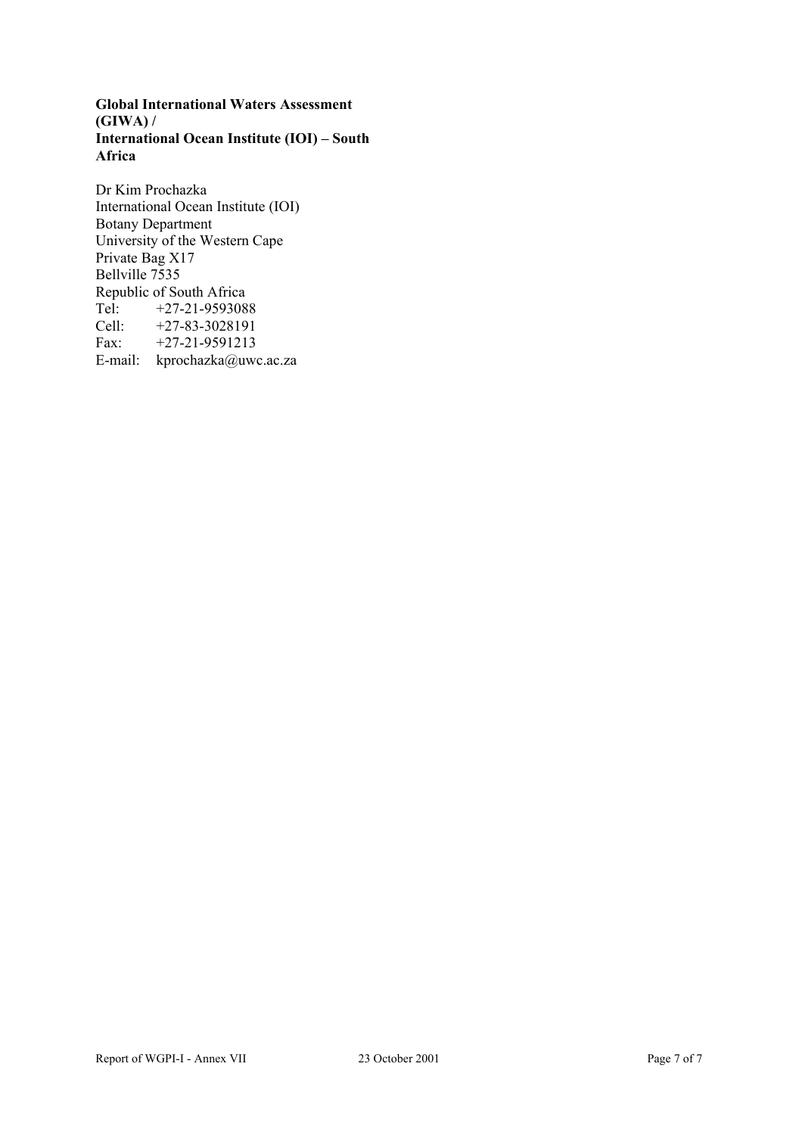**Global International Waters Assessment (GIWA) / International Ocean Institute (IOI) – South Africa**

Dr Kim Prochazka International Ocean Institute (IOI) Botany Department University of the Western Cape Private Bag X17 Bellville 7535 Republic of South Africa<br>Tel:  $+27-21-959308$ Tel: +27-21-9593088 Cell: +27-83-3028191<br>Fax: +27-21-9591213 Fax: +27-21-9591213 E-mail: kprochazka@uwc.ac.za